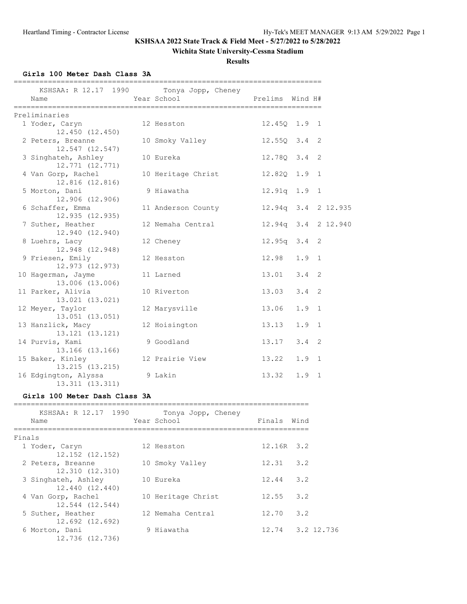### **Wichita State University-Cessna Stadium**

**Results**

## **Girls 100 Meter Dash Class 3A**

| KSHSAA: R 12.17 1990<br>Name            | Tonya Jopp, Cheney<br>Year School | Prelims Wind H#  |               |                     |
|-----------------------------------------|-----------------------------------|------------------|---------------|---------------------|
| Preliminaries                           |                                   |                  |               |                     |
| 1 Yoder, Caryn<br>$12,450$ $(12,450)$   | 12 Hesston                        | 12.450 1.9 1     |               |                     |
| 2 Peters, Breanne<br>12.547 (12.547)    | 10 Smoky Valley                   | $12.55Q$ $3.4$ 2 |               |                     |
| 3 Singhateh, Ashley<br>12,771 (12,771)  | 10 Eureka                         | 12.780 3.4 2     |               |                     |
| 4 Van Gorp, Rachel<br>12.816 (12.816)   | 10 Heritage Christ                | 12.820 1.9 1     |               |                     |
| 5 Morton, Dani<br>12.906 (12.906)       | 9 Hiawatha                        | $12.91q$ $1.9$ 1 |               |                     |
| 6 Schaffer, Emma<br>12.935 (12.935)     | 11 Anderson County                |                  |               | 12.94q 3.4 2 12.935 |
| 7 Suther, Heather<br>12.940 (12.940)    | 12 Nemaha Central                 |                  |               | 12.94g 3.4 2 12.940 |
| 8 Luehrs, Lacy<br>12.948 (12.948)       | 12 Cheney                         | $12.95q - 3.4$   |               | 2                   |
| 9 Friesen, Emily<br>12.973 (12.973)     | 12 Hesston                        | $12.98$ $1.9$ 1  |               |                     |
| 10 Hagerman, Jayme<br>13.006 (13.006)   | 11 Larned                         | $13.01$ $3.4$ 2  |               |                     |
| 11 Parker, Alivia<br>13.021 (13.021)    | 10 Riverton                       | 13.03            | 3.4           | 2                   |
| 12 Meyer, Taylor<br>$13.051$ $(13.051)$ | 12 Marysville                     | 13.06            | 1.9           | 1                   |
| 13 Hanzlick, Macy<br>13.121 (13.121)    | 12 Hoisington                     | 13.13            | $1.9 \quad 1$ |                     |
| 14 Purvis, Kami<br>13.166 (13.166)      | 9 Goodland                        | 13.17            | $3.4 \quad 2$ |                     |
| 15 Baker, Kinley<br>13.215 (13.215)     | 12 Prairie View                   | 13.22            | 1.9           | $\overline{1}$      |
| 16 Edgington, Alyssa<br>13.311 (13.311) | 9 Lakin                           | 13.32            | 1.9           | 1                   |

### **Girls 100 Meter Dash Class 3A**

|        | KSHSAA: R 12.17 1990<br>Name           | Tonya Jopp, Cheney<br>Year School | Finals       | Wind             |
|--------|----------------------------------------|-----------------------------------|--------------|------------------|
| Finals |                                        |                                   |              |                  |
|        | 1 Yoder, Caryn<br>12.152 (12.152)      | 12 Hesston                        | $12.16R$ 3.2 |                  |
|        | 2 Peters, Breanne<br>12.310 (12.310)   | 10 Smoky Valley                   | 12.31        | 3.2              |
|        | 3 Singhateh, Ashley<br>12.440 (12.440) | 10 Eureka                         | 12.44        | 3.2              |
|        | 4 Van Gorp, Rachel<br>12.544 (12.544)  | 10 Heritage Christ                | 12.55        | 3.2              |
|        | 5 Suther, Heather<br>12.692 (12.692)   | 12 Nemaha Central                 | 12.70        | 3.2              |
|        | 6 Morton, Dani<br>12.736 (12.736)      | 9 Hiawatha                        |              | 12.74 3.2 12.736 |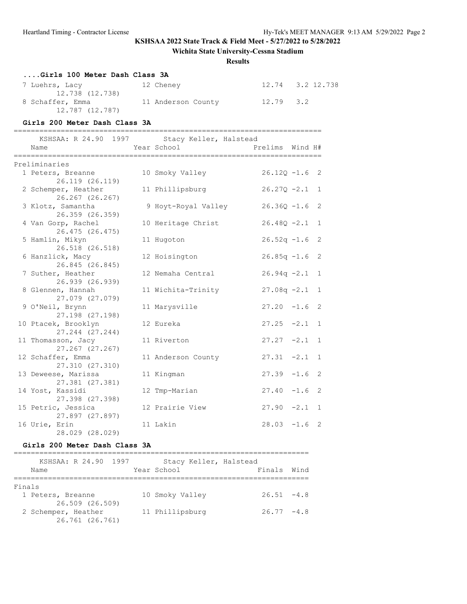### **Wichita State University-Cessna Stadium**

#### **Results**

| Girls 100 Meter Dash Class 3A |                    |               |                  |
|-------------------------------|--------------------|---------------|------------------|
| 7 Luehrs, Lacy                | 12 Cheney          |               | 12.74 3.2 12.738 |
| 12.738 (12.738)               |                    |               |                  |
| 8 Schaffer, Emma              | 11 Anderson County | $12.79$ $3.2$ |                  |
| 12.787 (12.787)               |                    |               |                  |

#### **Girls 200 Meter Dash Class 3A**

======================================================================== KSHSAA: R 24.90 1997 Stacy Keller, Halstead Name The Year School Controller Prelims Wind H# ======================================================================== Preliminaries

| rreiiminaries                          |                     |                  |   |
|----------------------------------------|---------------------|------------------|---|
| 1 Peters, Breanne<br>26.119 (26.119)   | 10 Smoky Valley     | $26.12Q - 1.6$ 2 |   |
| 2 Schemper, Heather<br>26.267 (26.267) | 11 Phillipsburg     | $26.27Q - 2.1$ 1 |   |
| 3 Klotz, Samantha<br>26.359 (26.359)   | 9 Hoyt-Royal Valley | $26.36Q - 1.6$ 2 |   |
| 4 Van Gorp, Rachel<br>26.475 (26.475)  | 10 Heritage Christ  | $26.48Q - 2.1$   | 1 |
| 5 Hamlin, Mikyn<br>26.518 (26.518)     | 11 Hugoton          | $26.52q - 1.6$ 2 |   |
| 6 Hanzlick, Macy<br>26.845 (26.845)    | 12 Hoisington       | $26.85q -1.6$ 2  |   |
| 7 Suther, Heather<br>26.939 (26.939)   | 12 Nemaha Central   | $26.94q -2.1$ 1  |   |
| 8 Glennen, Hannah<br>27.079 (27.079)   | 11 Wichita-Trinity  | $27.08q - 2.1$ 1 |   |
| 9 O'Neil, Brynn<br>27.198 (27.198)     | 11 Marysville       | $27.20 -1.6$ 2   |   |
| 10 Ptacek, Brooklyn<br>27.244 (27.244) | 12 Eureka           | $27.25 -2.1$ 1   |   |
| 11 Thomasson, Jacy<br>27.267 (27.267)  | 11 Riverton         | $27.27 -2.1$ 1   |   |
| 12 Schaffer, Emma<br>27.310 (27.310)   | 11 Anderson County  | $27.31 -2.1 1$   |   |
| 13 Deweese, Marissa<br>27.381 (27.381) | 11 Kingman          | $27.39 - 1.6$ 2  |   |
| 14 Yost, Kassidi<br>27.398 (27.398)    | 12 Tmp-Marian       | $27.40 -1.6$ 2   |   |
| 15 Petric, Jessica<br>27.897 (27.897)  | 12 Prairie View     | $27.90 -2.1 1$   |   |
| 16 Urie, Erin<br>28.029 (28.029)       | 11 Lakin            | $28.03 -1.6$ 2   |   |

#### **Girls 200 Meter Dash Class 3A**

|        | KSHSAA: R 24.90 1997 | Stacy Keller, Halstead |               |      |
|--------|----------------------|------------------------|---------------|------|
|        | Name                 | Year School            | Finals        | Wind |
|        |                      |                        |               |      |
| Finals |                      |                        |               |      |
|        | 1 Peters, Breanne    | 10 Smoky Valley        | $26.51 - 4.8$ |      |
|        | 26.509 (26.509)      |                        |               |      |
|        | 2 Schemper, Heather  | 11 Phillipsburg        | $26.77 - 4.8$ |      |
|        | 26.761 (26.761)      |                        |               |      |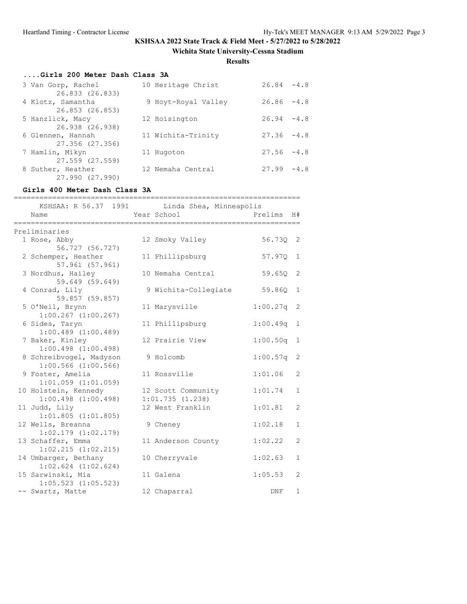**Wichita State University-Cessna Stadium**

**Results**

# **....Girls 200 Meter Dash Class 3A**

| 3 Van Gorp, Rachel                   | 10 Heritage Christ  | $26.84 - 4.8$ |  |
|--------------------------------------|---------------------|---------------|--|
| 26.833 (26.833)<br>4 Klotz, Samantha | 9 Hoyt-Royal Valley | $26.86 - 4.8$ |  |
| 26.853 (26.853)                      |                     |               |  |
| 5 Hanzlick, Macy                     | 12 Hoisington       | $26.94 - 4.8$ |  |
| 26.938 (26.938)                      |                     |               |  |
| 6 Glennen, Hannah                    | 11 Wichita-Trinity  | $27.36 - 4.8$ |  |
| 27.356 (27.356)                      |                     |               |  |
| 7 Hamlin, Mikyn                      | 11 Hugoton          | $27.56 - 4.8$ |  |
| 27.559 (27.559)                      |                     |               |  |
| 8 Suther, Heather                    | 12 Nemaha Central   | $27.99 - 4.8$ |  |
| 27.990 (27.990)                      |                     |               |  |

### **Girls 400 Meter Dash Class 3A**

| :=========<br>============<br>Name                 | KSHSAA: R 56.37 1991 Linda Shea, Minneapolis<br>Year School | ---------------------<br>Prelims | H#             |
|----------------------------------------------------|-------------------------------------------------------------|----------------------------------|----------------|
| ----------------------                             | ____________________________                                |                                  |                |
| Preliminaries                                      |                                                             |                                  |                |
| 1 Rose, Abby<br>56.727 (56.727)                    | 12 Smoky Valley                                             | 56.730                           | 2              |
| 2 Schemper, Heather<br>57.961 (57.961)             | 11 Phillipsburg                                             | 57.970                           | 1              |
| 3 Nordhus, Hailey<br>59.649 (59.649)               | 10 Nemaha Central                                           | 59.65Q                           | 2              |
| 4 Conrad, Lily<br>59.857 (59.857)                  | 9 Wichita-Collegiate                                        | 59.860                           | 1              |
| 5 O'Neil, Brynn<br>$1:00.267$ $(1:00.267)$         | 11 Marysville                                               | 1:00.27q                         | 2              |
| 6 Sides, Taryn<br>$1:00.489$ $(1:00.489)$          | 11 Phillipsburg                                             | 1:00.49q                         | 1              |
| 7 Baker, Kinley<br>$1:00.498$ $(1:00.498)$         | 12 Prairie View                                             | 1:00.50q                         | 1              |
| 8 Schreibvogel, Madyson<br>$1:00.566$ $(1:00.566)$ | 9 Holcomb                                                   | 1:00.57q                         | 2              |
| 9 Foster, Amelia<br>$1:01.059$ $(1:01.059)$        | 11 Rossville                                                | 1:01.06                          | 2              |
| 10 Holstein, Kennedy<br>$1:00.498$ $(1:00.498)$    | 12 Scott Community<br>1:01.735(1.238)                       | 1:01.74                          | 1              |
| 11 Judd, Lily<br>$1:01.805$ $(1:01.805)$           | 12 West Franklin                                            | 1:01.81                          | 2              |
| 12 Wells, Breanna<br>$1:02.179$ $(1:02.179)$       | 9 Cheney                                                    | 1:02.18                          | $\mathbf{1}$   |
| 13 Schaffer, Emma<br>$1:02.215$ $(1:02.215)$       | 11 Anderson County                                          | 1:02.22                          | $\overline{2}$ |
| 14 Umbarger, Bethany<br>$1:02.624$ $(1:02.624)$    | 10 Cherryvale                                               | 1:02.63                          | 1              |
| 15 Sarwinski, Mia<br>$1:05.523$ $(1:05.523)$       | 11 Galena                                                   | 1:05.53                          | $\overline{2}$ |
| -- Swartz, Matte                                   | 12 Chaparral                                                | DNF                              | 1              |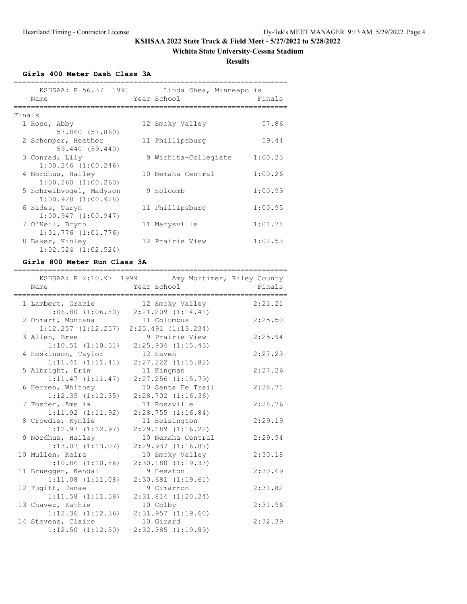### **Wichita State University-Cessna Stadium**

**Results**

**Girls 400 Meter Dash Class 3A**

| KSHSAA: R 56.37 1991<br>Name                       |  | Linda Shea, Minneapolis<br>Year School | Finals  |  |  |  |  |
|----------------------------------------------------|--|----------------------------------------|---------|--|--|--|--|
| Finals                                             |  |                                        |         |  |  |  |  |
| 1 Rose, Abby<br>57.860 (57.860)                    |  | 12 Smoky Valley                        | 57.86   |  |  |  |  |
| 2 Schemper, Heather<br>59.440 (59.440)             |  | 11 Phillipsburg                        | 59.44   |  |  |  |  |
| 3 Conrad, Lily<br>$1:00.246$ $(1:00.246)$          |  | 9 Wichita-Collegiate                   | 1:00.25 |  |  |  |  |
| 4 Nordhus, Hailey<br>$1:00.260$ $(1:00.260)$       |  | 10 Nemaha Central                      | 1:00.26 |  |  |  |  |
| 5 Schreibvogel, Madyson<br>$1:00.928$ $(1:00.928)$ |  | 9 Holcomb                              | 1:00.93 |  |  |  |  |
| 6 Sides, Taryn<br>1:00.947(1:00.947)               |  | 11 Phillipsburg                        | 1:00.95 |  |  |  |  |
| 7 O'Neil, Brynn<br>$1:01.776$ $(1:01.776)$         |  | 11 Marysville                          | 1:01.78 |  |  |  |  |
| 8 Baker, Kinley<br>$1:02.524$ $(1:02.524)$         |  | 12 Prairie View                        | 1:02.53 |  |  |  |  |

#### **Girls 800 Meter Run Class 3A**

| KSHSAA: R 2:10.97 1999 Amy Mortimer, Riley County<br>Name                         | =========================<br>Year School |                                             | ,,,,,,,,,,,,,,,,,,,,,,<br>Finals |
|-----------------------------------------------------------------------------------|------------------------------------------|---------------------------------------------|----------------------------------|
| 1 Lambert, Gracie 12 Smoky Valley<br>$1:06.80$ $(1:06.80)$ $2:21.209$ $(1:14.41)$ |                                          |                                             | 2:21.21                          |
| 2 Ohmart, Montana 11 Columbus<br>$1:12.257$ $(1:12.257)$ $2:25.491$ $(1:13.234)$  |                                          |                                             | 2:25.50                          |
| 3 Allen, Bree<br>$1:10.51$ $(1:10.51)$                                            |                                          | 9 Prairie View<br>$2:25.934$ $(1:15.43)$    | 2:25.94                          |
| 4 Hoskinson, Taylor<br>1:11.41(1:11.41)                                           |                                          | 12 Haven<br>$2:27.222$ $(1:15.82)$          | 2:27.23                          |
| 5 Albright, Erin<br>1:11.47(1:11.47)                                              |                                          | 11 Kingman<br>$2:27.256$ $(1:15.79)$        | 2:27.26                          |
| 6 Herren, Whitney<br>$1:12.35$ $(1:12.35)$                                        |                                          | 10 Santa Fe Trail<br>$2:28.702$ $(1:16.36)$ | 2:28.71                          |
| 7 Foster, Amelia<br>$1:11.92$ $(1:11.92)$                                         |                                          | 11 Rossville<br>2:28.755(1:16.84)           | 2:28.76                          |
| 8 Crowdis, Kynlie<br>1:12.97(1:12.97)                                             |                                          | 11 Hoisington<br>$2:29.189$ $(1:16.22)$     | 2:29.19                          |
| 9 Nordhus, Hailey<br>$1:13.07$ $(1:13.07)$                                        |                                          | 10 Nemaha Central<br>2:29.937(1:16.87)      | 2:29.94                          |
| 10 Mullen, Keira<br>$1:10.86$ $(1:10.86)$                                         |                                          | 10 Smoky Valley<br>2:30.180(1:19.33)        | 2:30.18                          |
| 11 Brueggen, Kendal<br>$1:11.08$ $(1:11.08)$                                      |                                          | 9 Hesston<br>$2:30.681$ $(1:19.61)$         | 2:30.69                          |
| 12 Fugitt, Janae<br>$1:11.58$ $(1:11.58)$                                         |                                          | 9 Cimarron<br>$2:31.814$ $(1:20.24)$        | 2:31.82                          |
| 13 Chavez, Kathie<br>$1:12.36$ $(1:12.36)$                                        |                                          | 10 Colby<br>2:31.957(1:19.60)               | 2:31.96                          |
| 14 Stevens, Claire<br>$1:12.50$ $(1:12.50)$                                       |                                          | 10 Girard<br>$2:32.385$ $(1:19.89)$         | 2:32.39                          |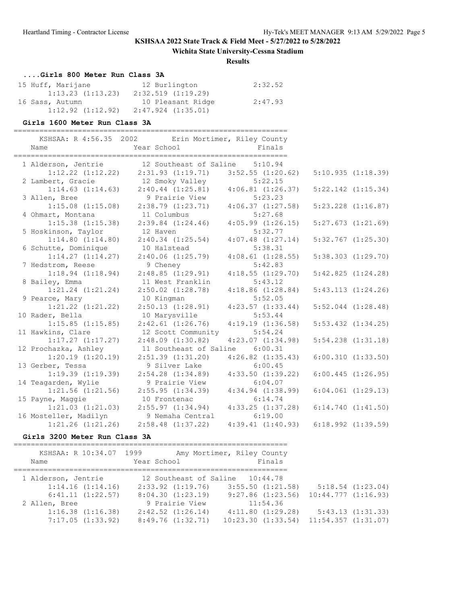### **Wichita State University-Cessna Stadium**

### **Results**

## **....Girls 800 Meter Run Class 3A**

| 15 Huff, Marijane     | 12 Burlington      | 2:32.52 |
|-----------------------|--------------------|---------|
| $1:13.23$ $(1:13.23)$ | 2:32.519(1:19.29)  |         |
| 16 Sass, Autumn       | 10 Pleasant Ridge  | 2:47.93 |
| $1:12.92$ $(1:12.92)$ | 2:47.924 (1:35.01) |         |

#### **Girls 1600 Meter Run Class 3A**

| 1 Alderson, Jentrie 12 Southeast of Saline 5:10.94<br>$1:12.22$ (1:12.22) $2:31.93$ (1:19.71) $3:52.55$ (1:20.62)<br>2 Lambert, Gracie<br>12 Smoky Valley<br>5:22.15<br>$1:14.63$ $(1:14.63)$ $2:40.44$ $(1:25.81)$ $4:06.81$ $(1:26.37)$<br>3 Allen, Bree<br>9 Prairie View<br>5:23.23<br>$2:38.79$ $(1:23.71)$ $4:06.37$ $(1:27.58)$<br>$1:15.08$ $(1:15.08)$<br>11 Columbus<br>5:27.68<br>4 Ohmart, Montana<br>$2:39.84$ $(1:24.46)$<br>$1:15.38$ $(1:15.38)$<br>$4:05.99$ $(1:26.15)$<br>5:32.77<br>5 Hoskinson, Taylor<br>12 Haven<br>$1:14.80$ $(1:14.80)$<br>$2:40.34$ $(1:25.54)$<br>$4:07.48$ $(1:27.14)$<br>5:38.31<br>6 Schutte, Dominique<br>10 Halstead<br>1:14.27(1:14.27)<br>$2:40.06$ $(1:25.79)$<br>$4:08.61$ $(1:28.55)$<br>7 Hedstrom, Reese<br>9 Cheney<br>5:42.83<br>$1:18.94$ $(1:18.94)$<br>2:48.85(1:29.91)<br>4:18.55(1:29.70)<br>8 Bailey, Emma<br>11 West Franklin<br>5:43.12<br>$1:21.24$ $(1:21.24)$<br>$2:50.02$ $(1:28.78)$<br>$4:18.86$ $(1:28.84)$<br>9 Pearce, Mary<br>5:52.05<br>10 Kingman<br>$1:21.22$ $(1:21.22)$<br>2:50.13(1:28.91)<br>4:23.57(1:33.44)<br>10 Rader, Bella<br>10 Marysville<br>5:53.44<br>$2:42.61$ $(1:26.76)$<br>$1:15.85$ $(1:15.85)$<br>4:19.19(1:36.58)<br>11 Hawkins, Clare<br>12 Scott Community<br>5:54.24<br>$1:17.27$ $(1:17.27)$<br>$2:48.09$ $(1:30.82)$<br>$4:23.07$ $(1:34.98)$<br>12 Prochazka, Ashley<br>11 Southeast of Saline 6:00.31<br>$1:20.19$ $(1:20.19)$<br>$2:51.39$ $(1:31.20)$<br>$4:26.82$ $(1:35.43)$<br>9 Silver Lake<br>13 Gerber, Tessa<br>6:00.45<br>$1:19.39$ $(1:19.39)$<br>$2:54.28$ $(1:34.89)$ $4:33.50$ $(1:39.22)$<br>14 Teagarden, Wylie<br>9 Prairie View<br>6:04.07<br>$2:55.95(1:34.39)$ $4:34.94(1:38.99)$<br>$1:21.56$ $(1:21.56)$<br>15 Payne, Maggie<br>10 Frontenac<br>6:14.74<br>$2:55.97$ $(1:34.94)$ $4:33.25$ $(1:37.28)$<br>$1:21.03$ $(1:21.03)$<br>16 Mosteller, Madilyn<br>6:19.00<br>9 Nemaha Central<br>$1:21.26$ $(1:21.26)$<br>$2:58.48$ $(1:37.22)$<br>4:39.41(1:40.93) | Name | KSHSAA: R 4:56.35 2002 Erin Mortimer, Riley County<br>Year School | Finals |                        |
|-----------------------------------------------------------------------------------------------------------------------------------------------------------------------------------------------------------------------------------------------------------------------------------------------------------------------------------------------------------------------------------------------------------------------------------------------------------------------------------------------------------------------------------------------------------------------------------------------------------------------------------------------------------------------------------------------------------------------------------------------------------------------------------------------------------------------------------------------------------------------------------------------------------------------------------------------------------------------------------------------------------------------------------------------------------------------------------------------------------------------------------------------------------------------------------------------------------------------------------------------------------------------------------------------------------------------------------------------------------------------------------------------------------------------------------------------------------------------------------------------------------------------------------------------------------------------------------------------------------------------------------------------------------------------------------------------------------------------------------------------------------------------------------------------------------------------------------------------------------------------------------------------------------------------------------------------------------------------------------------------|------|-------------------------------------------------------------------|--------|------------------------|
|                                                                                                                                                                                                                                                                                                                                                                                                                                                                                                                                                                                                                                                                                                                                                                                                                                                                                                                                                                                                                                                                                                                                                                                                                                                                                                                                                                                                                                                                                                                                                                                                                                                                                                                                                                                                                                                                                                                                                                                               |      |                                                                   |        |                        |
|                                                                                                                                                                                                                                                                                                                                                                                                                                                                                                                                                                                                                                                                                                                                                                                                                                                                                                                                                                                                                                                                                                                                                                                                                                                                                                                                                                                                                                                                                                                                                                                                                                                                                                                                                                                                                                                                                                                                                                                               |      |                                                                   |        | 5:10.935(1:18.39)      |
|                                                                                                                                                                                                                                                                                                                                                                                                                                                                                                                                                                                                                                                                                                                                                                                                                                                                                                                                                                                                                                                                                                                                                                                                                                                                                                                                                                                                                                                                                                                                                                                                                                                                                                                                                                                                                                                                                                                                                                                               |      |                                                                   |        |                        |
| $5:23.228$ $(1:16.87)$                                                                                                                                                                                                                                                                                                                                                                                                                                                                                                                                                                                                                                                                                                                                                                                                                                                                                                                                                                                                                                                                                                                                                                                                                                                                                                                                                                                                                                                                                                                                                                                                                                                                                                                                                                                                                                                                                                                                                                        |      |                                                                   |        | $5:22.142$ $(1:15.34)$ |
| $5:27.673$ $(1:21.69)$                                                                                                                                                                                                                                                                                                                                                                                                                                                                                                                                                                                                                                                                                                                                                                                                                                                                                                                                                                                                                                                                                                                                                                                                                                                                                                                                                                                                                                                                                                                                                                                                                                                                                                                                                                                                                                                                                                                                                                        |      |                                                                   |        |                        |
|                                                                                                                                                                                                                                                                                                                                                                                                                                                                                                                                                                                                                                                                                                                                                                                                                                                                                                                                                                                                                                                                                                                                                                                                                                                                                                                                                                                                                                                                                                                                                                                                                                                                                                                                                                                                                                                                                                                                                                                               |      |                                                                   |        |                        |
|                                                                                                                                                                                                                                                                                                                                                                                                                                                                                                                                                                                                                                                                                                                                                                                                                                                                                                                                                                                                                                                                                                                                                                                                                                                                                                                                                                                                                                                                                                                                                                                                                                                                                                                                                                                                                                                                                                                                                                                               |      |                                                                   |        |                        |
| $5:32.767$ $(1:25.30)$                                                                                                                                                                                                                                                                                                                                                                                                                                                                                                                                                                                                                                                                                                                                                                                                                                                                                                                                                                                                                                                                                                                                                                                                                                                                                                                                                                                                                                                                                                                                                                                                                                                                                                                                                                                                                                                                                                                                                                        |      |                                                                   |        |                        |
|                                                                                                                                                                                                                                                                                                                                                                                                                                                                                                                                                                                                                                                                                                                                                                                                                                                                                                                                                                                                                                                                                                                                                                                                                                                                                                                                                                                                                                                                                                                                                                                                                                                                                                                                                                                                                                                                                                                                                                                               |      |                                                                   |        |                        |
| $5:38.303$ $(1:29.70)$                                                                                                                                                                                                                                                                                                                                                                                                                                                                                                                                                                                                                                                                                                                                                                                                                                                                                                                                                                                                                                                                                                                                                                                                                                                                                                                                                                                                                                                                                                                                                                                                                                                                                                                                                                                                                                                                                                                                                                        |      |                                                                   |        |                        |
|                                                                                                                                                                                                                                                                                                                                                                                                                                                                                                                                                                                                                                                                                                                                                                                                                                                                                                                                                                                                                                                                                                                                                                                                                                                                                                                                                                                                                                                                                                                                                                                                                                                                                                                                                                                                                                                                                                                                                                                               |      |                                                                   |        |                        |
| 5:42.825(1:24.28)<br>5:43.113(1:24.26)<br>$5:52.044$ $(1:28.48)$<br>$5:53.432$ $(1:34.25)$<br>$5:54.238$ $(1:31.18)$<br>6:00.310(1:33.50)<br>$6:00.445$ $(1:26.95)$<br>$6:04.061$ $(1:29.13)$<br>6:14.740(1:41.50)<br>$6:18.992$ $(1:39.59)$                                                                                                                                                                                                                                                                                                                                                                                                                                                                                                                                                                                                                                                                                                                                                                                                                                                                                                                                                                                                                                                                                                                                                                                                                                                                                                                                                                                                                                                                                                                                                                                                                                                                                                                                                  |      |                                                                   |        |                        |
|                                                                                                                                                                                                                                                                                                                                                                                                                                                                                                                                                                                                                                                                                                                                                                                                                                                                                                                                                                                                                                                                                                                                                                                                                                                                                                                                                                                                                                                                                                                                                                                                                                                                                                                                                                                                                                                                                                                                                                                               |      |                                                                   |        |                        |
|                                                                                                                                                                                                                                                                                                                                                                                                                                                                                                                                                                                                                                                                                                                                                                                                                                                                                                                                                                                                                                                                                                                                                                                                                                                                                                                                                                                                                                                                                                                                                                                                                                                                                                                                                                                                                                                                                                                                                                                               |      |                                                                   |        |                        |
|                                                                                                                                                                                                                                                                                                                                                                                                                                                                                                                                                                                                                                                                                                                                                                                                                                                                                                                                                                                                                                                                                                                                                                                                                                                                                                                                                                                                                                                                                                                                                                                                                                                                                                                                                                                                                                                                                                                                                                                               |      |                                                                   |        |                        |
|                                                                                                                                                                                                                                                                                                                                                                                                                                                                                                                                                                                                                                                                                                                                                                                                                                                                                                                                                                                                                                                                                                                                                                                                                                                                                                                                                                                                                                                                                                                                                                                                                                                                                                                                                                                                                                                                                                                                                                                               |      |                                                                   |        |                        |
|                                                                                                                                                                                                                                                                                                                                                                                                                                                                                                                                                                                                                                                                                                                                                                                                                                                                                                                                                                                                                                                                                                                                                                                                                                                                                                                                                                                                                                                                                                                                                                                                                                                                                                                                                                                                                                                                                                                                                                                               |      |                                                                   |        |                        |
|                                                                                                                                                                                                                                                                                                                                                                                                                                                                                                                                                                                                                                                                                                                                                                                                                                                                                                                                                                                                                                                                                                                                                                                                                                                                                                                                                                                                                                                                                                                                                                                                                                                                                                                                                                                                                                                                                                                                                                                               |      |                                                                   |        |                        |
|                                                                                                                                                                                                                                                                                                                                                                                                                                                                                                                                                                                                                                                                                                                                                                                                                                                                                                                                                                                                                                                                                                                                                                                                                                                                                                                                                                                                                                                                                                                                                                                                                                                                                                                                                                                                                                                                                                                                                                                               |      |                                                                   |        |                        |
|                                                                                                                                                                                                                                                                                                                                                                                                                                                                                                                                                                                                                                                                                                                                                                                                                                                                                                                                                                                                                                                                                                                                                                                                                                                                                                                                                                                                                                                                                                                                                                                                                                                                                                                                                                                                                                                                                                                                                                                               |      |                                                                   |        |                        |
|                                                                                                                                                                                                                                                                                                                                                                                                                                                                                                                                                                                                                                                                                                                                                                                                                                                                                                                                                                                                                                                                                                                                                                                                                                                                                                                                                                                                                                                                                                                                                                                                                                                                                                                                                                                                                                                                                                                                                                                               |      |                                                                   |        |                        |
|                                                                                                                                                                                                                                                                                                                                                                                                                                                                                                                                                                                                                                                                                                                                                                                                                                                                                                                                                                                                                                                                                                                                                                                                                                                                                                                                                                                                                                                                                                                                                                                                                                                                                                                                                                                                                                                                                                                                                                                               |      |                                                                   |        |                        |
|                                                                                                                                                                                                                                                                                                                                                                                                                                                                                                                                                                                                                                                                                                                                                                                                                                                                                                                                                                                                                                                                                                                                                                                                                                                                                                                                                                                                                                                                                                                                                                                                                                                                                                                                                                                                                                                                                                                                                                                               |      |                                                                   |        |                        |
|                                                                                                                                                                                                                                                                                                                                                                                                                                                                                                                                                                                                                                                                                                                                                                                                                                                                                                                                                                                                                                                                                                                                                                                                                                                                                                                                                                                                                                                                                                                                                                                                                                                                                                                                                                                                                                                                                                                                                                                               |      |                                                                   |        |                        |
|                                                                                                                                                                                                                                                                                                                                                                                                                                                                                                                                                                                                                                                                                                                                                                                                                                                                                                                                                                                                                                                                                                                                                                                                                                                                                                                                                                                                                                                                                                                                                                                                                                                                                                                                                                                                                                                                                                                                                                                               |      |                                                                   |        |                        |
|                                                                                                                                                                                                                                                                                                                                                                                                                                                                                                                                                                                                                                                                                                                                                                                                                                                                                                                                                                                                                                                                                                                                                                                                                                                                                                                                                                                                                                                                                                                                                                                                                                                                                                                                                                                                                                                                                                                                                                                               |      |                                                                   |        |                        |
|                                                                                                                                                                                                                                                                                                                                                                                                                                                                                                                                                                                                                                                                                                                                                                                                                                                                                                                                                                                                                                                                                                                                                                                                                                                                                                                                                                                                                                                                                                                                                                                                                                                                                                                                                                                                                                                                                                                                                                                               |      |                                                                   |        |                        |
|                                                                                                                                                                                                                                                                                                                                                                                                                                                                                                                                                                                                                                                                                                                                                                                                                                                                                                                                                                                                                                                                                                                                                                                                                                                                                                                                                                                                                                                                                                                                                                                                                                                                                                                                                                                                                                                                                                                                                                                               |      |                                                                   |        |                        |
|                                                                                                                                                                                                                                                                                                                                                                                                                                                                                                                                                                                                                                                                                                                                                                                                                                                                                                                                                                                                                                                                                                                                                                                                                                                                                                                                                                                                                                                                                                                                                                                                                                                                                                                                                                                                                                                                                                                                                                                               |      |                                                                   |        |                        |
|                                                                                                                                                                                                                                                                                                                                                                                                                                                                                                                                                                                                                                                                                                                                                                                                                                                                                                                                                                                                                                                                                                                                                                                                                                                                                                                                                                                                                                                                                                                                                                                                                                                                                                                                                                                                                                                                                                                                                                                               |      |                                                                   |        |                        |
|                                                                                                                                                                                                                                                                                                                                                                                                                                                                                                                                                                                                                                                                                                                                                                                                                                                                                                                                                                                                                                                                                                                                                                                                                                                                                                                                                                                                                                                                                                                                                                                                                                                                                                                                                                                                                                                                                                                                                                                               |      |                                                                   |        |                        |

### **Girls 3200 Meter Run Class 3A**

| KSHSAA: R 10:34.07 1999<br>Name | Year School                     | Amy Mortimer, Riley County<br>Finals |                         |
|---------------------------------|---------------------------------|--------------------------------------|-------------------------|
| 1 Alderson, Jentrie             | 12 Southeast of Saline 10:44.78 |                                      |                         |
| 1:14.16(1:14.16)                | $2:33.92$ $(1:19.76)$           | $3:55.50$ $(1:21.58)$                | 5:18.54(1:23.04)        |
| 6:41.11(1:22.57)                | 8:04.30(1:23.19)                | $9:27.86$ (1:23.56)                  | $10:44.777$ $(1:16.93)$ |
| 2 Allen, Bree                   | 9 Prairie View                  | 11:54.36                             |                         |
| $1:16.38$ $(1:16.38)$           | $2:42.52$ $(1:26.14)$           | 4:11.80(1:29.28)                     | 5:43.13(1:31.33)        |
| 7:17.05(1:33.92)                | 8:49.76(1:32.71)                | $10:23.30$ $(1:33.54)$               | 11:54.357(1:31.07)      |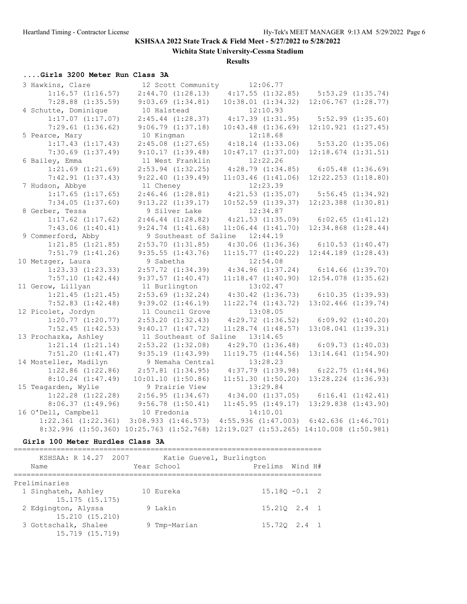**Wichita State University-Cessna Stadium**

**Results**

# **....Girls 3200 Meter Run Class 3A**

| 3 Hawkins, Clare        | 12 Scott Community                                                                 | 12:06.77                                  |                       |                         |
|-------------------------|------------------------------------------------------------------------------------|-------------------------------------------|-----------------------|-------------------------|
| $1:16.57$ $(1:16.57)$   | 2:44.70(1:28.13)                                                                   | $4:17.55$ $(1:32.85)$                     | $5:53.29$ $(1:35.74)$ |                         |
| $7:28.88$ $(1:35.59)$   | $9:03.69$ $(1:34.81)$                                                              | $10:38.01$ $(1:34.32)$                    |                       | $12:06.767$ $(1:28.77)$ |
| 4 Schutte, Dominique    | 10 Halstead                                                                        | 12:10.93                                  |                       |                         |
| $1:17.07$ $(1:17.07)$   | $2:45.44$ $(1:28.37)$                                                              | $4:17.39$ $(1:31.95)$                     |                       | $5:52.99$ $(1:35.60)$   |
| $7:29.61$ $(1:36.62)$   | 9:06.79(1:37.18)                                                                   | $10:43.48$ $(1:36.69)$                    |                       | $12:10.921$ $(1:27.45)$ |
| 5 Pearce, Mary          | 10 Kingman                                                                         | 12:18.68                                  |                       |                         |
| $1:17.43$ $(1:17.43)$   | $2:45.08$ $(1:27.65)$                                                              | $4:18.14$ $(1:33.06)$                     |                       | 5:53.20(1:35.06)        |
| $7:30.69$ $(1:37.49)$   | 9:10.17(1:39.48)                                                                   | 10:47.17(1:37.00)                         |                       | $12:18.674$ $(1:31.51)$ |
| 6 Bailey, Emma          | 11 West Franklin                                                                   | 12:22.26                                  |                       |                         |
| $1:21.69$ $(1:21.69)$   | $2:53.94$ $(1:32.25)$                                                              | 4:28.79(1:34.85)                          | $6:05.48$ $(1:36.69)$ |                         |
| $7:42.91$ $(1:37.43)$   | $9:22.40$ $(1:39.49)$                                                              | $11:03.46$ $(1:41.06)$                    |                       | $12:22.253$ $(1:18.80)$ |
| 7 Hudson, Abbye         | 11 Cheney                                                                          | 12:23.39                                  |                       |                         |
| $1:17.65$ $(1:17.65)$   | $2:46.46$ $(1:28.81)$                                                              | $4:21.53$ $(1:35.07)$                     |                       | $5:56.45$ $(1:34.92)$   |
| $7:34.05$ $(1:37.60)$   | $9:13.22$ $(1:39.17)$                                                              | $10:52.59$ $(1:39.37)$                    |                       | $12:23.388$ $(1:30.81)$ |
| 8 Gerber, Tessa         | 9 Silver Lake                                                                      | 12:34.87                                  |                       |                         |
| $1:17.62$ $(1:17.62)$   | $2:46.44$ $(1:28.82)$                                                              | $4:21.53$ $(1:35.09)$                     | $6:02.65$ $(1:41.12)$ |                         |
| 7:43.06(1:40.41)        | 9:24.74(1:41.68)                                                                   | $11:06.44$ $(1:41.70)$                    |                       | $12:34.868$ $(1:28.44)$ |
| 9 Commerford, Abby      | 9 Southeast of Saline 12:44.19                                                     |                                           |                       |                         |
| $1:21.85$ $(1:21.85)$   | $2:53.70$ $(1:31.85)$                                                              | $4:30.06$ $(1:36.36)$                     | 6:10.53(1:40.47)      |                         |
| $7:51.79$ $(1:41.26)$   | $9:35.55$ $(1:43.76)$                                                              | 11:15.77(1:40.22)                         |                       | $12:44.189$ $(1:28.43)$ |
| 10 Metzger, Laura       | 9 Sabetha                                                                          | 12:54.08                                  |                       |                         |
| $1:23.33$ $(1:23.33)$   | $2:57.72$ $(1:34.39)$                                                              | $4:34.96$ $(1:37.24)$ 6:14.66 $(1:39.70)$ |                       |                         |
| $7:57.10$ $(1:42.44)$   | 9:37.57(1:40.47)                                                                   | 11:18.47(1:40.90)                         |                       | $12:54.078$ $(1:35.62)$ |
| 11 Gerow, Lillyan       | 11 Burlington                                                                      | 13:02.47                                  |                       |                         |
| $1:21.45$ $(1:21.45)$   | $2:53.69$ $(1:32.24)$                                                              | $4:30.42$ $(1:36.73)$                     | 6:10.35(1:39.93)      |                         |
| $7:52.83$ $(1:42.48)$   | $9:39.02$ $(1:46.19)$                                                              | $11:22.74$ $(1:43.72)$                    |                       | $13:02.466$ $(1:39.74)$ |
| 12 Picolet, Jordyn      | 11 Council Grove                                                                   | 13:08.05                                  |                       |                         |
| $1:20.77$ $(1:20.77)$   | $2:53.20$ $(1:32.43)$                                                              | $4:29.72$ $(1:36.52)$                     | $6:09.92$ $(1:40.20)$ |                         |
| $7:52.45$ $(1:42.53)$   | 9:40.17(1:47.72)                                                                   | $11:28.74$ $(1:48.57)$                    |                       | $13:08.041$ $(1:39.31)$ |
| 13 Prochazka, Ashley    | 11 Southeast of Saline 13:14.65                                                    |                                           |                       |                         |
| $1:21.14$ $(1:21.14)$   | $2:53.22$ $(1:32.08)$                                                              | 4:29.70(1:36.48)                          | 6:09.73(1:40.03)      |                         |
| 7:51.20(1:41.47)        | $9:35.19$ $(1:43.99)$                                                              | 11:19.75(1:44.56)                         |                       | $13:14.641$ $(1:54.90)$ |
| 14 Mosteller, Madilyn   | 9 Nemaha Central                                                                   | 13:28.23                                  |                       |                         |
| $1:22.86$ $(1:22.86)$   | $2:57.81$ $(1:34.95)$                                                              | $4:37.79$ $(1:39.98)$                     |                       | $6:22.75$ $(1:44.96)$   |
| $8:10.24$ $(1:47.49)$   | $10:01.10$ $(1:50.86)$                                                             | $11:51.30$ $(1:50.20)$                    |                       | $13:28.224$ $(1:36.93)$ |
| 15 Teagarden, Wylie     | 9 Prairie View                                                                     | 13:29.84                                  |                       |                         |
| $1:22.28$ $(1:22.28)$   | 2:56.95(1:34.67)                                                                   | $4:34.00$ $(1:37.05)$ 6:16.41 $(1:42.41)$ |                       |                         |
| 8:06.37(1:49.96)        | 9:56.78(1:50.41)                                                                   | 11:45.95(1:49.17)                         |                       | $13:29.838$ $(1:43.90)$ |
| 16 O'Dell, Campbell     | 10 Fredonia                                                                        | 14:10.01                                  |                       |                         |
| $1:22.361$ $(1:22.361)$ | 3:08.933 (1:46.573) 4:55.936 (1:47.003) 6:42.636 (1:46.701)                        |                                           |                       |                         |
|                         | 8:32.996 (1:50.360) 10:25.763 (1:52.768) 12:19.027 (1:53.265) 14:10.008 (1:50.981) |                                           |                       |                         |

### **Girls 100 Meter Hurdles Class 3A**

| KSHSAA: R 14.27 2007<br>Name                           | Katie Guevel, Burlington<br>Year School | Prelims Wind H# |                  |
|--------------------------------------------------------|-----------------------------------------|-----------------|------------------|
| Preliminaries<br>1 Singhateh, Ashley<br>15.175(15.175) | 10 Eureka                               |                 | $15.180 - 0.1$ 2 |
| 2 Edgington, Alyssa<br>15.210 (15.210)                 | 9 Lakin                                 |                 | 15.210 2.4 1     |
| 3 Gottschalk, Shalee<br>15.719 (15.719)                | 9 Tmp-Marian                            |                 | 15.720 2.4 1     |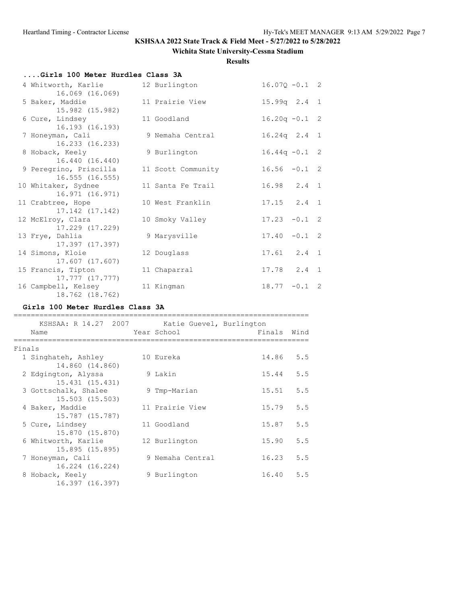## **Wichita State University-Cessna Stadium**

### **Results**

| Girls 100 Meter Hurdles Class 3A         |                    |                  |  |
|------------------------------------------|--------------------|------------------|--|
| 4 Whitworth, Karlie<br>16.069 (16.069)   | 12 Burlington      | $16.07Q - 0.1$ 2 |  |
| 5 Baker, Maddie<br>15.982 (15.982)       | 11 Prairie View    | $15.99q$ 2.4 1   |  |
| 6 Cure, Lindsey<br>16.193 (16.193)       | 11 Goodland        | $16.20q - 0.1$ 2 |  |
| 7 Honeyman, Cali<br>16.233 (16.233)      | 9 Nemaha Central   | $16.24q$ 2.4 1   |  |
| 8 Hoback, Keely<br>16.440 (16.440)       | 9 Burlington       | $16.44q - 0.1$ 2 |  |
| 9 Peregrino, Priscilla<br>16.555(16.555) | 11 Scott Community | $16.56 - 0.1$ 2  |  |
| 10 Whitaker, Sydnee<br>16.971 (16.971)   | 11 Santa Fe Trail  | 16.98 2.4 1      |  |
| 11 Crabtree, Hope<br>17.142 (17.142)     | 10 West Franklin   | $17.15$ $2.4$ 1  |  |
| 12 McElroy, Clara<br>17.229 (17.229)     | 10 Smoky Valley    | $17.23 - 0.1$ 2  |  |
| 13 Frye, Dahlia<br>17.397 (17.397)       | 9 Marysville       | $17.40 - 0.1$ 2  |  |
| 14 Simons, Kloie<br>17.607 (17.607)      | 12 Douglass        | $17.61$ $2.4$ 1  |  |
| 15 Francis, Tipton<br>17.777 (17.777)    | 11 Chaparral       | $17.78$ $2.4$ 1  |  |
| 16 Campbell, Kelsey<br>18.762 (18.762)   | 11 Kingman         | $18.77 - 0.1$ 2  |  |

## **Girls 100 Meter Hurdles Class 3A**

|        | KSHSAA: R 14.27 2007                    | Katie Guevel, Burlington |             |     |
|--------|-----------------------------------------|--------------------------|-------------|-----|
|        | Name                                    | Year School              | Finals Wind |     |
| Finals |                                         |                          |             |     |
|        | 1 Singhateh, Ashley<br>14.860 (14.860)  | 10 Eureka                | 14.86       | 5.5 |
|        | 2 Edgington, Alyssa<br>15.431 (15.431)  | 9 Lakin                  | 15.44       | 5.5 |
|        | 3 Gottschalk, Shalee<br>15.503 (15.503) | 9 Tmp-Marian             | 15.51       | 5.5 |
|        | 4 Baker, Maddie<br>15.787 (15.787)      | 11 Prairie View          | 15.79       | 5.5 |
|        | 5 Cure, Lindsey<br>15.870 (15.870)      | 11 Goodland              | 15.87       | 5.5 |
|        | 6 Whitworth, Karlie<br>15.895 (15.895)  | 12 Burlington            | 15.90       | 5.5 |
|        | 7 Honeyman, Cali<br>16.224 (16.224)     | 9 Nemaha Central         | 16.23       | 5.5 |
| 8      | Hoback, Keely<br>16.397 (16.397)        | 9 Burlington             | 16.40       | 5.5 |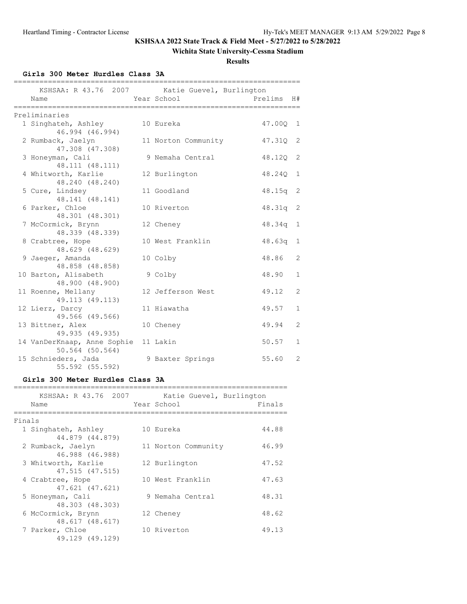### **Wichita State University-Cessna Stadium**

**Results**

**Girls 300 Meter Hurdles Class 3A**

| Name                                                    | KSHSAA: R 43.76 2007 Katie Guevel, Burlington<br>Year School | Prelims  | H#             |
|---------------------------------------------------------|--------------------------------------------------------------|----------|----------------|
| -------------------                                     | ===========================                                  |          |                |
| Preliminaries                                           |                                                              |          |                |
| 1 Singhateh, Ashley                                     | 10 Eureka                                                    | 47.00Q 1 |                |
| 46.994 (46.994)<br>2 Rumback, Jaelyn<br>47.308 (47.308) | 11 Norton Community                                          | 47.31Q   | 2              |
| 3 Honeyman, Cali<br>48.111 (48.111)                     | 9 Nemaha Central                                             | 48.120   | 2              |
| 4 Whitworth, Karlie<br>48.240 (48.240)                  | 12 Burlington                                                | 48.240   | $\mathbf{1}$   |
| 5 Cure, Lindsey<br>48.141 (48.141)                      | 11 Goodland                                                  | 48.15q   | 2              |
| 6 Parker, Chloe<br>48.301 (48.301)                      | 10 Riverton                                                  | 48.31q   | 2              |
| 7 McCormick, Brynn<br>48.339 (48.339)                   | 12 Cheney                                                    | 48.34q   | 1              |
| 8 Crabtree, Hope<br>48.629 (48.629)                     | 10 West Franklin                                             | 48.63q   | $\mathbf{1}$   |
| 9 Jaeger, Amanda<br>48.858 (48.858)                     | 10 Colby                                                     | 48.86    | 2              |
| 10 Barton, Alisabeth<br>48.900 (48.900)                 | 9 Colby                                                      | 48.90    | $\mathbf{1}$   |
| 11 Roenne, Mellany<br>49.113 (49.113)                   | 12 Jefferson West                                            | 49.12    | $\overline{2}$ |
| 12 Lierz, Darcy<br>49.566 (49.566)                      | 11 Hiawatha                                                  | 49.57    | $\mathbf{1}$   |
| 13 Bittner, Alex<br>49.935 (49.935)                     | 10 Cheney                                                    | 49.94    | $\overline{2}$ |
| 14 VanDerKnaap, Anne Sophie<br>$50.564$ (50.564)        | 11 Lakin                                                     | 50.57    | $\mathbf{1}$   |
| 15 Schnieders, Jada<br>55.592 (55.592)                  | 9 Baxter Springs                                             | 55.60    | 2              |

### **Girls 300 Meter Hurdles Class 3A**

|        | KSHSAA: R 43.76 2007<br>Name           | Katie Guevel, Burlington<br>Year School | Finals |
|--------|----------------------------------------|-----------------------------------------|--------|
| Finals |                                        |                                         |        |
|        | 1 Singhateh, Ashley<br>44.879 (44.879) | 10 Eureka                               | 44.88  |
|        | 2 Rumback, Jaelyn<br>46.988 (46.988)   | 11 Norton Community                     | 46.99  |
|        | 3 Whitworth, Karlie<br>47.515 (47.515) | 12 Burlington                           | 47.52  |
|        | 4 Crabtree, Hope<br>47.621 (47.621)    | 10 West Franklin                        | 47.63  |
|        | 5 Honeyman, Cali<br>48.303 (48.303)    | 9 Nemaha Central                        | 48.31  |
|        | 6 McCormick, Brynn<br>48.617 (48.617)  | 12 Cheney                               | 48.62  |
|        | 7 Parker, Chloe<br>49.129 (49.129)     | 10 Riverton                             | 49.13  |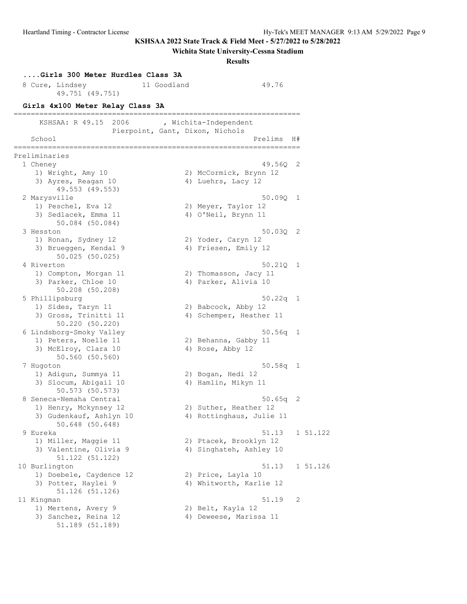51.189 (51.189)

### **KSHSAA 2022 State Track & Field Meet - 5/27/2022 to 5/28/2022**

#### **Wichita State University-Cessna Stadium**

**Results**

### **....Girls 300 Meter Hurdles Class 3A** 8 Cure, Lindsey 11 Goodland 49.76 49.751 (49.751) **Girls 4x100 Meter Relay Class 3A** =================================================================== KSHSAA: R 49.15 2006 , Wichita-Independent Pierpoint, Gant, Dixon, Nichols School and the set of the set of the set of the set of the set of the set of the set of the set of the set of the set of the set of the set of the set of the set of the set of the set of the set of the set of the set of th =================================================================== Preliminaries 1 Cheney 49.56Q 2 1) Wright, Amy 10 2) McCormick, Brynn 12 3) Ayres, Reagan 10 4) Luehrs, Lacy 12 49.553 (49.553) 2 Marysville 50.09Q 1 1) Peschel, Eva 12 2) Meyer, Taylor 12 3) Sedlacek, Emma 11 (4) O'Neil, Brynn 11 50.084 (50.084) 3 Hesston 50.03Q 2 1) Ronan, Sydney 12 2) Yoder, Caryn 12 3) Brueggen, Kendal 9  $\hskip 1.5 cm 4$ ) Friesen, Emily 12 50.025 (50.025) 4 Riverton 50.21Q 1 1) Compton, Morgan 11 2) Thomasson, Jacy 11 3) Parker, Chloe 10 (4) Parker, Alivia 10 50.208 (50.208) 5 Phillipsburg 50.22q 1 1) Sides, Taryn 11 120 2) Babcock, Abby 12 3) Gross, Trinitti 11 (4) Schemper, Heather 11 50.220 (50.220) 6 Lindsborg-Smoky Valley 50.56q 1 2) Behanna, Gabby 11<br>4) Rose, Abby 12 1) Peters, Noelle 11<br>3) McElroy, Clara 10 50.560 (50.560) 7 Hugoton 50.58q 1 1) Adigun, Summya 11 2) Bogan, Hedi 12 3) Slocum, Abigail 10 (4) Hamlin, Mikyn 11 50.573 (50.573) 8 Seneca-Nemaha Central 50.65q 2 1) Henry, Mckynsey 12 2) Suther, Heather 12 3) Gudenkauf, Ashlyn 10 4) Rottinghaus, Julie 11 50.648 (50.648) 9 Eureka 51.13 1 51.122 1) Miller, Maggie 11 2) Ptacek, Brooklyn 12 3) Valentine, Olivia 9 4) Singhateh, Ashley 10 51.122 (51.122) 10 Burlington 51.13 1 51.126 1) Doebele, Caydence 12 2) Price, Layla 10 3) Potter, Haylei 9 12 4) Whitworth, Karlie 12 51.126 (51.126) 11 Kingman 51.19 2 1) Mertens, Avery 9 2) Belt, Kayla 12 3) Sanchez, Reina 12 4) Deweese, Marissa 11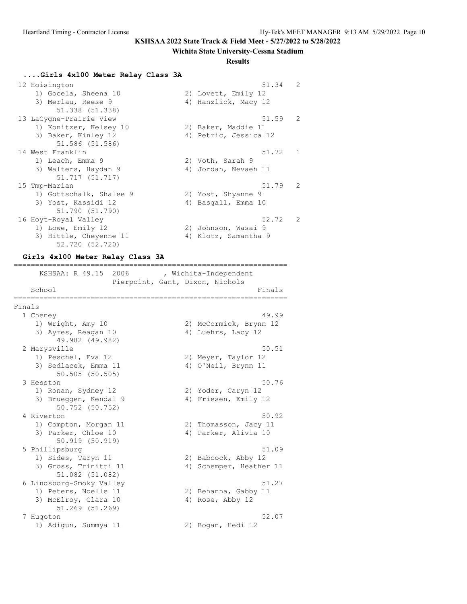#### **Wichita State University-Cessna Stadium**

#### **Results**

#### **....Girls 4x100 Meter Relay Class 3A**

| 12 Hoisington           | $\mathcal{L}$<br>51.34  |
|-------------------------|-------------------------|
| 1) Gocela, Sheena 10    | 2) Lovett, Emily 12     |
| 3) Merlau, Reese 9      | 4) Hanzlick, Macy 12    |
| 51.338 (51.338)         |                         |
| 13 LaCygne-Prairie View | $51.59$ 2               |
| 1) Konitzer, Kelsey 10  | 2) Baker, Maddie 11     |
| 3) Baker, Kinley 12     | 4) Petric, Jessica 12   |
| 51.586 (51.586)         |                         |
| 14 West Franklin        | 51.72 1                 |
| 1) Leach, Emma 9        | 2) Voth, Sarah 9        |
| 3) Walters, Haydan 9    | 4) Jordan, Nevaeh 11    |
| 51.717 (51.717)         |                         |
| 15 Tmp-Marian           | 51.79 2                 |
| 1) Gottschalk, Shalee 9 | 2) Yost, Shyanne 9      |
| 3) Yost, Kassidi 12     | 4) Basgall, Emma 10     |
| 51.790 (51.790)         |                         |
| 16 Hoyt-Royal Valley    | 52.72<br>$\overline{2}$ |
| 1) Lowe, Emily 12       | 2) Johnson, Wasai 9     |
| 3) Hittle, Cheyenne 11  | 4) Klotz, Samantha 9    |
| 52.720 (52.720)         |                         |
|                         |                         |

#### **Girls 4x100 Meter Relay Class 3A**

================================================================ KSHSAA: R 49.15 2006 , Wichita-Independent Pierpoint, Gant, Dixon, Nichols School Finals ================================================================ Finals 1 Cheney 49.99 1) Wright, Amy 10 2) McCormick, Brynn 12 3) Ayres, Reagan 10 4) Luehrs, Lacy 12 49.982 (49.982) 2 Marysville 50.51 1) Peschel, Eva 12 2) Meyer, Taylor 12 3) Sedlacek, Emma 11 (4) O'Neil, Brynn 11 50.505 (50.505) 3 Hesston 50.76 1) Ronan, Sydney 12 2) Yoder, Caryn 12 3) Brueggen, Kendal 9  $\hskip 1.5 cm 4$ ) Friesen, Emily 12 50.752 (50.752) 4 Riverton 50.92 1) Compton, Morgan 11 2) Thomasson, Jacy 11 3) Parker, Chloe 10 (4) Parker, Alivia 10 50.919 (50.919)<br>5 Phillipsburg 5 Phillipsburg 51.09 1) Sides, Taryn 11 120 2) Babcock, Abby 12 3) Gross, Trinitti 11 (4) Schemper, Heather 11 51.082 (51.082)<br>6 Lindsborg-Smoky Valley 51.27<br>2) Behanna, Gabby 11<br>4) Rose, Abby 12 1) Peters, Noelle 11 2) Behanna, Gabby 11 3) McElroy, Clara 10 4) Rose, Abby 12 51.269 (51.269) 7 Hugoton 52.07 1) Adigun, Summya 11 2) Bogan, Hedi 12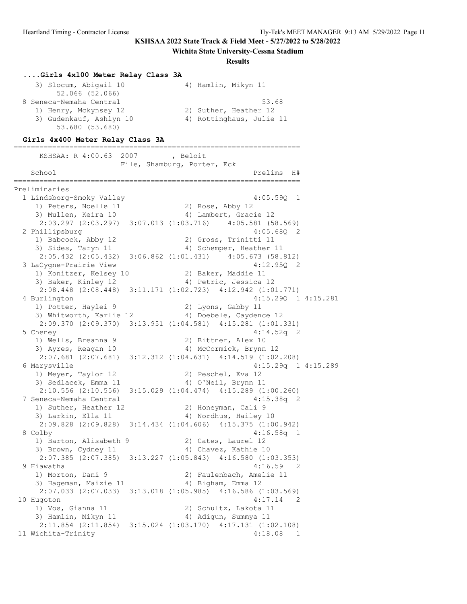#### **Wichita State University-Cessna Stadium**

#### **Results**

#### **....Girls 4x100 Meter Relay Class 3A**

| 3) Slocum, Abigail 10   | 4) Hamlin, Mikyn 11      |
|-------------------------|--------------------------|
| 52.066 (52.066)         |                          |
| 8 Seneca-Nemaha Central | 53.68                    |
| 1) Henry, Mckynsey 12   | 2) Suther, Heather 12    |
| 3) Gudenkauf, Ashlyn 10 | 4) Rottinghaus, Julie 11 |
| 53.680 (53.680)         |                          |

#### **Girls 4x400 Meter Relay Class 3A**

=================================================================== KSHSAA: R 4:00.63 2007 , Beloit File, Shamburg, Porter, Eck School and the contract of the contract of the contract of the contract of the contract of the contract of the contract of the contract of the contract of the contract of the contract of the contract of the contract of the =================================================================== Preliminaries 1 Lindsborg-Smoky Valley 4:05.59Q 1 1) Peters, Noelle 11 2) Rose, Abby 12 3) Mullen, Keira 10 4) Lambert, Gracie 12 2:03.297 (2:03.297) 3:07.013 (1:03.716) 4:05.581 (58.569) 2 Phillipsburg 4:05.68Q 2 1) Babcock, Abby 12 2) Gross, Trinitti 11 3) Sides, Taryn 11 4) Schemper, Heather 11 2:05.432 (2:05.432) 3:06.862 (1:01.431) 4:05.673 (58.812) 3 LaCygne-Prairie View 4:12.95Q 2 1) Konitzer, Kelsey 10 2) Baker, Maddie 11 3) Baker, Kinley 12 31 4) Petric, Jessica 12 2:08.448 (2:08.448) 3:11.171 (1:02.723) 4:12.942 (1:01.771) 4 Burlington 4:15.29Q 1 4:15.281<br>1) Potter, Haylei 9 2) Lyons, Gabby 11 1) Potter, Haylei 9 2) Lyons, Gabby 11 3) Whitworth, Karlie 12 4) Doebele, Caydence 12 2:09.370 (2:09.370) 3:13.951 (1:04.581) 4:15.281 (1:01.331) 5 Cheney 4:14.52q 2 1) Wells, Breanna 9 2) Bittner, Alex 10 3) Ayres, Reagan 10 4) McCormick, Brynn 12 2:07.681 (2:07.681) 3:12.312 (1:04.631) 4:14.519 (1:02.208) 6 Marysville 4:15.29q 1 4:15.289 1) Meyer, Taylor 12 2) Peschel, Eva 12 3) Sedlacek, Emma 11 (4) O'Neil, Brynn 11 2:10.556 (2:10.556) 3:15.029 (1:04.474) 4:15.289 (1:00.260) 7 Seneca-Nemaha Central 4:15.38q 2 1) Suther, Heather 12 (2) Honeyman, Cali 9 3) Larkin, Ella 11 4) Nordhus, Hailey 10 2:09.828 (2:09.828) 3:14.434 (1:04.606) 4:15.375 (1:00.942) 8 Colby 4:16.58q 1 1) Barton, Alisabeth 9 2) Cates, Laurel 12 3) Brown, Cydney 11 4) Chavez, Kathie 10 2:07.385 (2:07.385) 3:13.227 (1:05.843) 4:16.580 (1:03.353) 9 Hiawatha 4:16.59 2 1) Morton, Dani 9 2) Faulenbach, Amelie 11 3) Hageman, Maizie 11 (4) Bigham, Emma 12 2:07.033 (2:07.033) 3:13.018 (1:05.985) 4:16.586 (1:03.569) 10 Hugoton 4:17.14 2 1) Vos, Gianna 11 2) Schultz, Lakota 11 3) Hamlin, Mikyn 11 1988 (4) Adigun, Summya 11 2:11.854 (2:11.854) 3:15.024 (1:03.170) 4:17.131 (1:02.108) 11 Wichita-Trinity 4:18.08 1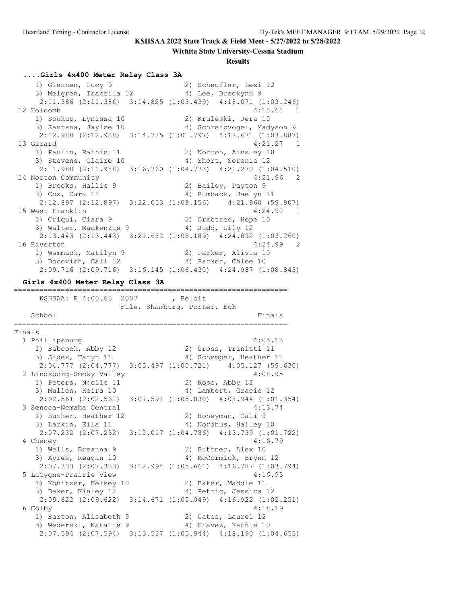#### **Wichita State University-Cessna Stadium**

#### **Results**

### **....Girls 4x400 Meter Relay Class 3A**

 1) Glennen, Lucy 9 2) Scheufler, Lexi 12 3) Melgren, Isabella 12 (4) Lee, Breckynn 9 2:11.386 (2:11.386) 3:14.825 (1:03.439) 4:18.071 (1:03.246) 12 Holcomb 4:18.68 1 1) Soukup, Lynissa 10 2) Kruleski, Jera 10 3) Santana, Jaylee 10 4) Schreibvogel, Madyson 9 2:12.988 (2:12.988) 3:14.785 (1:01.797) 4:18.671 (1:03.887) 13 Girard 4:21.27 1 1) Paulin, Rainie 11 2) Norton, Ainsley 10 3) Stevens, Claire 10 (4) Short, Serenia 12 2:11.988 (2:11.988) 3:16.760 (1:04.773) 4:21.270 (1:04.510) 14 Norton Community 4:21.96 2 1) Brooks, Hallie 9 2) Bailey, Payton 9 3) Cox, Cara 11 4) Rumback, Jaelyn 11 2:12.897 (2:12.897) 3:22.053 (1:09.156) 4:21.960 (59.907) 15 West Franklin 4:24.90 1 1) Criqui, Ciara 9 2) Crabtree, Hope 10 3) Walter, Mackenzie 9 4) Judd, Lily 12 2:13.443 (2:13.443) 3:21.632 (1:08.189) 4:24.892 (1:03.260) 16 Riverton 4:24.99 2 1) Wammack, Matilyn 9 2) Parker, Alivia 10 3) Bocovich, Cali 12 4) Parker, Chloe 10 2:09.716 (2:09.716) 3:16.145 (1:06.430) 4:24.987 (1:08.843)

================================================================

### **Girls 4x400 Meter Relay Class 3A**

 KSHSAA: R 4:00.63 2007 , Beloit File, Shamburg, Porter, Eck School Finals ================================================================ Finals 1 Phillipsburg 4:05.13 1) Babcock, Abby 12 2) Gross, Trinitti 11 3) Sides, Taryn 11 and 4) Schemper, Heather 11 2:04.777 (2:04.777) 3:05.497 (1:00.721) 4:05.127 (59.630) 2 Lindsborg-Smoky Valley 4:08.95 1) Peters, Noelle 11 2) Rose, Abby 12 3) Mullen, Keira 10 4) Lambert, Gracie 12 2:02.561 (2:02.561) 3:07.591 (1:05.030) 4:08.944 (1:01.354) 3 Seneca-Nemaha Central 4:13.74 1) Suther, Heather 12 (2) Honeyman, Cali 9 3) Larkin, Ella 11 4) Nordhus, Hailey 10 2:07.232 (2:07.232) 3:12.017 (1:04.786) 4:13.739 (1:01.722) 4 Cheney 4:16.79 1) Wells, Breanna 9 2) Bittner, Alex 10 3) Ayres, Reagan 10 4) McCormick, Brynn 12 2:07.333 (2:07.333) 3:12.994 (1:05.661) 4:16.787 (1:03.794) 5 LaCygne-Prairie View 4:16.93 1) Konitzer, Kelsey 10 2) Baker, Maddie 11 3) Baker, Kinley 12 31 4) Petric, Jessica 12 2:09.622 (2:09.622) 3:14.671 (1:05.049) 4:16.922 (1:02.251) 6 Colby 4:18.19 1) Barton, Alisabeth 9 2) Cates, Laurel 12 3) Wederski, Natalie 9 4) Chavez, Kathie 10 2:07.594 (2:07.594) 3:13.537 (1:05.944) 4:18.190 (1:04.653)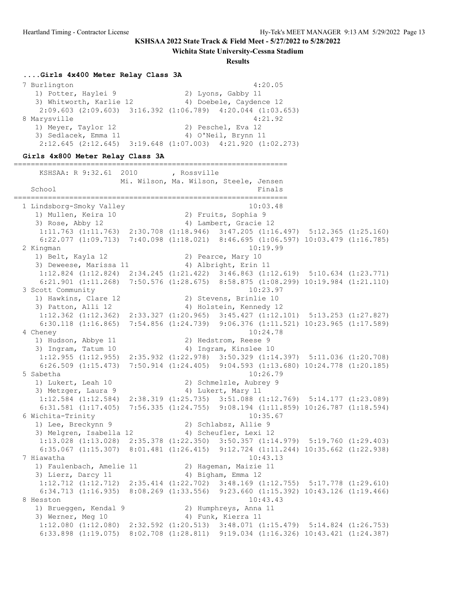**Wichita State University-Cessna Stadium**

**Results**

#### **....Girls 4x400 Meter Relay Class 3A**

 7 Burlington 4:20.05 1) Potter, Haylei 9 2) Lyons, Gabby 11 3) Whitworth, Karlie 12 4) Doebele, Caydence 12 2:09.603 (2:09.603) 3:16.392 (1:06.789) 4:20.044 (1:03.653) 8 Marysville 4:21.92 1) Meyer, Taylor 12 2) Peschel, Eva 12 3) Sedlacek, Emma 11 4) O'Neil, Brynn 11 2:12.645 (2:12.645) 3:19.648 (1:07.003) 4:21.920 (1:02.273)

#### **Girls 4x800 Meter Relay Class 3A**

================================================================ KSHSAA: R 9:32.61 2010 , Rossville Mi. Wilson, Ma. Wilson, Steele, Jensen School Finals ================================================================ 1 Lindsborg-Smoky Valley 10:03.48 1) Mullen, Keira 10 2) Fruits, Sophia 9 3) Rose, Abby 12 4) Lambert, Gracie 12 1:11.763 (1:11.763) 2:30.708 (1:18.946) 3:47.205 (1:16.497) 5:12.365 (1:25.160) 6:22.077 (1:09.713) 7:40.098 (1:18.021) 8:46.695 (1:06.597) 10:03.479 (1:16.785) 2 Kingman 10:19.99 1) Belt, Kayla 12 2) Pearce, Mary 10 3) Deweese, Marissa 11 4) Albright, Erin 11 1:12.824 (1:12.824) 2:34.245 (1:21.422) 3:46.863 (1:12.619) 5:10.634 (1:23.771) 6:21.901 (1:11.268) 7:50.576 (1:28.675) 8:58.875 (1:08.299) 10:19.984 (1:21.110) 3 Scott Community 10:23.97 1) Hawkins, Clare 12 2) Stevens, Brinlie 10 3) Patton, Alli 12 4) Holstein, Kennedy 12 1:12.362 (1:12.362) 2:33.327 (1:20.965) 3:45.427 (1:12.101) 5:13.253 (1:27.827) 6:30.118 (1:16.865) 7:54.856 (1:24.739) 9:06.376 (1:11.521) 10:23.965 (1:17.589) 4 Cheney 10:24.78 1) Hudson, Abbye 11 2) Hedstrom, Reese 9 3) Ingram, Tatum 10 4) Ingram, Kinslee 10 1:12.955 (1:12.955) 2:35.932 (1:22.978) 3:50.329 (1:14.397) 5:11.036 (1:20.708) 6:26.509 (1:15.473) 7:50.914 (1:24.405) 9:04.593 (1:13.680) 10:24.778 (1:20.185) 5 Sabetha 10:26.79 1) Lukert, Leah 10 2) Schmelzle, Aubrey 9 3) Metzger, Laura 9 (4) Lukert, Mary 11 1:12.584 (1:12.584) 2:38.319 (1:25.735) 3:51.088 (1:12.769) 5:14.177 (1:23.089) 6:31.581 (1:17.405) 7:56.335 (1:24.755) 9:08.194 (1:11.859) 10:26.787 (1:18.594) 6 Wichita-Trinity 10:35.67 1) Lee, Breckynn 9 2) Schlabsz, Allie 9 3) Melgren, Isabella 12 4) Scheufler, Lexi 12 1:13.028 (1:13.028) 2:35.378 (1:22.350) 3:50.357 (1:14.979) 5:19.760 (1:29.403) 6:35.067 (1:15.307) 8:01.481 (1:26.415) 9:12.724 (1:11.244) 10:35.662 (1:22.938) 7 Hiawatha 10:43.13 1) Faulenbach, Amelie 11 2) Hageman, Maizie 11 3) Lierz, Darcy 11 4) Bigham, Emma 12 1:12.712 (1:12.712) 2:35.414 (1:22.702) 3:48.169 (1:12.755) 5:17.778 (1:29.610) 6:34.713 (1:16.935) 8:08.269 (1:33.556) 9:23.660 (1:15.392) 10:43.126 (1:19.466) 8 Hesston 10:43.43 1) Brueggen, Kendal 9 2) Humphreys, Anna 11 3) Werner, Meg 10 4) Funk, Kierra 11 1:12.080 (1:12.080) 2:32.592 (1:20.513) 3:48.071 (1:15.479) 5:14.824 (1:26.753) 6:33.898 (1:19.075) 8:02.708 (1:28.811) 9:19.034 (1:16.326) 10:43.421 (1:24.387)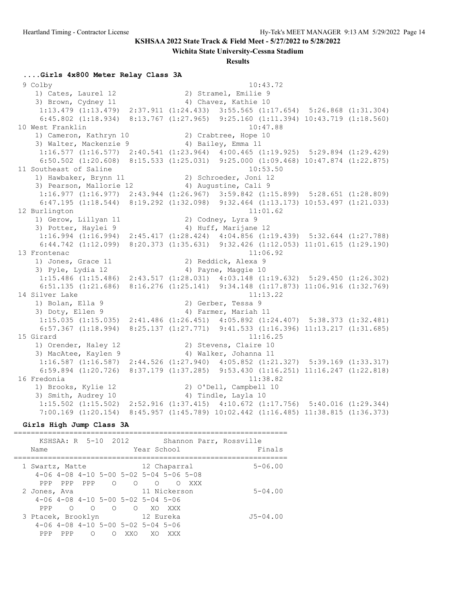**Wichita State University-Cessna Stadium**

#### **Results**

#### **....Girls 4x800 Meter Relay Class 3A**

 9 Colby 10:43.72 1) Cates, Laurel 12 2) Stramel, Emilie 9 3) Brown, Cydney 11 4) Chavez, Kathie 10 1:13.479 (1:13.479) 2:37.911 (1:24.433) 3:55.565 (1:17.654) 5:26.868 (1:31.304) 6:45.802 (1:18.934) 8:13.767 (1:27.965) 9:25.160 (1:11.394) 10:43.719 (1:18.560) 10 West Franklin 10:47.88 1) Cameron, Kathryn 10 2) Crabtree, Hope 10 3) Walter, Mackenzie 9 (4) Bailey, Emma 11 1:16.577 (1:16.577) 2:40.541 (1:23.964) 4:00.465 (1:19.925) 5:29.894 (1:29.429) 6:50.502 (1:20.608) 8:15.533 (1:25.031) 9:25.000 (1:09.468) 10:47.874 (1:22.875) 11 Southeast of Saline 10:53.50 1) Hawbaker, Brynn 11 2) Schroeder, Joni 12 3) Pearson, Mallorie 12 (4) Augustine, Cali 9 1:16.977 (1:16.977) 2:43.944 (1:26.967) 3:59.842 (1:15.899) 5:28.651 (1:28.809) 6:47.195 (1:18.544) 8:19.292 (1:32.098) 9:32.464 (1:13.173) 10:53.497 (1:21.033) 12 Burlington 11:01.62 1) Gerow, Lillyan 11 2) Codney, Lyra 9 3) Potter, Haylei 9 19 10 4) Huff, Marijane 12 1:16.994 (1:16.994) 2:45.417 (1:28.424) 4:04.856 (1:19.439) 5:32.644 (1:27.788) 6:44.742 (1:12.099) 8:20.373 (1:35.631) 9:32.426 (1:12.053) 11:01.615 (1:29.190) 13 Frontenac 11:06.92 1) Jones, Grace 11 2) Reddick, Alexa 9 3) Pyle, Lydia 12 (4) Payne, Maggie 10 1:15.486 (1:15.486) 2:43.517 (1:28.031) 4:03.148 (1:19.632) 5:29.450 (1:26.302) 6:51.135 (1:21.686) 8:16.276 (1:25.141) 9:34.148 (1:17.873) 11:06.916 (1:32.769) 14 Silver Lake 1) Bolan, Ella 9 2) Gerber, Tessa 9 3) Doty, Ellen 9 30 4) Farmer, Mariah 11 1:15.035 (1:15.035) 2:41.486 (1:26.451) 4:05.892 (1:24.407) 5:38.373 (1:32.481) 6:57.367 (1:18.994) 8:25.137 (1:27.771) 9:41.533 (1:16.396) 11:13.217 (1:31.685) 15 Girard 11:16.25 1) Orender, Haley 12 2) Stevens, Claire 10 3) MacAtee, Kaylen 9 4) Walker, Johanna 11 1:16.587 (1:16.587) 2:44.526 (1:27.940) 4:05.852 (1:21.327) 5:39.169 (1:33.317) 6:59.894 (1:20.726) 8:37.179 (1:37.285) 9:53.430 (1:16.251) 11:16.247 (1:22.818) 16 Fredonia 11:38.82 1) Brooks, Kylie 12 2) O'Dell, Campbell 10 3) Smith, Audrey 10 (4) Tindle, Layla 10 1:15.502 (1:15.502) 2:52.916 (1:37.415) 4:10.672 (1:17.756) 5:40.016 (1:29.344) 7:00.169 (1:20.154) 8:45.957 (1:45.789) 10:02.442 (1:16.485) 11:38.815 (1:36.373)

#### **Girls High Jump Class 3A**

================================================================

|                    |          |         | KSHSAA: R 5-10 2012                              |         |             |                                                         |     | Shannon Parr, Rossville |
|--------------------|----------|---------|--------------------------------------------------|---------|-------------|---------------------------------------------------------|-----|-------------------------|
| Name               |          |         |                                                  |         | Year School |                                                         |     | Finals                  |
|                    |          |         |                                                  |         |             |                                                         |     |                         |
| 1 Swartz, Matte    |          |         |                                                  |         |             | 12 Chaparral                                            |     | $5 - 06.00$             |
|                    |          |         |                                                  |         |             | $4-06$ $4-08$ $4-10$ $5-00$ $5-02$ $5-04$ $5-06$ $5-08$ |     |                         |
| PPP                |          | PPP PPP | $\circ$                                          | $\circ$ | ∩           | ∩                                                       | XXX |                         |
| 2 Jones, Ava       |          |         |                                                  |         |             | 11 Nickerson                                            |     | $5 - 04.00$             |
|                    |          |         | $4-06$ $4-08$ $4-10$ $5-00$ $5-02$ $5-04$ $5-06$ |         |             |                                                         |     |                         |
| PPP                | $\Omega$ | ∩       | $\Omega$                                         | $\circ$ | XO          | XXX                                                     |     |                         |
| 3 Ptacek, Brooklyn |          |         |                                                  |         | 12 Eureka   |                                                         |     | $J5 - 04.00$            |
|                    |          |         | $4-06$ $4-08$ $4-10$ $5-00$ $5-02$ $5-04$ $5-06$ |         |             |                                                         |     |                         |
| PPP                | PPP      | ∩       |                                                  | XXO     | XO          | XXX                                                     |     |                         |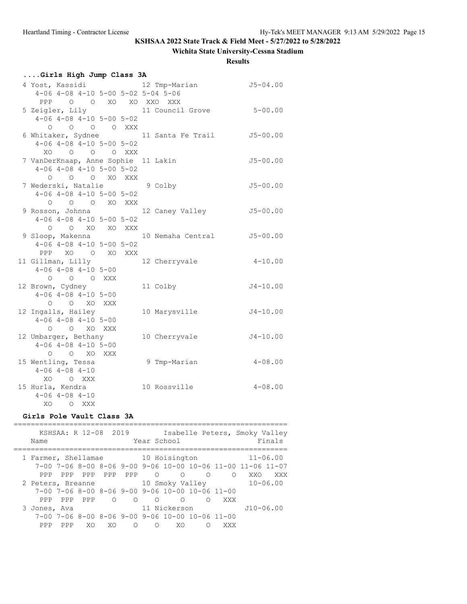## **Wichita State University-Cessna Stadium**

**Results**

| Girls High Jump Class 3A                         |                       |              |  |  |  |  |  |  |  |  |
|--------------------------------------------------|-----------------------|--------------|--|--|--|--|--|--|--|--|
| 4 Yost, Kassidi 12 Tmp-Marian 55-04.00           |                       |              |  |  |  |  |  |  |  |  |
| $4-06$ $4-08$ $4-10$ $5-00$ $5-02$ $5-04$ $5-06$ |                       |              |  |  |  |  |  |  |  |  |
| PPP 0 0 XO XO XXO XXX                            |                       |              |  |  |  |  |  |  |  |  |
| 5 Zeigler, Lily 11 Council Grove 5-00.00         |                       |              |  |  |  |  |  |  |  |  |
| $4-06$ $4-08$ $4-10$ $5-00$ $5-02$               |                       |              |  |  |  |  |  |  |  |  |
| 0 0 0 0 XXX                                      |                       |              |  |  |  |  |  |  |  |  |
| 6 Whitaker, Sydnee 11 Santa Fe Trail 55-00.00    |                       |              |  |  |  |  |  |  |  |  |
| $4-06$ $4-08$ $4-10$ $5-00$ $5-02$               |                       |              |  |  |  |  |  |  |  |  |
| XO O O O XXX                                     |                       |              |  |  |  |  |  |  |  |  |
| 7 VanDerKnaap, Anne Sophie 11 Lakin              |                       | $J5 - 00.00$ |  |  |  |  |  |  |  |  |
| $4-06$ $4-08$ $4-10$ $5-00$ $5-02$               |                       |              |  |  |  |  |  |  |  |  |
| O O O XO XXX                                     |                       |              |  |  |  |  |  |  |  |  |
| 7 Wederski, Natalie 9 Colby                      |                       | $J5 - 00.00$ |  |  |  |  |  |  |  |  |
| $4-06$ $4-08$ $4-10$ $5-00$ $5-02$               |                       |              |  |  |  |  |  |  |  |  |
| O O O XO XXX                                     |                       |              |  |  |  |  |  |  |  |  |
| 9 Rosson, Johnna                                 | 12 Caney Valley       | $J5 - 00.00$ |  |  |  |  |  |  |  |  |
| $4-06$ $4-08$ $4-10$ $5-00$ $5-02$               |                       |              |  |  |  |  |  |  |  |  |
| O O XO XO XXX                                    |                       |              |  |  |  |  |  |  |  |  |
| 9 Sloop, Makenna (10 Nemaha Central 5-00.00      |                       |              |  |  |  |  |  |  |  |  |
| $4-06$ $4-08$ $4-10$ $5-00$ $5-02$               |                       |              |  |  |  |  |  |  |  |  |
| PPP XO O XO XXX                                  |                       |              |  |  |  |  |  |  |  |  |
| 11 Gillman, Lilly                                | 12 Cherryvale 4-10.00 |              |  |  |  |  |  |  |  |  |
| $4-06$ $4-08$ $4-10$ $5-00$                      |                       |              |  |  |  |  |  |  |  |  |
| O O O XXX                                        |                       |              |  |  |  |  |  |  |  |  |
| 12 Brown, Cydney                                 | 11 Colby              | $J4 - 10.00$ |  |  |  |  |  |  |  |  |
| $4 - 06$ $4 - 08$ $4 - 10$ $5 - 00$              |                       |              |  |  |  |  |  |  |  |  |
| O O XO XXX                                       |                       |              |  |  |  |  |  |  |  |  |
| 12 Ingalls, Hailey                               | 10 Marysville         | $J4 - 10.00$ |  |  |  |  |  |  |  |  |
| $4-06$ $4-08$ $4-10$ $5-00$                      |                       |              |  |  |  |  |  |  |  |  |
| O O XO XXX                                       |                       |              |  |  |  |  |  |  |  |  |
| 12 Umbarger, Bethany                             | 10 Cherryvale         | $J4 - 10.00$ |  |  |  |  |  |  |  |  |
| $4-06$ $4-08$ $4-10$ $5-00$                      |                       |              |  |  |  |  |  |  |  |  |
| O O XO XXX                                       |                       |              |  |  |  |  |  |  |  |  |
| 15 Wentling, Tessa                               | 9 Tmp-Marian          | $4 - 08.00$  |  |  |  |  |  |  |  |  |
| $4 - 06$ $4 - 08$ $4 - 10$                       |                       |              |  |  |  |  |  |  |  |  |
| XO O XXX                                         |                       |              |  |  |  |  |  |  |  |  |
| 15 Hurla, Kendra                                 | 10 Rossville          | $4 - 08.00$  |  |  |  |  |  |  |  |  |
| $4 - 06$ $4 - 08$ $4 - 10$                       |                       |              |  |  |  |  |  |  |  |  |
| XO OXXX                                          |                       |              |  |  |  |  |  |  |  |  |

## **Girls Pole Vault Class 3A**

|  | Name                              |     |         | KSHSAA: R 12-08 2019 |          | Year School |                                                                   |   |            | Isabelle Peters, Smoky Valley                                                     | Finals       |
|--|-----------------------------------|-----|---------|----------------------|----------|-------------|-------------------------------------------------------------------|---|------------|-----------------------------------------------------------------------------------|--------------|
|  | 1 Farmer, Shellamae 10 Hoisington |     |         |                      |          |             |                                                                   |   |            |                                                                                   | $11 - 06.00$ |
|  |                                   |     |         |                      |          |             |                                                                   |   |            | $7-00$ $7-06$ $8-00$ $8-06$ $9-00$ $9-06$ $10-00$ $10-06$ $11-00$ $11-06$ $11-07$ |              |
|  | PPP.                              |     |         | PPP PPP PPP PPP      |          | $\circ$     | $\Omega$                                                          | ∩ | $\bigcirc$ | XXO                                                                               | XXX X        |
|  | 2 Peters, Breanne                 |     |         |                      |          |             | 10 Smoky Valley                                                   |   |            | $10 - 06.00$                                                                      |              |
|  |                                   |     |         |                      |          |             | $7-00$ $7-06$ $8-00$ $8-06$ $9-00$ $9-06$ $10-00$ $10-06$ $11-00$ |   |            |                                                                                   |              |
|  | PPP                               |     | PPP PPP | $\bigcirc$           | $\circ$  | $\Omega$    | ∩                                                                 | ∩ | XXX        |                                                                                   |              |
|  | 3 Jones, Ava                      |     |         |                      |          |             | 11 Nickerson                                                      |   |            | $J10 - 06.00$                                                                     |              |
|  |                                   |     |         |                      |          |             | $7-00$ $7-06$ $8-00$ $8-06$ $9-00$ $9-06$ $10-00$ $10-06$ $11-00$ |   |            |                                                                                   |              |
|  | PPP.                              | PPP | XO.     | XO.                  | $\Omega$ | $\bigcirc$  | XO.                                                               |   | XXX        |                                                                                   |              |
|  |                                   |     |         |                      |          |             |                                                                   |   |            |                                                                                   |              |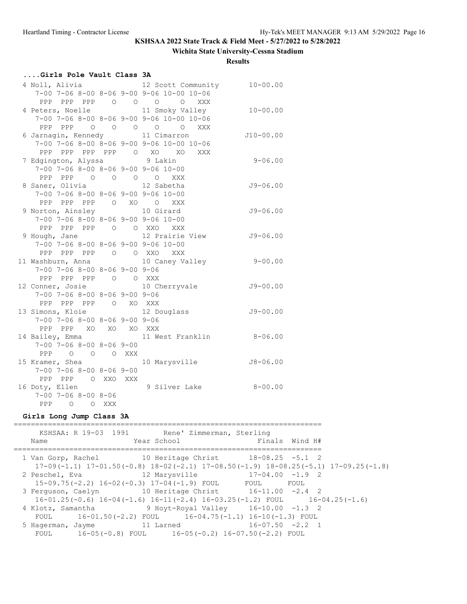#### **Wichita State University-Cessna Stadium**

**Results**

### **....Girls Pole Vault Class 3A**

|                                                   |  | 4 Noll, Alivia 12 Scott Community 10-00.00                |              |
|---------------------------------------------------|--|-----------------------------------------------------------|--------------|
|                                                   |  | 7-00 7-06 8-00 8-06 9-00 9-06 10-00 10-06                 |              |
|                                                   |  | PPP PPP PPP 0 0 0 0 XXX                                   |              |
|                                                   |  | 4 Peters, Noelle 11 Smoky Valley                          | $10 - 00.00$ |
|                                                   |  | $7-00$ $7-06$ $8-00$ $8-06$ $9-00$ $9-06$ $10-00$ $10-06$ |              |
|                                                   |  | PPP PPP 0 0 0 0 0 XXX                                     |              |
|                                                   |  | 6 Jarnagin, Kennedy 11 Cimarron                           | $J10-00.00$  |
|                                                   |  | 7-00 7-06 8-00 8-06 9-00 9-06 10-00 10-06                 |              |
|                                                   |  | PPP PPP PPP PPP 0 XO XO XXX                               |              |
| 7 Edgington, Alyssa 9 Lakin                       |  |                                                           | $9 - 06.00$  |
| 7-00 7-06 8-00 8-06 9-00 9-06 10-00               |  |                                                           |              |
| PPP PPP 0 0 0 0 XXX                               |  |                                                           |              |
| 8 Saner, Olivia 12 Sabetha                        |  |                                                           | $J9 - 06.00$ |
| $7-00$ $7-06$ $8-00$ $8-06$ $9-00$ $9-06$ $10-00$ |  |                                                           |              |
| PPP PPP PPP 0 XO 0 XXX                            |  |                                                           |              |
| 9 Norton, Ainsley 10 Girard                       |  |                                                           | $J9 - 06.00$ |
| $7-00$ $7-06$ $8-00$ $8-06$ $9-00$ $9-06$ $10-00$ |  |                                                           |              |
| PPP PPP PPP 0 0 XXO XXX                           |  |                                                           |              |
|                                                   |  | 9 Hough, Jane 12 Prairie View J9-06.00                    |              |
| $7-00$ $7-06$ $8-00$ $8-06$ $9-00$ $9-06$ $10-00$ |  |                                                           |              |
| PPP PPP PPP 0 0 XXO XXX                           |  |                                                           |              |
|                                                   |  | 11 Washburn, Anna 10 Caney Valley 9-00.00                 |              |
| $7-00$ $7-06$ $8-00$ $8-06$ $9-00$ $9-06$         |  |                                                           |              |
| PPP PPP PPP 0 0 XXX                               |  |                                                           |              |
| 12 Conner, Josie                                  |  | 10 Cherryvale                                             | $J9 - 00.00$ |
| $7-00$ $7-06$ $8-00$ $8-06$ $9-00$ $9-06$         |  |                                                           |              |
| PPP PPP PPP 0 XO XXX                              |  |                                                           |              |
| 13 Simons, Kloie                                  |  | 12 Douglass                                               | $J9 - 00.00$ |
| 7-00 7-06 8-00 8-06 9-00 9-06                     |  |                                                           |              |
| PPP PPP XO XO XO XXX                              |  |                                                           |              |
|                                                   |  | 14 Bailey, Emma 11 West Franklin 8-06.00                  |              |
| $7 - 00$ $7 - 06$ $8 - 00$ $8 - 06$ $9 - 00$      |  |                                                           |              |
| PPP 0 0 0 XXX                                     |  |                                                           |              |
|                                                   |  |                                                           |              |
| $7 - 00$ $7 - 06$ $8 - 00$ $8 - 06$ $9 - 00$      |  |                                                           |              |
| PPP PPP 0 XXO XXX                                 |  |                                                           |              |
| 16 Doty, Ellen                                    |  | 9 Silver Lake                                             | $8 - 00.00$  |
| 7-00 7-06 8-00 8-06                               |  |                                                           |              |
| PPP 0 0 XXX                                       |  |                                                           |              |

#### **Girls Long Jump Class 3A**

======================================================================== KSHSAA: R 19-03 1991 Rene' Zimmerman, Sterling Name  $Year School$  Finals Wind H# ======================================================================== 1 Van Gorp, Rachel 10 Heritage Christ 18-08.25 -5.1 2 17-09(-1.1) 17-01.50(-0.8) 18-02(-2.1) 17-08.50(-1.9) 18-08.25(-5.1) 17-09.25(-1.8) 2 Peschel, Eva 12 Marysville 17-04.00 -1.9 2 15-09.75(-2.2) 16-02(-0.3) 17-04(-1.9) FOUL FOUL FOUL 3 Ferguson, Caelyn 10 Heritage Christ 16-11.00 -2.4 2 16-01.25(-0.6) 16-04(-1.6) 16-11(-2.4) 16-03.25(-1.2) FOUL 16-04.25(-1.6) 4 Klotz, Samantha 9 Hoyt-Royal Valley 16-10.00 -1.3 2 FOUL 16-01.50(-2.2) FOUL 16-04.75(-1.1) 16-10(-1.3) FOUL 5 Hagerman, Jayme 11 Larned 16-07.50 -2.2 1 FOUL 16-05(-0.8) FOUL 16-05(-0.2) 16-07.50(-2.2) FOUL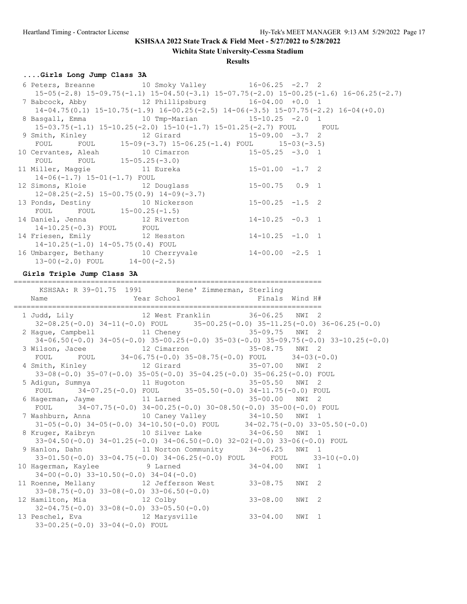**Wichita State University-Cessna Stadium**

### **Results**

## **....Girls Long Jump Class 3A**

| KSHSAA: R 39-01.75 1991 Rene' Zimmerman, Sterling<br>Name                                          | Year School <a> Finals Wind H#</a>                                                                 |  |  |
|----------------------------------------------------------------------------------------------------|----------------------------------------------------------------------------------------------------|--|--|
| Girls Triple Jump Class 3A                                                                         |                                                                                                    |  |  |
| $13-00(-2.0)$ FOUL $14-00(-2.5)$                                                                   |                                                                                                    |  |  |
| 16 Umbarger, Bethany 10 Cherryvale 14-00.00 -2.5 1                                                 |                                                                                                    |  |  |
| 14 Friesen, Emily 12 Hesston 14-10.25 -1.0 1<br>$14-10.25(-1.0)$ $14-05.75(0.4)$ FOUL              |                                                                                                    |  |  |
| $14-10.25(-0.3)$ FOUL FOUL                                                                         |                                                                                                    |  |  |
| 14 Daniel, Jenna 12 Riverton 14-10.25 -0.3 1                                                       |                                                                                                    |  |  |
|                                                                                                    |                                                                                                    |  |  |
| 13 Ponds, Destiny 10 Nickerson 15-00.25 -1.5 2<br>FOUL FOUL 15-00.25 (-1.5)                        |                                                                                                    |  |  |
|                                                                                                    | $12-08.25(-2.5)$ $15-00.75(0.9)$ $14-09(-3.7)$                                                     |  |  |
| 12 Simons, Kloie 12 Douglass 15-00.75 0.9 1                                                        |                                                                                                    |  |  |
| $14-06(-1.7)$ $15-01(-1.7)$ FOUL                                                                   |                                                                                                    |  |  |
| 11 Miller, Maggie 11 Eureka 15-01.00 -1.7 2                                                        |                                                                                                    |  |  |
| FOUL FOUL $15-05.25(-3.0)$                                                                         |                                                                                                    |  |  |
| 10 Cervantes, Aleah $10$ Cimarron $15-05.25$ -3.0 1                                                |                                                                                                    |  |  |
| 9 Smith, Kinley 12 Girard 15-09.00 -3.7 2<br>FOUL FOUL 15-09(-3.7) 15-06.25(-1.4) FOUL 15-03(-3.5) |                                                                                                    |  |  |
|                                                                                                    | 15-03.75(-1.1) 15-10.25(-2.0) 15-10(-1.7) 15-01.25(-2.7) FOUL FOUL                                 |  |  |
| 8 Basgall, Emma 10 Tmp-Marian 15-10.25 -2.0 1                                                      |                                                                                                    |  |  |
|                                                                                                    | $14-04.75(0.1)$ $15-10.75(-1.9)$ $16-00.25(-2.5)$ $14-06(-3.5)$ $15-07.75(-2.2)$ $16-04(+0.0)$     |  |  |
| 7 Babcock, Abby 12 Phillipsburg 16-04.00 +0.0 1                                                    |                                                                                                    |  |  |
|                                                                                                    | $15-05(-2.8)$ $15-09.75(-1.1)$ $15-04.50(-3.1)$ $15-07.75(-2.0)$ $15-00.25(-1.6)$ $16-06.25(-2.7)$ |  |  |
| 6 Peters, Breanne 10 Smoky Valley 16-06.25 -2.7 2                                                  |                                                                                                    |  |  |

| 1 Judd, Lily 12 West Franklin 36-06.25 NWI 2                                                               |  |
|------------------------------------------------------------------------------------------------------------|--|
| $32-08.25(-0.0)$ $34-11(-0.0)$ FOUL $35-00.25(-0.0)$ $35-11.25(-0.0)$ $36-06.25(-0.0)$                     |  |
| 2 Hague, Campbell 11 Cheney 35-09.75 NWI 2                                                                 |  |
| $34-06.50(-0.0)$ $34-05(-0.0)$ $35-00.25(-0.0)$ $35-03(-0.0)$ $35-09.75(-0.0)$ $33-10.25(-0.0)$            |  |
| 3 Wilson, Jacee 12 Cimarron 35-08.75 NWI 2<br>FOUL FOUL $34-06.75(-0.0) 35-08.75(-0.0)$ FOUL $34-03(-0.0)$ |  |
|                                                                                                            |  |
| $33-08(-0.0)$ $35-07(-0.0)$ $35-05(-0.0)$ $35-04.25(-0.0)$ $35-06.25(-0.0)$ FOUL                           |  |
| 5 Adigun, Summya               11 Hugoton                       35-05.50   NWI   2                         |  |
| FOUL 34-07.25(-0.0) FOUL 35-05.50(-0.0) 34-11.75(-0.0) FOUL                                                |  |
| 6 Hagerman, Jayme 11 Larned 35-00.00 NWI 2                                                                 |  |
| FOUL $34-07.75(-0.0)$ $34-00.25(-0.0)$ $30-08.50(-0.0)$ $35-00(-0.0)$ FOUL                                 |  |
| 7 Washburn, Anna $10$ Caney Valley $34-10.50$ NWI 1                                                        |  |
| $31-05(-0.0)$ $34-05(-0.0)$ $34-10.50(-0.0)$ FOUL $34-02.75(-0.0)$ $33-05.50(-0.0)$                        |  |
| 8 Kruger, Kaibryn 10 Silver Lake 34-06.50 NWI 1                                                            |  |
| 33-04.50(-0.0) 34-01.25(-0.0) 34-06.50(-0.0) 32-02(-0.0) 33-06(-0.0) FOUL                                  |  |
| 9 Hanlon, Dahn               11 Norton Community       34-06.25   NWI 1                                    |  |
| 33-01.50(-0.0) 33-04.75(-0.0) 34-06.25(-0.0) FOUL FOUL 33-10(-0.0)                                         |  |
| 10 Hagerman, Kaylee 34-04.00 NWI 1                                                                         |  |
| $34-00(-0.0)$ $33-10.50(-0.0)$ $34-04(-0.0)$                                                               |  |
| 11 Roenne, Mellany 12 Jefferson West 33-08.75 NWI 2                                                        |  |
| $33-08.75(-0.0)$ $33-08(-0.0)$ $33-06.50(-0.0)$                                                            |  |
| 12 Hamilton, Mia and 12 Colby 33-08.00<br>NWI 2                                                            |  |
| $32-04.75(-0.0)$ $33-08(-0.0)$ $33-05.50(-0.0)$                                                            |  |
| 13 Peschel, Eva                        12 Marysville                 33-04.00   NWI 1                      |  |
| $33-00.25(-0.0)$ $33-04(-0.0)$ FOUL                                                                        |  |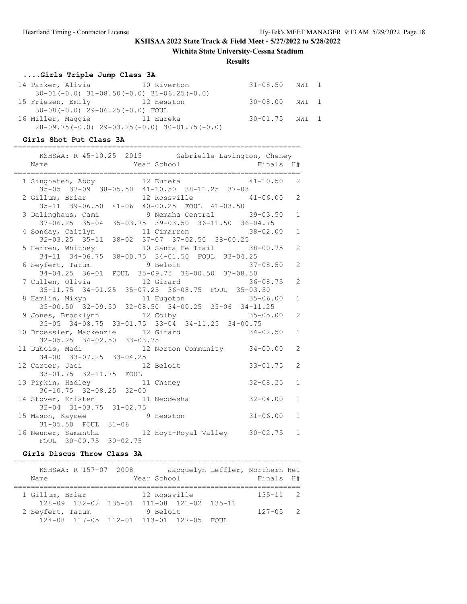**Wichita State University-Cessna Stadium**

#### **Results**

## **....Girls Triple Jump Class 3A**

| 14 Parker, Alivia                 | 10 Riverton                                        | 31-08.50 NWI 1 |  |
|-----------------------------------|----------------------------------------------------|----------------|--|
|                                   | $30-01(-0.0)$ $31-08.50(-0.0)$ $31-06.25(-0.0)$    |                |  |
| 15 Friesen, Emily 12 Hesston      |                                                    | 30-08.00 NWI 1 |  |
| $30-08(-0.0)$ 29-06.25(-0.0) FOUL |                                                    |                |  |
| 16 Miller, Maggie                 | 11 Eureka                                          | 30-01.75 NWI 1 |  |
|                                   | $28-09.75(-0.0)$ $29-03.25(-0.0)$ $30-01.75(-0.0)$ |                |  |

### **Girls Shot Put Class 3A**

===================================================================

| KSHSAA: R 45-10.25 2015 Gabrielle Lavington, Cheney                                                  |              |
|------------------------------------------------------------------------------------------------------|--------------|
|                                                                                                      |              |
|                                                                                                      |              |
| 1 Singhateh, Abby 12 Eureka 12 41-10.50 2                                                            |              |
| 35-05 37-09 38-05.50 41-10.50 38-11.25 37-03                                                         |              |
| 2 Gillum, Briar 12 Rossville 41-06.00 2                                                              |              |
| 35-11 39-06.50 41-06 40-00.25 FOUL 41-03.50                                                          |              |
|                                                                                                      |              |
| 3 Dalinghaus, Cami 9 Nemaha Central 39-03.50 1<br>37-06.25 35-04 35-03.75 39-03.50 36-11.50 36-04.75 |              |
|                                                                                                      | $\mathbf{1}$ |
| 4 Sonday, Caitlyn 11 Cimarron 38-02.00<br>32-03.25 35-11 38-02 37-07 37-02.50 38-00.25               |              |
| 5 Herren, Whitney 10 Santa Fe Trail 38-00.75                                                         | 2            |
| 34-11 34-06.75 38-00.75 34-01.50 FOUL 33-04.25                                                       |              |
|                                                                                                      | 2            |
| 6 Seyfert, Tatum 9 Beloit 37-08.50<br>34-04.25 36-01 FOUL 35-09.75 36-00.50 37-08.50                 |              |
| 7 Cullen, Olivia 12 Girard<br>$36 - 08.75$                                                           | 2            |
| 35-11.75 34-01.25 35-07.25 36-08.75 FOUL 35-03.50                                                    |              |
|                                                                                                      | $\mathbf{1}$ |
| 8 Hamlin, Mikyn 11 Hugoton 35-06.00<br>35-00.50 32-09.50 32-08.50 34-00.25 35-06 34-11.25            |              |
| 9 Jones, Brooklynn 12 Colby 35-05.00 2                                                               |              |
| $35-05$ $34-08.75$ $33-01.75$ $33-04$ $34-11.25$ $34-00.75$                                          |              |
| 10 Droessler, Mackenzie 12 Girard 34-02.50                                                           | $\mathbf{1}$ |
| 32-05.25 34-02.50 33-03.75                                                                           |              |
| 11 Dubois, Madi 12 Norton Community 34-00.00                                                         | 2            |
| 34-00 33-07.25 33-04.25                                                                              |              |
| $33 - 01.75$<br>12 Carter, Jaci and 12 Beloit                                                        | 2            |
| 33-01.75 32-11.75 FOUL                                                                               |              |
| $32 - 08.25$<br>13 Pipkin, Hadley 11 Cheney                                                          | $\mathbf{1}$ |
| $30-10.75$ $32-08.25$ $32-00$                                                                        |              |
| $32 - 04.00$<br>14 Stover, Kristen 11 Neodesha                                                       | $\mathbf{1}$ |
| $32-04$ $31-03.75$ $31-02.75$                                                                        |              |
| $31 - 06.00$                                                                                         | $\mathbf{1}$ |
| 15 Mason, Kaycee 9 Hesston<br>31-05.50 FOUL 31-06                                                    |              |
| 16 Neuner, Samantha<br>FOUL 30-00.75 30-02.75                                                        |              |
|                                                                                                      |              |

### **Girls Discus Throw Class 3A**

| Name             | KSHSAA: R 157-07 2008                                 | Year School  |  | Jacquelyn Leffler, Northern Hei<br>Finals H# |  |
|------------------|-------------------------------------------------------|--------------|--|----------------------------------------------|--|
| 1 Gillum, Briar  |                                                       | 12 Rossville |  | $135 - 11$ 2                                 |  |
|                  | $128-09$ $132-02$ $135-01$ $111-08$ $121-02$ $135-11$ |              |  |                                              |  |
| 2 Seyfert, Tatum |                                                       | 9 Beloit     |  | $127 - 05$ 2                                 |  |
|                  | 124-08 117-05 112-01 113-01 127-05 FOUL               |              |  |                                              |  |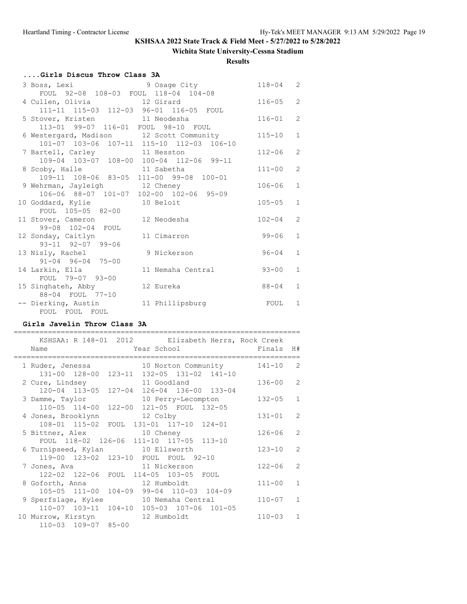### **Wichita State University-Cessna Stadium**

**Results**

# **....Girls Discus Throw Class 3A**

| 3 Boss, Lexi                             | 9 Osage City                              | $118 - 04$ | 2              |
|------------------------------------------|-------------------------------------------|------------|----------------|
| FOUL 92-08 108-03 FOUL 118-04 104-08     |                                           |            |                |
| 4 Cullen, Olivia 12 Girard               |                                           | $116 - 05$ | 2              |
| 111-11 115-03 112-03 96-01 116-05 FOUL   |                                           |            |                |
| 5 Stover, Kristen 11 Neodesha            |                                           | $116 - 01$ | $\overline{2}$ |
| 113-01 99-07 116-01 FOUL 98-10 FOUL      |                                           |            |                |
|                                          | 6 Westergard, Madison 12 Scott Community  | $115 - 10$ | $\mathbf{1}$   |
|                                          | 101-07 103-06 107-11 115-10 112-03 106-10 |            |                |
| 7 Bartell, Carley 11 Hesston             |                                           | $112 - 06$ | $\overline{2}$ |
| 109-04 103-07 108-00 100-04 112-06 99-11 |                                           |            |                |
| 8 Scoby, Halle 11 Sabetha                |                                           | $111 - 00$ | $\overline{2}$ |
| 109-11 108-06 83-05 111-00 99-08 100-01  |                                           |            |                |
| 9 Wehrman, Jayleigh 12 Cheney            |                                           | $106 - 06$ | $\mathbf{1}$   |
| 106-06 88-07 101-07 102-00 102-06 95-09  |                                           |            |                |
| 10 Goddard, Kylie                        | 10 Beloit                                 | $105 - 05$ | $\mathbf{1}$   |
| FOUL 105-05 82-00                        |                                           |            |                |
| 11 Stover, Cameron                       | 12 Neodesha                               | $102 - 04$ | $\overline{2}$ |
| 99-08 102-04 FOUL                        |                                           |            |                |
| 12 Sonday, Caitlyn                       | 11 Cimarron                               | $99 - 06$  | $\mathbf{1}$   |
| $93 - 11$ $92 - 07$ $99 - 06$            |                                           |            |                |
| 13 Nisly, Rachel                         | 9 Nickerson                               | $96 - 04$  | $\mathbf{1}$   |
| $91 - 04$ $96 - 04$ $75 - 00$            |                                           |            |                |
| 14 Larkin, Ella                          | 11 Nemaha Central                         | $93 - 00$  | $\mathbf{1}$   |
| FOUL 79-07 93-00                         |                                           |            |                |
| 15 Singhateh, Abby                       | 12 Eureka                                 | $88 - 04$  | $\mathbf{1}$   |
| 88-04 FOUL 77-10                         |                                           |            |                |
| -- Dierking, Austin                      | 11 Phillipsburg                           | FOUL       | $\mathbf{1}$   |
| FOUL FOUL FOUL                           |                                           |            |                |

#### **Girls Javelin Throw Class 3A**

|                                       |           | KSHSAA: R 148-01 2012 Elizabeth Herrs, Rock Creek                                                              |            |               |
|---------------------------------------|-----------|----------------------------------------------------------------------------------------------------------------|------------|---------------|
| Name                                  |           | rear School and the Mean School and the School and the School and the School and the School and the School and | Finals     | H#            |
|                                       |           |                                                                                                                |            |               |
|                                       |           | 1 Ruder, Jenessa 10 Norton Community                                                                           | $141 - 10$ | $\mathcal{L}$ |
|                                       |           | 131-00 128-00 123-11 132-05 131-02 141-10                                                                      |            |               |
| 2 Cure, Lindsey                       |           | 11 Goodland                                                                                                    | $136 - 00$ | $\mathcal{L}$ |
|                                       |           | 120-04 113-05 127-04 126-04 136-00 133-04                                                                      |            |               |
| 3 Damme, Taylor                       |           | 10 Perry-Lecompton                                                                                             | $132 - 05$ | $\mathbf{1}$  |
|                                       |           | 110-05 114-00 122-00 121-05 FOUL 132-05                                                                        |            |               |
| 4 Jones, Brooklynn                    | 12 Colby  |                                                                                                                | $131 - 01$ | $\mathcal{L}$ |
|                                       |           | 108-01 115-02 FOUL 131-01 117-10 124-01                                                                        |            |               |
| 5 Bittner, Alex                       | 10 Cheney |                                                                                                                | $126 - 06$ | $\mathcal{L}$ |
|                                       |           | FOUL 118-02 126-06 111-10 117-05 113-10                                                                        |            |               |
| 6 Turnipseed, Kylan 10 Ellsworth      |           |                                                                                                                | $123 - 10$ | $\mathcal{L}$ |
|                                       |           | 119-00 123-02 123-10 FOUL FOUL 92-10                                                                           |            |               |
| 7 Jones, Ava                          |           | 11 Nickerson                                                                                                   | $122 - 06$ | $\mathcal{L}$ |
| 122-02 122-06 FOUL 114-05 103-05      |           | FOUL                                                                                                           |            |               |
| 8 Goforth, Anna                       |           | 12 Humboldt                                                                                                    | $111 - 00$ | $\mathbf{1}$  |
| $105 - 05$ $111 - 00$                 |           | 104-09 99-04 110-03 104-09                                                                                     |            |               |
| 9 Sperfslage, Kylee 10 Nemaha Central |           |                                                                                                                | $110 - 07$ | $\mathbf{1}$  |
|                                       |           | 110-07 103-11 104-10 105-03 107-06 101-05                                                                      |            |               |
| 10 Murrow, Kirstyn 12 Humboldt        |           |                                                                                                                | $110 - 03$ | $\mathbf{1}$  |
| 110-03 109-07 85-00                   |           |                                                                                                                |            |               |
|                                       |           |                                                                                                                |            |               |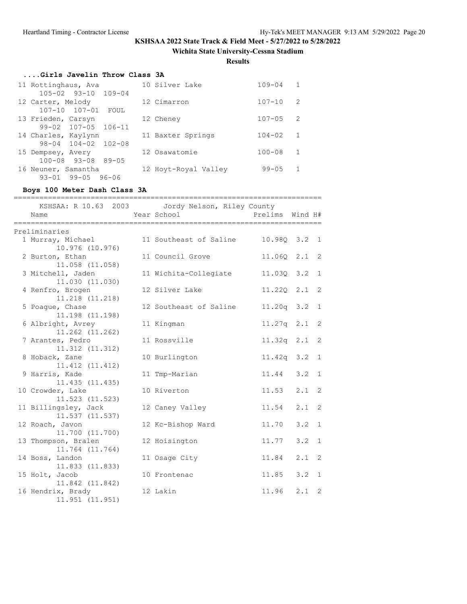**Wichita State University-Cessna Stadium**

**Results**

## **....Girls Javelin Throw Class 3A**

| 11 Rottinghaus, Ava             | 10 Silver Lake       | $109 - 04$ | 1            |
|---------------------------------|----------------------|------------|--------------|
| 105-02 93-10 109-04             |                      |            |              |
| 12 Carter, Melody               | 12 Cimarron          | $107 - 10$ | -2           |
| 107-10 107-01 FOUL              |                      |            |              |
| 13 Frieden, Carsyn              | 12 Cheney            | $107 - 05$ | 2            |
| $99 - 02$ $107 - 05$ $106 - 11$ |                      |            |              |
| 14 Charles, Kaylynn             | 11 Baxter Springs    | $104 - 02$ | 1            |
| 98-04 104-02 102-08             |                      |            |              |
| 15 Dempsey, Avery               | 12 Osawatomie        | $100 - 08$ | $\mathbf{1}$ |
| $100 - 08$ 93-08 89-05          |                      |            |              |
| 16 Neuner, Samantha             | 12 Hoyt-Royal Valley | $99 - 05$  | -1           |
| $99 - 05$<br>$93 - 01$<br>96-06 |                      |            |              |

### **Boys 100 Meter Dash Class 3A**

| ====== | Name                                        | KSHSAA: R 10.63 2003 Jordy Nelson, Riley County<br>Year School | Prelims Wind H#  |               |              |
|--------|---------------------------------------------|----------------------------------------------------------------|------------------|---------------|--------------|
|        | Preliminaries                               |                                                                |                  |               |              |
|        | 1 Murray, Michael<br>10.976 (10.976)        | 11 Southeast of Saline                                         | 10.98Q 3.2 1     |               |              |
|        | 2 Burton, Ethan<br>11.058 (11.058)          | 11 Council Grove                                               | 11.060 2.1 2     |               |              |
|        | 3 Mitchell, Jaden<br>11.030 (11.030)        | 11 Wichita-Collegiate                                          | 11.03Q 3.2 1     |               |              |
|        | 4 Renfro, Brogen<br>11.218 (11.218)         | 12 Silver Lake                                                 | $11.220$ $2.1$ 2 |               |              |
|        | 5 Poague, Chase<br>11.198 (11.198)          | 12 Southeast of Saline                                         | 11.20q 3.2 1     |               |              |
|        | 6 Albright, Avrey<br>11.262 (11.262)        | 11 Kingman                                                     | $11.27q$ 2.1     |               | 2            |
|        | 7 Arantes, Pedro<br>$11.312$ $(11.312)$     | 11 Rossville                                                   | $11.32q$ 2.1 2   |               |              |
|        | 8 Hoback, Zane<br>11.412 (11.412)           | 10 Burlington                                                  | $11.42q$ $3.2$   |               | 1            |
|        | 9 Harris, Kade<br>11.435 (11.435)           | 11 Tmp-Marian                                                  | $11.44$ $3.2$ 1  |               |              |
|        | 10 Crowder, Lake<br>11.523 (11.523)         | 10 Riverton                                                    | 11.53            | $2.1 \quad 2$ |              |
|        | 11 Billingsley, Jack<br>$11.537$ $(11.537)$ | 12 Caney Valley                                                | 11.54            | $2.1 \quad 2$ |              |
|        | 12 Roach, Javon<br>11.700 (11.700)          | 12 Kc-Bishop Ward                                              | 11.70            | 3.2           | 1            |
|        | 13 Thompson, Bralen<br>11.764 (11.764)      | 12 Hoisington                                                  | 11.77            | 3.2           | $\mathbf{1}$ |
|        | 14 Boss, Landon<br>11.833 (11.833)          | 11 Osage City                                                  | 11.84            | 2.1           | 2            |
|        | 15 Holt, Jacob<br>11.842 (11.842)           | 10 Frontenac                                                   | 11.85            | 3.2           | 1            |
|        | 16 Hendrix, Brady<br>11.951 (11.951)        | 12 Lakin                                                       | 11.96            | 2.1           | 2            |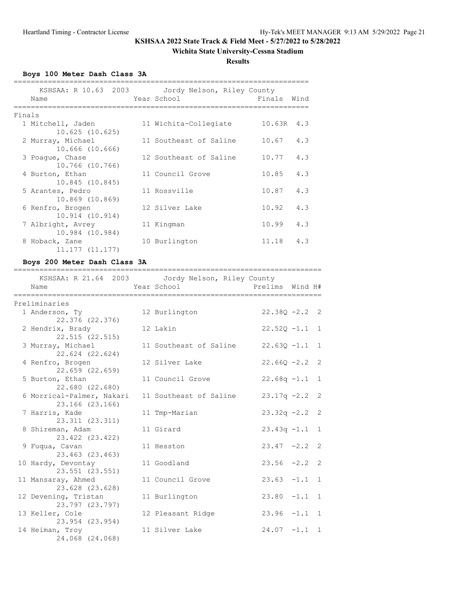### **Wichita State University-Cessna Stadium**

**Results**

**Boys 100 Meter Dash Class 3A**

|        | Name                | KSHSAA: R 10.63 2003 Jordy Nelson, Riley County<br>Year School | Finals       | Wind |
|--------|---------------------|----------------------------------------------------------------|--------------|------|
| Finals |                     |                                                                |              |      |
|        | 1 Mitchell, Jaden   | 11 Wichita-Collegiate                                          | $10.63R$ 4.3 |      |
|        | $10.625$ $(10.625)$ |                                                                |              |      |
|        | 2 Murray, Michael   | 11 Southeast of Saline                                         | 10.67        | 4.3  |
|        | 10.666 (10.666)     |                                                                |              |      |
|        | 3 Poaque, Chase     | 12 Southeast of Saline                                         | 10.77        | 4.3  |
|        | 10.766 (10.766)     |                                                                |              |      |
|        | 4 Burton, Ethan     | 11 Council Grove                                               | 10.85        | 4.3  |
|        | 10.845 (10.845)     |                                                                |              |      |
|        | 5 Arantes, Pedro    | 11 Rossville                                                   | 10.87        | 4.3  |
|        | 10.869 (10.869)     |                                                                |              |      |
|        | 6 Renfro, Brogen    | 12 Silver Lake                                                 | 10.92        | 4.3  |
|        | 10.914 (10.914)     |                                                                |              |      |
|        | 7 Albright, Avrey   | 11 Kingman                                                     | 10.99        | 4.3  |
|        | 10.984 (10.984)     |                                                                |              |      |
|        | 8 Hoback, Zane      | 10 Burlington                                                  | 11.18        | 4.3  |
|        | 11.177 (11.177)     |                                                                |              |      |

### **Boys 200 Meter Dash Class 3A**

| Name                      | KSHSAA: R 21.64 2003 Jordy Nelson, Riley County<br>Year School | Prelims Wind H#  |  |
|---------------------------|----------------------------------------------------------------|------------------|--|
|                           |                                                                |                  |  |
| Preliminaries             |                                                                |                  |  |
| 1 Anderson, Ty            | 12 Burlington                                                  | $22.380 - 2.2$ 2 |  |
| 22.376 (22.376)           |                                                                |                  |  |
| 2 Hendrix, Brady          | 12 Lakin                                                       | $22.520 - 1.1$ 1 |  |
| 22.515 (22.515)           |                                                                |                  |  |
| 3 Murray, Michael         | 11 Southeast of Saline                                         | $22.630 -1.1$ 1  |  |
| 22.624 (22.624)           |                                                                |                  |  |
| 4 Renfro, Brogen          | 12 Silver Lake                                                 | $22.66Q - 2.2$ 2 |  |
| 22.659 (22.659)           |                                                                |                  |  |
| 5 Burton, Ethan           | 11 Council Grove                                               | $22.68q -1.1$ 1  |  |
| 22.680 (22.680)           |                                                                |                  |  |
| 6 Morrical-Palmer, Nakari | 11 Southeast of Saline                                         | $23.17q - 2.2$ 2 |  |
| 23.166 (23.166)           |                                                                |                  |  |
| 7 Harris, Kade            | 11 Tmp-Marian                                                  | $23.32q -2.2$ 2  |  |
| 23.311 (23.311)           |                                                                |                  |  |
| 8 Shireman, Adam          | 11 Girard                                                      | $23.43q -1.1$ 1  |  |
| 23.422 (23.422)           |                                                                |                  |  |
| 9 Fuqua, Cavan            | 11 Hesston                                                     | $23.47 -2.2$ 2   |  |
| 23.463 (23.463)           |                                                                |                  |  |
| 10 Hardy, Devontay        | 11 Goodland                                                    | $23.56 -2.2$ 2   |  |
| 23.551 (23.551)           |                                                                |                  |  |
| 11 Mansaray, Ahmed        | 11 Council Grove                                               | $23.63 -1.1 1$   |  |
| 23.628 (23.628)           |                                                                |                  |  |
| 12 Devening, Tristan      | 11 Burlington                                                  | $23.80 -1.1 1$   |  |
| 23.797 (23.797)           |                                                                |                  |  |
| 13 Keller, Cole           | 12 Pleasant Ridge                                              | $23.96 -1.1 1$   |  |
| 23.954 (23.954)           |                                                                |                  |  |
| 14 Heiman, Troy           | 11 Silver Lake                                                 | $24.07 -1.1 1$   |  |
| 24.068 (24.068)           |                                                                |                  |  |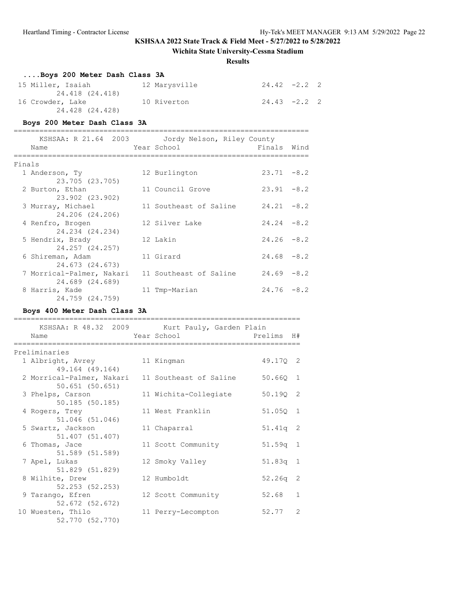### **Wichita State University-Cessna Stadium**

### **Results**

| Boys 200 Meter Dash Class 3A        |               |                 |  |
|-------------------------------------|---------------|-----------------|--|
| 15 Miller, Isaiah                   | 12 Marysville | $24.42 -2.2$ 2  |  |
| 24.418 (24.418)<br>16 Crowder, Lake | 10 Riverton   | $24.43 - 2.2$ 2 |  |
| 24.428 (24.428)                     |               |                 |  |

#### **Boys 200 Meter Dash Class 3A**

|        | KSHSAA: R 21.64 2003<br>Name | Jordy Nelson, Riley County<br>Year School | Finals Wind   |        |
|--------|------------------------------|-------------------------------------------|---------------|--------|
|        |                              |                                           |               |        |
| Finals |                              |                                           |               |        |
|        | 1 Anderson, Ty               | 12 Burlington                             | $23.71 - 8.2$ |        |
|        | 23.705 (23.705)              |                                           |               |        |
|        | 2 Burton, Ethan              | 11 Council Grove                          | $23.91 - 8.2$ |        |
|        | 23.902 (23.902)              |                                           |               |        |
|        | 3 Murray, Michael            | 11 Southeast of Saline                    | $24.21 - 8.2$ |        |
|        | 24.206 (24.206)              |                                           |               |        |
|        | 4 Renfro, Brogen             | 12 Silver Lake                            | $24.24 - 8.2$ |        |
|        | 24.234 (24.234)              |                                           |               |        |
|        | 5 Hendrix, Brady             | 12 Lakin                                  | $24.26 - 8.2$ |        |
|        | 24.257 (24.257)              |                                           |               |        |
|        | 6 Shireman, Adam             | 11 Girard                                 | $24.68 - 8.2$ |        |
|        | 24.673 (24.673)              |                                           |               |        |
|        | 7 Morrical-Palmer, Nakari    | 11 Southeast of Saline                    | 24.69         | $-8.2$ |
|        | 24.689 (24.689)              |                                           |               |        |
|        | 8 Harris, Kade               | 11 Tmp-Marian                             | $24.76 - 8.2$ |        |
|        | 24.759 (24.759)              |                                           |               |        |

## **Boys 400 Meter Dash Class 3A**

| KSHSAA: R 48.32 2009 Kurt Pauly, Garden Plain                           |                       |            |               |
|-------------------------------------------------------------------------|-----------------------|------------|---------------|
| Name<br>:========                                                       | Year School           | Prelims H# |               |
| Preliminaries                                                           |                       |            |               |
| 1 Albright, Avrey<br>49.164 (49.164)                                    | 11 Kingman            | 49.170 2   |               |
| 2 Morrical-Palmer, Nakari 11 Southeast of Saline<br>$50.651$ $(50.651)$ |                       | 50.660 1   |               |
| 3 Phelps, Carson<br>50.185(50.185)                                      | 11 Wichita-Collegiate | 50.190 2   |               |
| 4 Rogers, Trey<br>51.046 (51.046)                                       | 11 West Franklin      | 51.050 1   |               |
| 5 Swartz, Jackson<br>51.407 (51.407)                                    | 11 Chaparral          | $51.41q$ 2 |               |
| 6 Thomas, Jace<br>51.589 (51.589)                                       | 11 Scott Community    | $51.59q$ 1 |               |
| 7 Apel, Lukas<br>51.829 (51.829)                                        | 12 Smoky Valley       | $51.83q$ 1 |               |
| 8 Wilhite, Drew<br>52.253 (52.253)                                      | 12 Humboldt           | $52.26q$ 2 |               |
| 9 Tarango, Efren<br>52.672 (52.672)                                     | 12 Scott Community    | 52.68      | $\mathbf{1}$  |
| 10 Wuesten, Thilo<br>52.770 (52.770)                                    | 11 Perry-Lecompton    | 52.77      | $\mathcal{L}$ |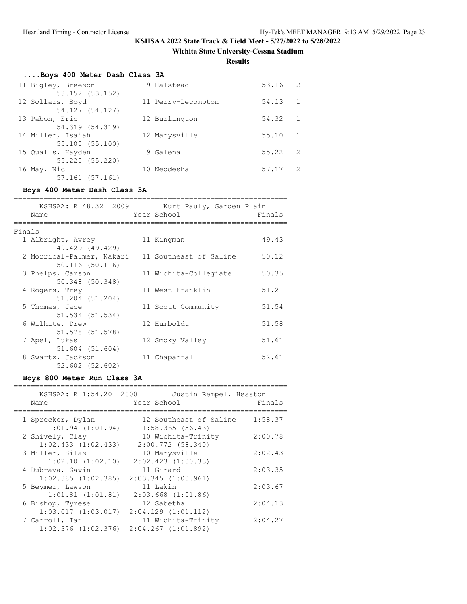### **Wichita State University-Cessna Stadium**

**Results**

| Boys 400 Meter Dash Class 3A          |                    |       |                |
|---------------------------------------|--------------------|-------|----------------|
| 11 Bigley, Breeson<br>53.152 (53.152) | 9 Halstead         | 53.16 | $\overline{2}$ |
| 12 Sollars, Boyd<br>54.127 (54.127)   | 11 Perry-Lecompton | 54.13 | 1              |
| 13 Pabon, Eric<br>54.319 (54.319)     | 12 Burlington      | 54.32 | $\mathbf{1}$   |
| 14 Miller, Isaiah<br>55.100 (55.100)  | 12 Marysville      | 55.10 | 1              |
| 15 Qualls, Hayden<br>55.220 (55.220)  | 9 Galena           | 55.22 | -2             |
| 16 May, Nic<br>57.161 (57.161)        | 10 Neodesha        | 57.17 | 2              |

### **Boys 400 Meter Dash Class 3A**

|        | KSHSAA: R 48.32 2009 Kurt Pauly, Garden Plain<br>Name | Year School            | Finals |
|--------|-------------------------------------------------------|------------------------|--------|
| Finals |                                                       |                        |        |
|        | 1 Albright, Avrey<br>49.429 (49.429)                  | 11 Kingman             | 49.43  |
|        | 2 Morrical-Palmer, Nakari<br>50.116 (50.116)          | 11 Southeast of Saline | 50.12  |
|        | 3 Phelps, Carson<br>50.348 (50.348)                   | 11 Wichita-Collegiate  | 50.35  |
|        | 4 Rogers, Trey<br>51.204 (51.204)                     | 11 West Franklin       | 51.21  |
|        | 5 Thomas, Jace<br>51.534 (51.534)                     | 11 Scott Community     | 51.54  |
|        | 6 Wilhite, Drew<br>51.578 (51.578)                    | 12 Humboldt            | 51.58  |
|        | 7 Apel, Lukas<br>51.604 (51.604)                      | 12 Smoky Valley        | 51.61  |
|        | 8 Swartz, Jackson<br>52.602 (52.602)                  | 11 Chaparral           | 52.61  |

### **Boys 800 Meter Run Class 3A**

| KSHSAA: R 1:54.20 2000<br>Name                                  | Justin Rempel, Hesston<br>Year School                                    | Finals  |
|-----------------------------------------------------------------|--------------------------------------------------------------------------|---------|
| 1 Sprecker, Dylan<br>$1:01.94$ $(1:01.94)$                      | 12 Southeast of Saline<br>1:58.365(56.43)                                | 1:58.37 |
| 2 Shively, Clay<br>$1:02.433$ $(1:02.433)$                      | 10 Wichita-Trinity<br>$2:00.772$ (58.340)                                | 2:00.78 |
| 3 Miller, Silas<br>$1:02.10$ $(1:02.10)$                        | 10 Marysville<br>$2:02.423$ $(1:00.33)$                                  | 2:02.43 |
| 4 Dubrava, Gavin                                                | 11 Girard                                                                | 2:03.35 |
| $1:02.385$ $(1:02.385)$<br>5 Beymer, Lawson                     | $2:03.345$ $(1:00.961)$<br>11 Lakin                                      | 2:03.67 |
| $1:01.81$ $(1:01.81)$<br>6 Bishop, Tyrese                       | $2:03.668$ $(1:01.86)$<br>12 Sabetha                                     | 2:04.13 |
| 1:03.017(1:03.017)<br>7 Carroll, Ian<br>$1:02.376$ $(1:02.376)$ | $2:04.129$ $(1:01.112)$<br>11 Wichita-Trinity<br>$2:04.267$ $(1:01.892)$ | 2:04.27 |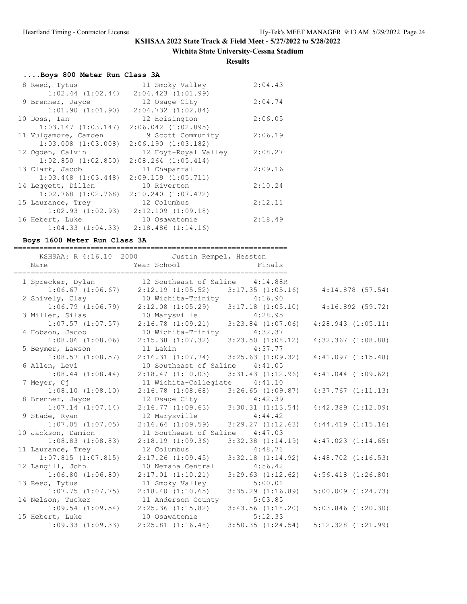### **Wichita State University-Cessna Stadium**

**Results**

## **....Boys 800 Meter Run Class 3A**

| 8 Reed, Tytus           | 11 Smoky Valley                              | 2:04.43 |
|-------------------------|----------------------------------------------|---------|
| $1:02.44$ $(1:02.44)$   | $2:04.423$ $(1:01.99)$                       |         |
| 9 Brenner, Jayce        | 12 Osage City                                | 2:04.74 |
| $1:01.90$ $(1:01.90)$   | $2:04.732$ $(1:02.84)$                       |         |
| 10 Doss, Ian            | 12 Hoisington                                | 2:06.05 |
| $1:03.147$ $(1:03.147)$ | $2:06.042$ $(1:02.895)$                      |         |
| 11 Vulgamore, Camden    | 9 Scott Community                            | 2:06.19 |
| $1:03.008$ $(1:03.008)$ | 2:06.190(1:03.182)                           |         |
| 12 Ogden, Calvin        | 12 Hoyt-Royal Valley                         | 2:08.27 |
| $1:02.850$ $(1:02.850)$ | $2:08.264$ $(1:05.414)$                      |         |
| 13 Clark, Jacob         | 11 Chaparral                                 | 2:09.16 |
| $1:03.448$ $(1:03.448)$ | $2:09.159$ $(1:05.711)$                      |         |
| 14 Leggett, Dillon      | 10 Riverton                                  | 2:10.24 |
| $1:02.768$ $(1:02.768)$ | $2:10.240$ $(1:07.472)$                      |         |
| 15 Laurance, Trey       | 12 Columbus                                  | 2:12.11 |
| $1:02.93$ $(1:02.93)$   | $2:12.109$ $(1:09.18)$                       |         |
| 16 Hebert, Luke         | 10 Osawatomie                                | 2:18.49 |
|                         | $1:04.33$ $(1:04.33)$ $2:18.486$ $(1:14.16)$ |         |

### **Boys 1600 Meter Run Class 3A**

| Name                    | KSHSAA: R 4:16.10 2000 Justin Rempel, Hesston<br>Year School                                                      | ====================<br>Finals |                        |
|-------------------------|-------------------------------------------------------------------------------------------------------------------|--------------------------------|------------------------|
| 1 Sprecker, Dylan       | 12 Southeast of Saline 4:14.88R<br>$1:06.67$ (1:06.67) $2:12.19$ (1:05.52) $3:17.35$ (1:05.16) $4:14.878$ (57.54) |                                |                        |
| 2 Shively, Clay         |                                                                                                                   |                                |                        |
| $1:06.79$ $(1:06.79)$   | 10 Wichita-Trinity 4:16.90<br>2:12.08 (1:05.29) 3:17.18 (1:05.10)                                                 |                                | 4:16.892(59.72)        |
| 3 Miller, Silas         | 10 Marysville 4:28.95                                                                                             |                                |                        |
| $1:07.57$ $(1:07.57)$   | $2:16.78$ $(1:09.21)$ $3:23.84$ $(1:07.06)$                                                                       |                                | 4:28.943(1:05.11)      |
| 4 Hobson, Jacob         | 10 Wichita-Trinity 4:32.37                                                                                        |                                |                        |
| $1:08.06$ $(1:08.06)$   | $2:15.38$ $(1:07.32)$ $3:23.50$ $(1:08.12)$                                                                       |                                | $4:32.367$ $(1:08.88)$ |
| 5 Beymer, Lawson        | 11 Lakin                                                                                                          | 4:37.77                        |                        |
| $1:08.57$ $(1:08.57)$   | $2:16.31$ $(1:07.74)$ $3:25.63$ $(1:09.32)$                                                                       |                                | 4:41.097(1:15.48)      |
| 6 Allen, Levi           | 10 Southeast of Saline 4:41.05                                                                                    |                                |                        |
| $1:08.44$ $(1:08.44)$   | $2:18.47$ $(1:10.03)$ $3:31.43$ $(1:12.96)$                                                                       |                                | $4:41.044$ $(1:09.62)$ |
| 7 Meyer, Cj             | 11 Wichita-Collegiate 4:41.10                                                                                     |                                |                        |
| $1:08.10$ $(1:08.10)$   | $2:16.78$ $(1:08.68)$ $3:26.65$ $(1:09.87)$                                                                       |                                | $4:37.767$ $(1:11.13)$ |
| 8 Brenner, Jayce        | 12 Osage City 4:42.39                                                                                             |                                |                        |
| $1:07.14$ $(1:07.14)$   | $2:16.77$ $(1:09.63)$ $3:30.31$ $(1:13.54)$                                                                       |                                | $4:42.389$ $(1:12.09)$ |
| 9 Stade, Ryan           | 12 Marysville 4:44.42                                                                                             |                                |                        |
| $1:07.05$ $(1:07.05)$   | $2:16.64$ $(1:09.59)$ $3:29.27$ $(1:12.63)$                                                                       |                                | 4:44.419(1:15.16)      |
| 10 Jackson, Damion      | 11 Southeast of Saline 4:47.03                                                                                    |                                |                        |
| $1:08.83$ $(1:08.83)$   | $2:18.19$ $(1:09.36)$ $3:32.38$ $(1:14.19)$                                                                       |                                | $4:47.023$ $(1:14.65)$ |
| 11 Laurance, Trey       | 12 Columbus                                                                                                       | 4:48.71                        |                        |
| $1:07.815$ $(1:07.815)$ | $2:17.26$ $(1:09.45)$ $3:32.18$ $(1:14.92)$                                                                       |                                | $4:48.702$ $(1:16.53)$ |
| 12 Langill, John        | 10 Nemaha Central                                                                                                 | 4:56.42                        |                        |
| $1:06.80$ $(1:06.80)$   | $2:17.01$ $(1:10.21)$                                                                                             | $3:29.63$ $(1:12.62)$          | $4:56.418$ $(1:26.80)$ |
| 13 Reed, Tytus          | 11 Smoky Valley                                                                                                   | 5:00.01                        |                        |
| $1:07.75$ $(1:07.75)$   | 2:18.40(1:10.65)                                                                                                  | $3:35.29$ $(1:16.89)$          | $5:00.009$ $(1:24.73)$ |
| 14 Nelson, Tucker       | 11 Anderson County 5:03.85                                                                                        |                                |                        |
|                         | $1:09.54$ $(1:09.54)$ $2:25.36$ $(1:15.82)$                                                                       | $3:43.56$ $(1:18.20)$          | $5:03.846$ $(1:20.30)$ |
| 15 Hebert, Luke         | 10 Osawatomie                                                                                                     | 5:12.33                        |                        |
| $1:09.33$ $(1:09.33)$   | $2:25.81$ $(1:16.48)$ $3:50.35$ $(1:24.54)$                                                                       |                                | $5:12.328$ $(1:21.99)$ |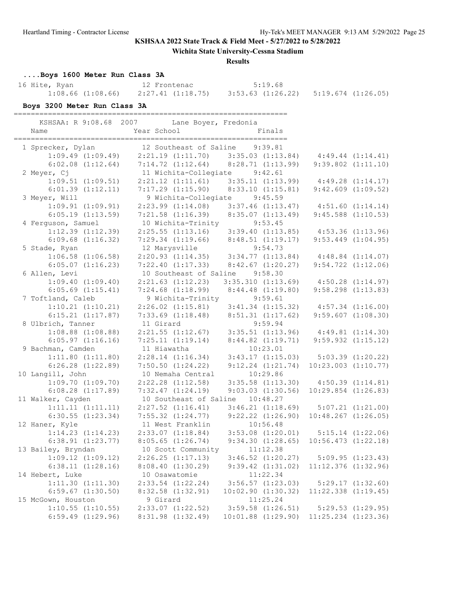**Wichita State University-Cessna Stadium**

#### **Results**

**....Boys 1600 Meter Run Class 3A**

| 16 Hite, Ryan         | 12 Frontenac      | 5:19.68                                      |  |
|-----------------------|-------------------|----------------------------------------------|--|
| $1:08.66$ $(1:08.66)$ | 2:27.41 (1:18.75) | $3:53.63$ $(1:26.22)$ $5:19.674$ $(1:26.05)$ |  |

### **Boys 3200 Meter Run Class 3A**

================================================================

| KSHSAA: R 9:08.68 2007 | Lane Boyer, Fredonia            |                                                                   |                         |                        |
|------------------------|---------------------------------|-------------------------------------------------------------------|-------------------------|------------------------|
| Name                   | Year School                     | Finals                                                            |                         |                        |
| 1 Sprecker, Dylan      | 12 Southeast of Saline          | ____________________________<br>9:39.81                           |                         |                        |
| $1:09.49$ $(1:09.49)$  |                                 | $2:21.19$ $(1:11.70)$ $3:35.03$ $(1:13.84)$                       |                         | 4:49.44(1:14.41)       |
| $6:02.08$ $(1:12.64)$  |                                 | $7:14.72$ $(1:12.64)$ $8:28.71$ $(1:13.99)$                       |                         | $9:39.802$ $(1:11.10)$ |
| 2 Meyer, Cj            | 11 Wichita-Collegiate           | 9:42.61                                                           |                         |                        |
| $1:09.51$ $(1:09.51)$  | $2:21.12$ $(1:11.61)$           | 3:35.11(1:13.99)                                                  | 4:49.28(1:14.17)        |                        |
| $6:01.39$ $(1:12.11)$  | 7:17.29(1:15.90)                | 8:33.10(1:15.81)                                                  |                         | $9:42.609$ $(1:09.52)$ |
| 3 Meyer, Will          | 9 Wichita-Collegiate            | 9:45.59                                                           |                         |                        |
| $1:09.91$ $(1:09.91)$  |                                 | $2:23.99$ $(1:14.08)$ $3:37.46$ $(1:13.47)$                       |                         | 4:51.60(1:14.14)       |
| $6:05.19$ $(1:13.59)$  | $7:21.58$ $(1:16.39)$           | 8:35.07(1:13.49)                                                  |                         | $9:45.588$ $(1:10.53)$ |
| 4 Ferguson, Samuel     | 10 Wichita-Trinity              | 9:53.45                                                           |                         |                        |
| $1:12.39$ $(1:12.39)$  | $2:25.55$ $(1:13.16)$           | $3:39.40$ $(1:13.85)$ $4:53.36$ $(1:13.96)$                       |                         |                        |
| $6:09.68$ $(1:16.32)$  |                                 | $7:29.34$ $(1:19.66)$ $8:48.51$ $(1:19.17)$                       |                         | $9:53.449$ $(1:04.95)$ |
| 5 Stade, Ryan          | 12 Marysville                   | 9:54.73                                                           |                         |                        |
| $1:06.58$ $(1:06.58)$  |                                 | 12 Marysville 9:54.73<br>2:20.93 (1:14.35) 3:34.77 (1:13.84)      | $4:48.84$ $(1:14.07)$   |                        |
| $6:05.07$ $(1:16.23)$  |                                 | 7:22.40 $(1:17.33)$ 8:42.67 $(1:20.27)$                           |                         | $9:54.722$ $(1:12.06)$ |
| 6 Allen, Levi          | 10 Southeast of Saline 9:58.30  |                                                                   |                         |                        |
| $1:09.40$ $(1:09.40)$  | $2:21.63$ $(1:12.23)$           |                                                                   | $4:50.28$ $(1:14.97)$   |                        |
|                        |                                 | 3:35.310 (1:13.69)                                                |                         |                        |
| $6:05.69$ $(1:15.41)$  | $7:24.68$ $(1:18.99)$           | $8:44.48$ $(1:19.80)$                                             |                         | $9:58.298$ $(1:13.83)$ |
| 7 Toftland, Caleb      | 9 Wichita-Trinity               | 9:59.61                                                           |                         |                        |
| $1:10.21$ $(1:10.21)$  |                                 | $2:26.02$ $(1:15.81)$ $3:41.34$ $(1:15.32)$                       |                         | $4:57.34$ $(1:16.00)$  |
| $6:15.21$ $(1:17.87)$  | $7:33.69$ $(1:18.48)$           | 8:51.31(1:17.62)                                                  |                         | $9:59.607$ $(1:08.30)$ |
| 8 Ulbrich, Tanner      | 11 Girard                       | 9:59.94                                                           |                         |                        |
| $1:08.88$ $(1:08.88)$  |                                 | $2:21.55$ $(1:12.67)$ $3:35.51$ $(1:13.96)$ $4:49.81$ $(1:14.30)$ |                         |                        |
| $6:05.97$ $(1:16.16)$  | 7:25.11(1:19.14)                | 8:44.82(1:19.71)                                                  |                         | $9:59.932$ $(1:15.12)$ |
| 9 Bachman, Camden      | 11 Hiawatha                     | 10:23.01                                                          |                         |                        |
| $1:11.80$ $(1:11.80)$  | 2:28.14(1:16.34)                | $3:43.17$ $(1:15.03)$ $5:03.39$ $(1:20.22)$                       |                         |                        |
| $6:26.28$ $(1:22.89)$  | 7:50.50(1:24.22)                | $9:12.24$ $(1:21.74)$                                             | $10:23.003$ $(1:10.77)$ |                        |
| 10 Langill, John       | 10 Nemaha Central               | 10:29.86                                                          |                         |                        |
| $1:09.70$ $(1:09.70)$  | $2:22.28$ $(1:12.58)$           | $3:35.58$ $(1:13.30)$                                             |                         | $4:50.39$ $(1:14.81)$  |
| $6:08.28$ $(1:17.89)$  | 7:32.47(1:24.19)                | $9:03.03$ $(1:30.56)$                                             | $10:29.854$ $(1:26.83)$ |                        |
| 11 Walker, Cayden      | 10 Southeast of Saline 10:48.27 |                                                                   |                         |                        |
| 1:11.11(1:11.11)       | $2:27.52$ $(1:16.41)$           | 3:46.21(1:18.69)                                                  |                         | $5:07.21$ $(1:21.00)$  |
| $6:30.55$ $(1:23.34)$  | $7:55.32$ $(1:24.77)$           | $9:22.22$ $(1:26.90)$                                             | $10:48.267$ $(1:26.05)$ |                        |
| 12 Haner, Kyle         | 11 West Franklin                | 10:56.48                                                          |                         |                        |
| $1:14.23$ $(1:14.23)$  |                                 | $2:33.07$ $(1:18.84)$ $3:53.08$ $(1:20.01)$                       |                         | $5:15.14$ $(1:22.06)$  |
| $6:38.91$ $(1:23.77)$  | 8:05.65(1:26.74)                | 9:34.30(1:28.65)                                                  | $10:56.473$ $(1:22.18)$ |                        |
| 13 Bailey, Bryndan     | 10 Scott Community              | 11:12.38                                                          |                         |                        |
| $1:09.12$ $(1:09.12)$  | 2:26.25(1:17.13)                | $3:46.52$ $(1:20.27)$                                             |                         | $5:09.95$ $(1:23.43)$  |
| 6:38.11(1:28.16)       | 8:08.40(1:30.29)                | $9:39.42$ $(1:31.02)$                                             | $11:12.376$ $(1:32.96)$ |                        |
| 14 Hebert, Luke        | 10 Osawatomie                   | 11:22.34                                                          |                         |                        |
| 1:11.30(1:11.30)       | $2:33.54$ $(1:22.24)$           | $3:56.57$ $(1:23.03)$                                             |                         | 5:29.17(1:32.60)       |
| $6:59.67$ $(1:30.50)$  | $8:32.58$ $(1:32.91)$           | $10:02.90$ $(1:30.32)$                                            | $11:22.338$ $(1:19.45)$ |                        |
| 15 McGown, Houston     | 9 Girard                        | 11:25.24                                                          |                         |                        |
| $1:10.55$ $(1:10.55)$  | 2:33.07 (1:22.52)               | $3:59.58$ $(1:26.51)$                                             |                         | $5:29.53$ $(1:29.95)$  |
| $6:59.49$ $(1:29.96)$  | 8:31.98 (1:32.49)               | $10:01.88$ $(1:29.90)$                                            | 11:25.234 (1:23.36)     |                        |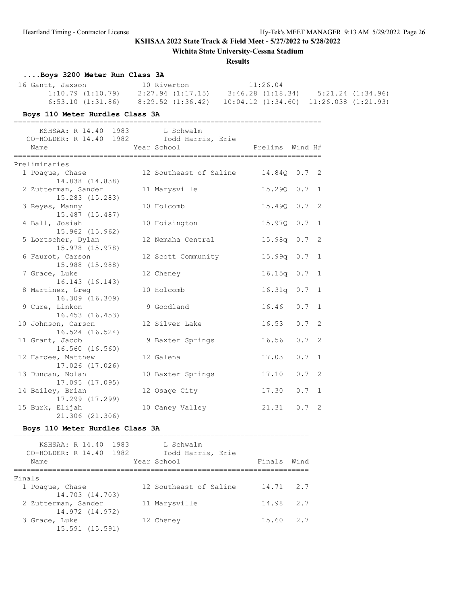**Wichita State University-Cessna Stadium**

|                                                                       | <b>Results</b>                                                                                                                                                                                 |                              |
|-----------------------------------------------------------------------|------------------------------------------------------------------------------------------------------------------------------------------------------------------------------------------------|------------------------------|
| Boys 3200 Meter Run Class 3A                                          |                                                                                                                                                                                                |                              |
|                                                                       | 16 Gantt, Jaxson 10 Riverton 11:26.04<br>1:10.79 (1:10.79) 2:27.94 (1:17.15) 3:46.28 (1:18.34) 5:21.24 (1:34.96)<br>6:53.10 (1:31.86) 8:29.52 (1:36.42) 10:04.12 (1:34.60) 11:26.038 (1:21.93) |                              |
| Boys 110 Meter Hurdles Class 3A                                       |                                                                                                                                                                                                |                              |
| KSHSAA: R 14.40 1983 L Schwalm                                        |                                                                                                                                                                                                |                              |
| CO-HOLDER: R 14.40 1982 Todd Harris, Erie<br>Name                     | Year School <a>&gt; School <a> Prelims Wind H#</a></a>                                                                                                                                         |                              |
| Preliminaries                                                         |                                                                                                                                                                                                |                              |
| 14.838 (14.838)                                                       | 1 Poague, Chase 12 Southeast of Saline 14.840 0.7 2                                                                                                                                            |                              |
| 2 Zutterman, Sander<br>15.283 (15.283)                                | 11 Marysville                                                                                                                                                                                  | 15.290 0.7 1                 |
| 3 Reyes, Manny<br>15.487 (15.487)                                     | 10 Holcomb                                                                                                                                                                                     | 15.490 0.7 2                 |
| 4 Ball, Josiah<br>15.962 (15.962)                                     | 10 Hoisington                                                                                                                                                                                  | 15.970 0.7 1                 |
| 5 Lortscher, Dylan<br>15.978 (15.978)                                 | 12 Nemaha Central                                                                                                                                                                              | 15.98q 0.7 2                 |
| 6 Faurot, Carson<br>15.988 (15.988)                                   | 12 Scott Community                                                                                                                                                                             | 15.99q 0.7 1                 |
| 7 Grace, Luke<br>16.143 (16.143)                                      | 12 Cheney                                                                                                                                                                                      | $16.15q$ 0.7 1               |
| 8 Martinez, Greg<br>16.309 (16.309)                                   | 10 Holcomb                                                                                                                                                                                     | 16.31q 0.7 1                 |
| 9 Cure, Linkon<br>16.453 (16.453)                                     | 9 Goodland                                                                                                                                                                                     | $16.46$ 0.7 1                |
| 10 Johnson, Carson<br>16.524 (16.524)                                 | 12 Silver Lake<br>9 Baxter Springs                                                                                                                                                             | $16.53$ 0.7 2<br>16.56 0.7 2 |
| 11 Grant, Jacob<br>16.560 (16.560)                                    |                                                                                                                                                                                                |                              |
| 12 Hardee, Matthew<br>17.026 (17.026)                                 | 12 Galena                                                                                                                                                                                      | $0.7 \quad 1$<br>17.03       |
| 13 Duncan, Nolan<br>17.095 (17.095)                                   | 10 Baxter Springs                                                                                                                                                                              | $17.10$ 0.7 2                |
| 14 Bailey, Brian<br>17.299 (17.299)                                   | 12 Osage City                                                                                                                                                                                  | $17.30$ 0.7 1                |
| 15 Burk, Elijah<br>21.306 (21.306)<br>Boys 110 Meter Hurdles Class 3A | 10 Caney Valley                                                                                                                                                                                | $21.31$ 0.7 2                |
|                                                                       |                                                                                                                                                                                                |                              |
| KSHSAA: R 14.40 1983<br>CO-HOLDER: R 14.40 1982                       | L Schwalm<br>Todd Harris, Erie                                                                                                                                                                 |                              |
| Name                                                                  | Year School                                                                                                                                                                                    | Finals Wind                  |

=====================================================================

1 Poague, Chase 12 Southeast of Saline 14.71 2.7

2 Zutterman, Sander 11 Marysville 14.98 2.7

12 Cheney 15.60 2.7

Finals

14.703 (14.703)

14.972 (14.972)<br>3 Grace, Luke

15.591 (15.591)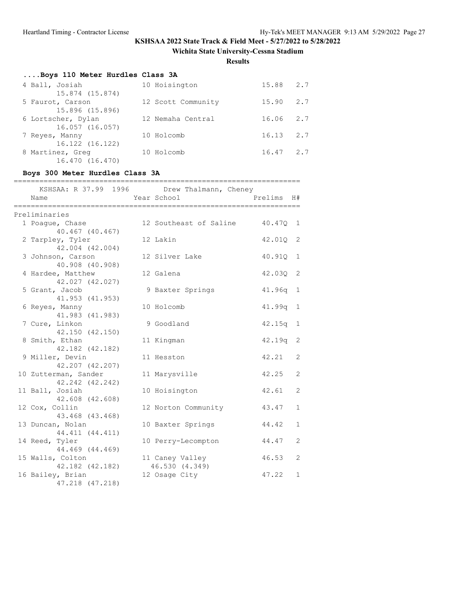**Wichita State University-Cessna Stadium**

**Results**

| Boys 110 Meter Hurdles Class 3A       |                    |           |     |
|---------------------------------------|--------------------|-----------|-----|
| 4 Ball, Josiah                        | 10 Hoisington      | 15.88 2.7 |     |
| 15.874 (15.874)                       |                    |           |     |
| 5 Faurot, Carson                      | 12 Scott Community | 15.90     | 2.7 |
| 15.896 (15.896)                       |                    |           |     |
| 6 Lortscher, Dylan<br>16.057 (16.057) | 12 Nemaha Central  | 16.06     | 2.7 |
| 7 Reyes, Manny                        | 10 Holcomb         | 16.13     | 2.7 |
| 16.122 (16.122)                       |                    |           |     |
| 8 Martinez, Greg                      | 10 Holcomb         | 16.47     | 2.7 |
| 16.470 (16.470)                       |                    |           |     |

## **Boys 300 Meter Hurdles Class 3A**

| Name                                    | KSHSAA: R 37.99 1996 Drew Thalmann, Cheney<br>Year School | Prelims H# |              |
|-----------------------------------------|-----------------------------------------------------------|------------|--------------|
| Preliminaries                           |                                                           |            |              |
| 1 Poague, Chase                         | 12 Southeast of Saline 40.47Q 1                           |            |              |
| 40.467 (40.467)                         |                                                           |            |              |
| 2 Tarpley, Tyler                        | 12 Lakin                                                  | 42.01Q     | 2            |
| 42.004 (42.004)                         |                                                           |            |              |
| 3 Johnson, Carson                       | 12 Silver Lake                                            | 40.91Q     | 1            |
| 40.908 (40.908)<br>4 Hardee, Matthew    | 12 Galena                                                 | 42.030     | 2            |
| 42.027 (42.027)                         |                                                           |            |              |
| 5 Grant, Jacob                          | 9 Baxter Springs                                          | 41.96q     | 1            |
| 41.953 (41.953)                         |                                                           |            |              |
| 6 Reyes, Manny                          | 10 Holcomb                                                | 41.99q     | 1            |
| 41.983 (41.983)                         |                                                           |            |              |
| 7 Cure, Linkon                          | 9 Goodland                                                | 42.15q     | $\mathbf{1}$ |
| 42.150 (42.150)                         |                                                           |            |              |
| 8 Smith, Ethan                          | 11 Kingman                                                | 42.19q     | 2            |
| 42.182 (42.182)                         |                                                           |            |              |
| 9 Miller, Devin                         | 11 Hesston                                                | 42.21      | 2            |
| 42.207 (42.207)                         |                                                           | 42.25      | 2            |
| 10 Zutterman, Sander<br>42.242 (42.242) | 11 Marysville                                             |            |              |
| 11 Ball, Josiah                         | 10 Hoisington                                             | 42.61      | 2            |
| 42.608 (42.608)                         |                                                           |            |              |
| 12 Cox, Collin                          | 12 Norton Community                                       | 43.47      | $\mathbf{1}$ |
| 43.468 (43.468)                         |                                                           |            |              |
| 13 Duncan, Nolan                        | 10 Baxter Springs                                         | 44.42      | $\mathbf{1}$ |
| 44.411 (44.411)                         |                                                           |            |              |
| 14 Reed, Tyler                          | 10 Perry-Lecompton                                        | 44.47      | 2            |
| 44.469 (44.469)                         |                                                           |            |              |
| 15 Walls, Colton                        | 11 Caney Valley                                           | 46.53      | 2            |
| 42.182 (42.182)                         | 46.530 (4.349)                                            |            |              |
| 16 Bailey, Brian                        | 12 Osage City                                             | 47.22      | $\mathbf{1}$ |
| 47.218 (47.218)                         |                                                           |            |              |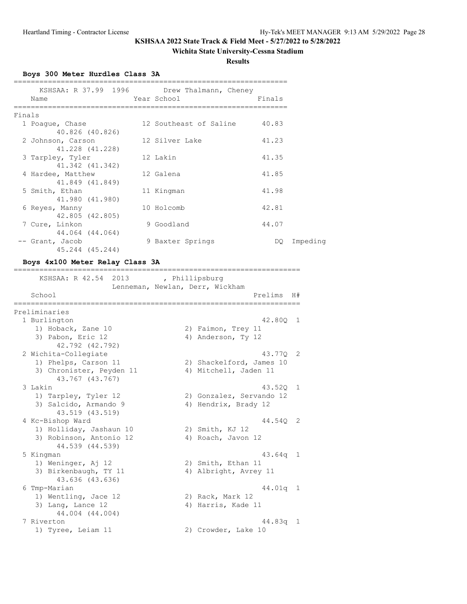### **Wichita State University-Cessna Stadium**

**Results**

===================================================================

**Boys 300 Meter Hurdles Class 3A**

|        | KSHSAA: R 37.99 1996 Drew Thalmann, Cheney<br>Name | Year School            | Finals |
|--------|----------------------------------------------------|------------------------|--------|
| Finals |                                                    |                        |        |
|        | 1 Poaque, Chase                                    | 12 Southeast of Saline | 40.83  |
|        | 40.826 (40.826)<br>2 Johnson, Carson               | 12 Silver Lake         | 41.23  |
|        | 41.228 (41.228)<br>3 Tarpley, Tyler                | 12 Lakin               | 41.35  |
|        | 41.342 (41.342)                                    |                        |        |
|        | 4 Hardee, Matthew<br>41.849 (41.849)               | 12 Galena              | 41.85  |
|        | 5 Smith, Ethan<br>41.980 (41.980)                  | 11 Kingman             | 41.98  |
|        | 6 Reyes, Manny                                     | 10 Holcomb             | 42.81  |
|        | 42.805 (42.805)<br>7 Cure, Linkon                  | 9 Goodland             | 44.07  |
|        | 44.064 (44.064)<br>-- Grant, Jacob                 | 9 Baxter Springs       | DQ.    |
|        | 45.244 (45.244)                                    |                        |        |

### **Boys 4x100 Meter Relay Class 3A**

| KSHSAA: R 42.54 2013                        | , Phillipsburg<br>Lenneman, Newlan, Derr, Wickham |                          |            |                |
|---------------------------------------------|---------------------------------------------------|--------------------------|------------|----------------|
| School                                      |                                                   |                          | Prelims    | H#             |
| Preliminaries                               |                                                   |                          |            |                |
| 1 Burlington                                |                                                   |                          | 42.800 1   |                |
| 1) Hoback, Zane 10                          |                                                   | 2) Faimon, Trey 11       |            |                |
| 3) Pabon, Eric 12<br>42.792 (42.792)        |                                                   | 4) Anderson, Ty 12       |            |                |
| 2 Wichita-Collegiate                        |                                                   |                          | 43.770 2   |                |
| 1) Phelps, Carson 11                        |                                                   | 2) Shackelford, James 10 |            |                |
| 3) Chronister, Peyden 11<br>43.767 (43.767) |                                                   | 4) Mitchell, Jaden 11    |            |                |
| 3 Lakin                                     |                                                   |                          | 43.520 1   |                |
| 1) Tarpley, Tyler 12                        |                                                   | 2) Gonzalez, Servando 12 |            |                |
| 3) Salcido, Armando 9<br>43.519 (43.519)    |                                                   | 4) Hendrix, Brady 12     |            |                |
| 4 Kc-Bishop Ward                            |                                                   |                          | 44.540     | $\overline{2}$ |
| 1) Holliday, Jashaun 10                     |                                                   | 2) Smith, KJ 12          |            |                |
| 3) Robinson, Antonio 12<br>44.539 (44.539)  |                                                   | 4) Roach, Javon 12       |            |                |
| 5 Kingman                                   |                                                   |                          | $43.64q$ 1 |                |
| 1) Weninger, Aj 12                          |                                                   | 2) Smith, Ethan 11       |            |                |
| 3) Birkenbaugh, TY 11<br>43.636 (43.636)    |                                                   | 4) Albright, Avrey 11    |            |                |
| 6 Tmp-Marian                                |                                                   |                          | 44.01a     | - 1            |
| 1) Wentling, Jace 12                        |                                                   | 2) Rack, Mark 12         |            |                |
| 3) Lang, Lance 12<br>44.004 (44.004)        |                                                   | 4) Harris, Kade 11       |            |                |
| 7 Riverton                                  |                                                   |                          | 44.83q     | 1              |
| 1) Tyree, Leiam 11                          |                                                   | 2) Crowder, Lake 10      |            |                |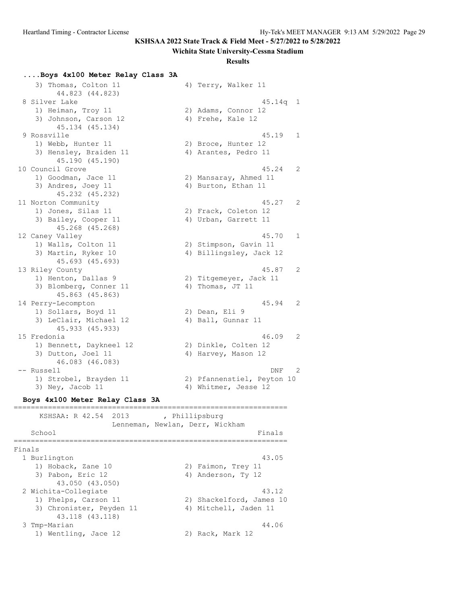#### **Wichita State University-Cessna Stadium**

#### **Results**

#### **....Boys 4x100 Meter Relay Class 3A**

3) Thomas, Colton 11 4) Terry, Walker 11 44.823 (44.823) 8 Silver Lake 45.14q 1 1) Heiman, Troy 11 2) Adams, Connor 12 3) Johnson, Carson 12 (4) Frehe, Kale 12 45.134 (45.134) 9 Rossville 45.19 1 1) Webb, Hunter 11 2) Broce, Hunter 12 3) Hensley, Braiden 11 (4) Arantes, Pedro 11 45.190 (45.190) 10 Council Grove 45.24 2 1) Goodman, Jace 11 2) Mansaray, Ahmed 11 3) Andres, Joey 11 4) Burton, Ethan 11 45.232 (45.232) 11 Norton Community 45.27 2 1) Jones, Silas 11 2) Frack, Coleton 12 3) Bailey, Cooper 11 (4) Urban, Garrett 11 45.268 (45.268)<br>12 Caney Valley 12 Caney Valley 45.70 1 1) Walls, Colton 11 2) Stimpson, Gavin 11 3) Martin, Ryker 10  $\hskip1cm$  4) Billingsley, Jack 12 45.693 (45.693) 13 Riley County 45.87 2 1) Henton, Dallas 9 2) Titgemeyer, Jack 11 3) Blomberg, Conner 11 4) Thomas, JT 11 45.863 (45.863) 14 Perry-Lecompton 45.94 2 1) Sollars, Boyd 11 2) Dean, Eli 9 3) LeClair, Michael 12 (4) Ball, Gunnar 11 45.933 (45.933) 15 Fredonia 46.09 2 1) Bennett, Daykneel 12 2) Dinkle, Colten 12 3) Dutton, Joel 11 4) Harvey, Mason 12 46.083 (46.083) -- Russell DNF 2 1) Strobel, Brayden 11 2) Pfannenstiel, Peyton 10 3) Ney, Jacob 11 4) Whitmer, Jesse 12 **Boys 4x100 Meter Relay Class 3A** ================================================================ KSHSAA: R 42.54 2013 , Phillipsburg Lenneman, Newlan, Derr, Wickham School Finals ================================================================ Finals 1 Burlington 43.05 1) Hoback, Zane 10 2) Faimon, Trey 11 3) Pabon, Eric 12 (4) Anderson, Ty 12 43.050 (43.050) 2 Wichita-Collegiate 43.12 1) Phelps, Carson 11 2) Shackelford, James 10 3) Chronister, Peyden 11 4) Mitchell, Jaden 11 43.118 (43.118) 3 Tmp-Marian 44.06 1) Wentling, Jace 12 2) Rack, Mark 12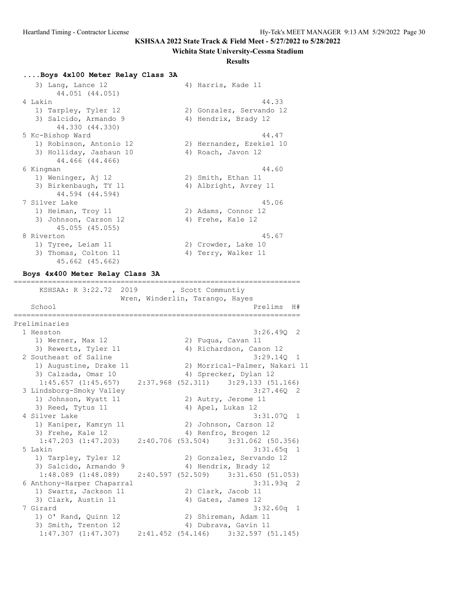#### **Wichita State University-Cessna Stadium**

#### **Results**

#### **....Boys 4x100 Meter Relay Class 3A**

| 3) Lang, Lance 12       | 4) Harris, Kade 11       |
|-------------------------|--------------------------|
| 44.051 (44.051)         |                          |
| 4 Lakin                 | 44.33                    |
| 1) Tarpley, Tyler 12    | 2) Gonzalez, Servando 12 |
| 3) Salcido, Armando 9   | 4) Hendrix, Brady 12     |
| 44.330 (44.330)         |                          |
| 5 Kc-Bishop Ward        | 44.47                    |
| 1) Robinson, Antonio 12 | 2) Hernandez, Ezekiel 10 |
| 3) Holliday, Jashaun 10 | 4) Roach, Javon 12       |
| 44.466 (44.466)         |                          |
| 6 Kingman               | 44.60                    |
| 1) Weninger, Aj 12      | 2) Smith, Ethan 11       |
| 3) Birkenbaugh, TY 11   | 4) Albright, Avrey 11    |
| 44.594 (44.594)         |                          |
| 7 Silver Lake           | 45.06                    |
| 1) Heiman, Troy 11      | 2) Adams, Connor 12      |
| 3) Johnson, Carson 12   | 4) Frehe, Kale 12        |
| 45.055 (45.055)         |                          |
| 8 Riverton              | 45.67                    |
| 1) Tyree, Leiam 11      | 2) Crowder, Lake 10      |
| 3) Thomas, Colton 11    | 4) Terry, Walker 11      |

===================================================================

## 45.662 (45.662) **Boys 4x400 Meter Relay Class 3A**

 KSHSAA: R 3:22.72 2019 , Scott Communtiy Wren, Winderlin, Tarango, Hayes School Prelims H# =================================================================== Preliminaries 1 Hesston 3:26.49Q 2 1) Werner, Max 12 2) Fuqua, Cavan 11 3) Rewerts, Tyler 11 4) Richardson, Cason 12 2 Southeast of Saline 3:29.14Q 1 1) Augustine, Drake 11 2) Morrical-Palmer, Nakari 11 3) Calzada, Omar 10 4) Sprecker, Dylan 12 1:45.657 (1:45.657) 2:37.968 (52.311) 3:29.133 (51.166) 3 Lindsborg-Smoky Valley 1) Johnson, Wyatt 11 2) Autry, Jerome 11 3) Reed, Tytus 11 4) Apel, Lukas 12 4 Silver Lake 3:31.07Q 1 1) Kaniper, Kamryn 11 12 2) Johnson, Carson 12 3) Frehe, Kale 12 4) Renfro, Brogen 12 1:47.203 (1:47.203) 2:40.706 (53.504) 3:31.062 (50.356) 5 Lakin 3:31.65q 1 1) Tarpley, Tyler 12 2) Gonzalez, Servando 12 3) Salcido, Armando 9 (1:48.089) 4) Hendrix, Brady 12<br>1:48.089 (1:48.089) 2:40.597 (52.509) 3:31.650 (1 1:48.089 (1:48.089) 2:40.597 (52.509) 3:31.650 (51.053) 6 Anthony-Harper Chaparral 3:31.93q 2 1) Swartz, Jackson 11 2) Clark, Jacob 11 3) Clark, Austin 11 4) Gates, James 12 7 Girard 3:32.60q 1 1) O' Rand, Quinn 12 2) Shireman, Adam 11 3) Smith, Trenton 12 (4) Dubrava, Gavin 11 1:47.307 (1:47.307) 2:41.452 (54.146) 3:32.597 (51.145)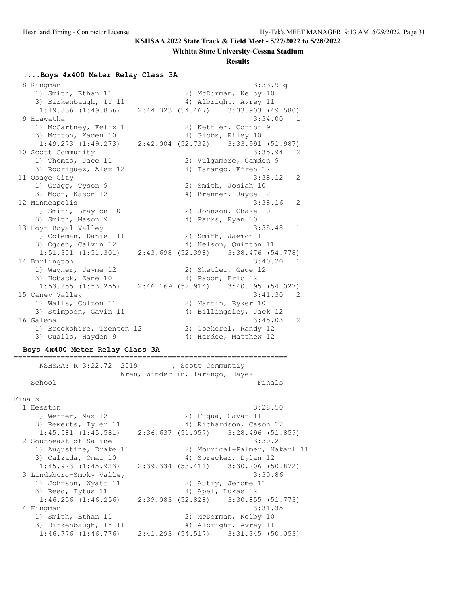#### **Wichita State University-Cessna Stadium**

#### **Results**

#### **....Boys 4x400 Meter Relay Class 3A**

 8 Kingman 3:33.91q 1 1) Smith, Ethan 11 2) McDorman, Kelby 10 3) Birkenbaugh, TY 11 4) Albright, Avrey 11 1:49.856 (1:49.856) 2:44.323 (54.467) 3:33.903 (49.580) 9 Hiawatha 3:34.00 1 1) McCartney, Felix 10 2) Kettler, Connor 9 3) Morton, Kaden 10 4) Gibbs, Riley 10 1:49.273 (1:49.273) 2:42.004 (52.732) 3:33.991 (51.987)<br>10 Scott Community 3:35.94 2<br>1) Thomas, Jace 11 2) Vulgamore, Camden 9 10 Scott Community 3:35.94 2 1) Thomas, Jace 11 2) Vulgamore, Camden 9 3) Rodriguez, Alex 12 (4) Tarango, Efren 12 11 Osage City 3:38.12 2 1) Gragg, Tyson 9 2) Smith, Josiah 10 3) Moon, Kason 12 (4) Brenner, Jayce 12 12 Minneapolis 3:38.16 2 1) Smith, Braylon 10 2) Johnson, Chase 10 3) Smith, Mason 9 4) Parks, Ryan 10 13 Hoyt-Royal Valley 3:38.48 1 1) Coleman, Daniel 11 2) Smith, Jaemon 11 3) Ogden, Calvin 12 4) Nelson, Quinton 11 1:51.301 (1:51.301) 2:43.698 (52.398) 3:38.476 (54.778) 14 Burlington 3:40.20 1 1) Wagner, Jayme 12 2) Shetler, Gage 12 3) Hoback, Zane 10 4) Pabon, Eric 12 1:53.255 (1:53.255) 2:46.169 (52.914) 3:40.195 (54.027) 15 Caney Valley 3:41.30 2 1) Walls, Colton 11 2) Martin, Ryker 10 3) Stimpson, Gavin 11 4) Billingsley, Jack 12 16 Galena 3:45.03 2 1) Brookshire, Trenton 12 (2) Cockerel, Randy 12 3) Qualls, Hayden 9 4) Hardee, Matthew 12

#### **Boys 4x400 Meter Relay Class 3A**

================================================================ KSHSAA: R 3:22.72 2019 , Scott Communtiy Wren, Winderlin, Tarango, Hayes School **Finals** ================================================================ Finals 1 Hesston 3:28.50 1) Werner, Max 12 2) Fuqua, Cavan 11 3) Rewerts, Tyler 11 4) Richardson, Cason 12 1:45.581 (1:45.581) 2:36.637 (51.057) 3:28.496 (51.859) 2 Southeast of Saline 3:30.21 1) Augustine, Drake 11 2) Morrical-Palmer, Nakari 11 3) Calzada, Omar 10 4) Sprecker, Dylan 12 1:45.923 (1:45.923) 2:39.334 (53.411) 3:30.206 (50.872) 3 Lindsborg-Smoky Valley 3:30.86 1) Johnson, Wyatt 11 and 2) Autry, Jerome 11 3) Reed, Tytus 11 4) Apel, Lukas 12  $1:46.256$  (1:46.256) 2:39.083 (52.828) 3:30.855 (51.773) 4 Kingman 3:31.35 1) Smith, Ethan 11 2) McDorman, Kelby 10 3) Birkenbaugh, TY 11 4) Albright, Avrey 11 1:46.776 (1:46.776) 2:41.293 (54.517) 3:31.345 (50.053)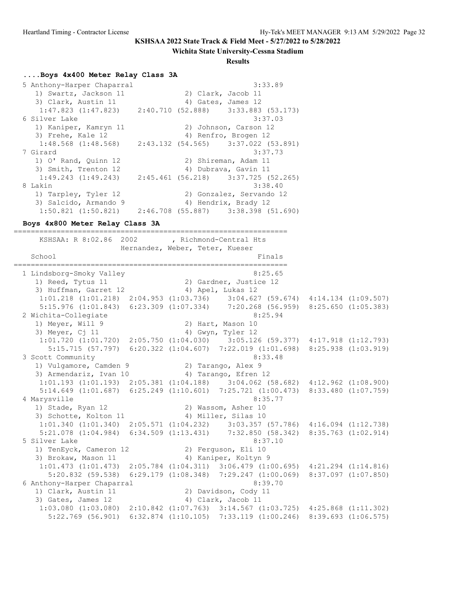#### **Wichita State University-Cessna Stadium**

#### **Results**

#### **....Boys 4x400 Meter Relay Class 3A**

5 Anthony-Harper Chaparral 3:33.89 1) Swartz, Jackson 11 2) Clark, Jacob 11 3) Clark, Austin 11 (4) Gates, James 12 1:47.823 (1:47.823) 2:40.710 (52.888) 3:33.883 (53.173) 6 Silver Lake 3:37.03 1) Kaniper, Kamryn 11 2) Johnson, Carson 12 3) Frehe, Kale 12 4) Renfro, Brogen 12 1:48.568 (1:48.568) 2:43.132 (54.565) 3:37.022 (53.891) 7 Girard 3:37.73 1) O' Rand, Quinn 12 2) Shireman, Adam 11 3) Smith, Trenton 12 (4) Dubrava, Gavin 11 1:49.243 (1:49.243) 2:45.461 (56.218) 3:37.725 (52.265) 8 Lakin 3:38.40 1) Tarpley, Tyler 12 2) Gonzalez, Servando 12 3) Salcido, Armando 9 (4) Hendrix, Brady 12 1:50.821 (1:50.821) 2:46.708 (55.887) 3:38.398 (51.690)

#### **Boys 4x800 Meter Relay Class 3A**

================================================================ KSHSAA: R 8:02.86 2002 , Richmond-Central Hts Hernandez, Weber, Teter, Kueser School Finals ================================================================ 1 Lindsborg-Smoky Valley 8:25.65 1) Reed, Tytus 11 2) Gardner, Justice 12 3) Huffman, Garret 12 (4) Apel, Lukas 12 1:01.218 (1:01.218) 2:04.953 (1:03.736) 3:04.627 (59.674) 4:14.134 (1:09.507) 5:15.976 (1:01.843) 6:23.309 (1:07.334) 7:20.268 (56.959) 8:25.650 (1:05.383) 2 Wichita-Collegiate 8:25.94 1) Meyer, Will 9 2) Hart, Mason 10 3) Meyer, Cj 11 4) Gwyn, Tyler 12 1:01.720 (1:01.720) 2:05.750 (1:04.030) 3:05.126 (59.377) 4:17.918 (1:12.793) 5:15.715 (57.797) 6:20.322 (1:04.607) 7:22.019 (1:01.698) 8:25.938 (1:03.919) 3 Scott Community 1) Vulgamore, Camden 9 120 20 Tarango, Alex 9 3) Armendariz, Ivan 10 4) Tarango, Efren 12 1:01.193 (1:01.193) 2:05.381 (1:04.188) 3:04.062 (58.682) 4:12.962 (1:08.900) 5:14.649 (1:01.687) 6:25.249 (1:10.601) 7:25.721 (1:00.473) 8:33.480 (1:07.759) 4 Marysville 8:35.77 1) Stade, Ryan 12 2) Wassom, Asher 10 3) Schotte, Kolton 11 (4) Miller, Silas 10 1:01.340 (1:01.340) 2:05.571 (1:04.232) 3:03.357 (57.786) 4:16.094 (1:12.738) 5:21.078 (1:04.984) 6:34.509 (1:13.431) 7:32.850 (58.342) 8:35.763 (1:02.914) 5 Silver Lake 8:37.10 1) TenEyck, Cameron 12 2) Ferguson, Eli 10 3) Brokaw, Mason 11 1988 (4) Kaniper, Koltyn 9 1:01.473 (1:01.473) 2:05.784 (1:04.311) 3:06.479 (1:00.695) 4:21.294 (1:14.816) 5:20.832 (59.538) 6:29.179 (1:08.348) 7:29.247 (1:00.069) 8:37.097 (1:07.850) 6 Anthony-Harper Chaparral 8:39.70 1) Clark, Austin 11 2) Davidson, Cody 11 3) Gates, James 12 4) Clark, Jacob 11 1:03.080 (1:03.080) 2:10.842 (1:07.763) 3:14.567 (1:03.725) 4:25.868 (1:11.302) 5:22.769 (56.901) 6:32.874 (1:10.105) 7:33.119 (1:00.246) 8:39.693 (1:06.575)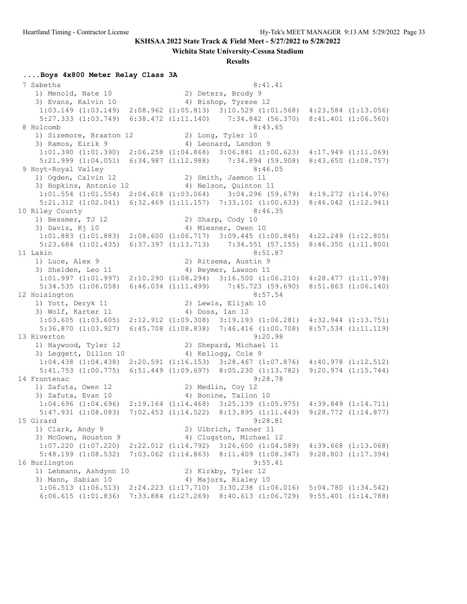**Wichita State University-Cessna Stadium**

#### **Results**

#### **....Boys 4x800 Meter Relay Class 3A**

7 Sabetha 8:41.41<br>1) Menold, Nate 10 2) Deters, Brody 9<br>2) Express Times in the 10 1) Menold, Nate 10 2) Deters, Brody 9 3) Evans, Kalvin 10 (4) Bishop, Tyrese 12 1:03.149 (1:03.149) 2:08.962 (1:05.813) 3:10.529 (1:01.568) 4:23.584 (1:13.056) 5:27.333 (1:03.749) 6:38.472 (1:11.140) 7:34.842 (56.370) 8:41.401 (1:06.560) 8 Holcomb 8:43.65 1) Sizemore, Braxton 12 (2) Long, Tyler 10 3) Ramos, Eirik 9 4) Leonard, Landon 9 1:01.390 (1:01.390) 2:06.258 (1:04.868) 3:06.881 (1:00.623) 4:17.949 (1:11.069) 5:21.999 (1:04.051) 6:34.987 (1:12.988) 7:34.894 (59.908) 8:43.650 (1:08.757)<br>8:46.05 8:46.05 9 Hoyt-Royal Valley 8:46.05 1) Ogden, Calvin 12 2) Smith, Jaemon 11 3) Hopkins, Antonio 12 4) Nelson, Quinton 11 1:01.554 (1:01.554) 2:04.618 (1:03.064) 3:04.296 (59.679) 4:19.272 (1:14.976) 5:21.312 (1:02.041) 6:32.469 (1:11.157) 7:33.101 (1:00.633) 8:46.042 (1:12.941) 10 Riley County 8:46.35 1) Bessmer, TJ 12 2) Sharp, Cody 10 3) Davis, Kj 10 4) Miesner, Owen 10 1:01.883 (1:01.883) 2:08.600 (1:06.717) 3:09.445 (1:00.845) 4:22.249 (1:12.805) 5:23.684 (1:01.435) 6:37.397 (1:13.713) 7:34.551 (57.155) 8:46.350 (1:11.800) 11 Lakin 8:51.87 1) Luce, Alex 9 2) Ritsema, Austin 9 3) Shelden, Leo 11 (4) Beymer, Lawson 11 1:01.997 (1:01.997) 2:10.290 (1:08.294) 3:16.500 (1:06.210) 4:28.477 (1:11.978) 5:34.535 (1:06.058) 6:46.034 (1:11.499) 7:45.723 (59.690) 8:51.863 (1:06.140) 12 Hoisington 8:57.54 1) Yott, Deryk 11 2) Lewis, Elijah 10 3) Wolf, Karter 11 4) Doss, Ian 12 1:03.605 (1:03.605) 2:12.912 (1:09.308) 3:19.193 (1:06.281) 4:32.944 (1:13.751) 5:36.870 (1:03.927) 6:45.708 (1:08.838) 7:46.416 (1:00.708) 8:57.534 (1:11.119) 13 Riverton 9:20.98 1) Haywood, Tyler 12 2) Shepard, Michael 11<br>3) Leggett, Dillon 10 4) Kellogg, Cole 9 3) Leggett, Dillon 10 1:04.438 (1:04.438) 2:20.591 (1:16.153) 3:28.467 (1:07.876) 4:40.978 (1:12.512) 5:41.753 (1:00.775) 6:51.449 (1:09.697) 8:05.230 (1:13.782) 9:20.974 (1:15.744) 14 Frontenac 9:28.78 1) Zafuta, Owen 12 2) Medlin, Coy 12 3) Zafuta, Evan 10 (4) Bonine, Tallon 10 1:04.696 (1:04.696) 2:19.164 (1:14.468) 3:25.139 (1:05.975) 4:39.849 (1:14.711) 5:47.931 (1:08.083) 7:02.453 (1:14.522) 8:13.895 (1:11.443) 9:28.772 (1:14.877) 15 Girard 9:28.81 1) Clark, Andy 9 2) Ulbrich, Tanner 11 3) McGown, Houston 9 4) Clugston, Michael 12 1:07.220 (1:07.220) 2:22.012 (1:14.792) 3:26.600 (1:04.589) 4:39.668 (1:13.068) 5:48.199 (1:08.532) 7:03.062 (1:14.863) 8:11.409 (1:08.347) 9:28.803 (1:17.394) 16 Burlington 9:55.41 1) Lehmann, Ashdynn 10 2) Kirkby, Tyler 12 3) Mann, Sabian 10  $\hskip1cm$  4) Majors, Rialey 10 1:06.513 (1:06.513) 2:24.223 (1:17.710) 3:30.238 (1:06.016) 5:04.780 (1:34.542) 6:06.615 (1:01.836) 7:33.884 (1:27.269) 8:40.613 (1:06.729) 9:55.401 (1:14.788)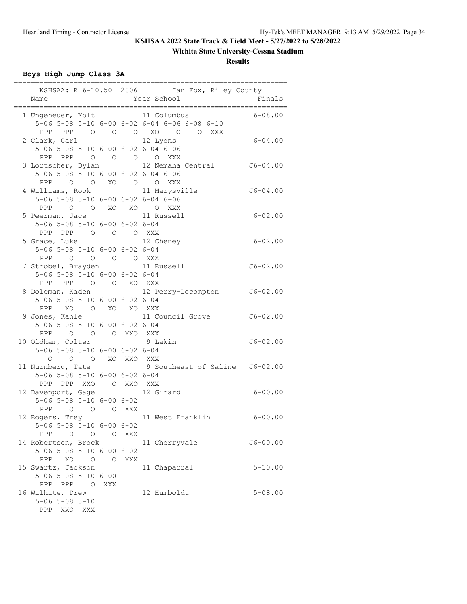## **Wichita State University-Cessna Stadium**

**Results**

## **Boys High Jump Class 3A**

|                                     |       | KSHSAA: R 6-10.50 2006 Ian Fox, Riley County  |              |
|-------------------------------------|-------|-----------------------------------------------|--------------|
| Name                                |       | Year School                                   | Finals       |
|                                     |       | ========                                      |              |
|                                     |       | 1 Ungeheuer, Kolt 11 Columbus                 | $6 - 08.00$  |
|                                     |       | 5-06 5-08 5-10 6-00 6-02 6-04 6-06 6-08 6-10  |              |
|                                     |       | PPP PPP 0 0 0 XO 0 0 XXX                      |              |
| 2 Clark, Carl                       |       | 12 Lyons                                      | 6-04.00      |
| 5-06 5-08 5-10 6-00 6-02 6-04 6-06  |       |                                               |              |
| PPP PPP 0 0 0 0 XXX                 |       |                                               |              |
|                                     |       | 3 Lortscher, Dylan 12 Nemaha Central 56-04.00 |              |
| 5-06 5-08 5-10 6-00 6-02 6-04 6-06  |       |                                               |              |
| PPP 0 0 XO 0 0 XXX                  |       |                                               |              |
| 4 Williams, Rook                    |       | 11 Marysville                                 | $J6 - 04.00$ |
| 5-06 5-08 5-10 6-00 6-02 6-04 6-06  |       |                                               |              |
| PPP 0 0 XO XO 0 XXX                 |       |                                               |              |
| 5 Peerman, Jace 11 Russell          |       |                                               | 6-02.00      |
| 5-06 5-08 5-10 6-00 6-02 6-04       |       |                                               |              |
| PPP PPP 0 0 0 XXX                   |       |                                               |              |
| 5 Grace, Luke                       |       | 12 Cheney                                     | 6-02.00      |
| 5-06 5-08 5-10 6-00 6-02 6-04       |       |                                               |              |
| PPP 0 0 0 0 XXX                     |       |                                               |              |
| 7 Strobel, Brayden                  |       | 11 Russell                                    | $J6 - 02.00$ |
| 5-06 5-08 5-10 6-00 6-02 6-04       |       |                                               |              |
| PPP PPP 0 0 XO XXX                  |       |                                               |              |
|                                     |       | 8 Doleman, Kaden 12 Perry-Lecompton J6-02.00  |              |
| 5-06 5-08 5-10 6-00 6-02 6-04       |       |                                               |              |
| PPP XO O XO XO XXX                  |       |                                               |              |
|                                     |       | 9 Jones, Kahle 11 Council Grove               | $J6 - 02.00$ |
| 5-06 5-08 5-10 6-00 6-02 6-04       |       |                                               |              |
| PPP 0 0 0 XXO XXX                   |       |                                               |              |
| 10 Oldham, Colter                   |       | 9 Lakin                                       | $J6 - 02.00$ |
| 5-06 5-08 5-10 6-00 6-02 6-04       |       |                                               |              |
| O O XO XXO XXX<br>$\circ$           |       |                                               |              |
| 11 Nurnberg, Tate                   |       | 9 Southeast of Saline J6-02.00                |              |
| 5-06 5-08 5-10 6-00 6-02 6-04       |       |                                               |              |
| PPP PPP XXO O XXO XXX               |       |                                               |              |
| 12 Davenport, Gage                  |       | 12 Girard                                     | 6-00.00      |
| $5-06$ $5-08$ $5-10$ $6-00$ $6-02$  |       |                                               |              |
| PPP 0 0 0 XXX                       |       |                                               |              |
| 12 Rogers, Trey                     |       | 11 West Franklin                              | $6 - 00.00$  |
| 5-06 5-08 5-10 6-00 6-02            |       |                                               |              |
| PPP 0 0 0 XXX                       |       |                                               |              |
| 14 Robertson, Brock                 |       | 11 Cherryvale                                 | $J6 - 00.00$ |
| 5-06 5-08 5-10 6-00 6-02            |       |                                               |              |
| PPP XO O                            | O XXX |                                               |              |
| 15 Swartz, Jackson                  |       | 11 Chaparral                                  | $5 - 10.00$  |
| $5 - 06$ $5 - 08$ $5 - 10$ $6 - 00$ |       |                                               |              |
| PPP PPP 0                           | XXX   |                                               |              |
| 16 Wilhite, Drew                    |       | 12 Humboldt                                   | $5 - 08.00$  |
| $5 - 06$ $5 - 08$ $5 - 10$          |       |                                               |              |
| PPP XXO XXX                         |       |                                               |              |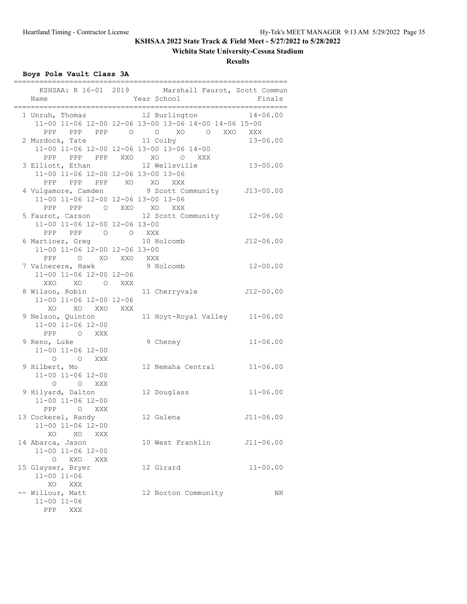## **Wichita State University-Cessna Stadium**

**Results**

# **Boys Pole Vault Class 3A**

| Name                                                                                 | ======= | KSHSAA: R 16-01 2019 Marshall Faurot, Scott Commun<br>Year School                                                               | Finals        |
|--------------------------------------------------------------------------------------|---------|---------------------------------------------------------------------------------------------------------------------------------|---------------|
|                                                                                      |         | 1 Unruh, Thomas 12 Burlington 14-06.00<br>11-00 11-06 12-00 12-06 13-00 13-06 14-00 14-06 15-00<br>PPP PPP PPP 0 0 XO 0 XXO XXX |               |
| 2 Murdock, Tate 11 Colby                                                             |         | 11-00 11-06 12-00 12-06 13-00 13-06 14-00<br>PPP PPP PPP XXO XO O XXX                                                           | $13 - 06.00$  |
| 3 Elliott, Ethan<br>11-00 11-06 12-00 12-06 13-00 13-06                              |         | 12 Wellsville                                                                                                                   | $13 - 00.00$  |
| PPP PPP PPP XO XO XXX<br>11-00 11-06 12-00 12-06 13-00 13-06<br>PPP PPP O XXO XO XXX |         | 4 Vulgamore, Camden 9 Scott Community 513-00.00                                                                                 |               |
| 11-00 11-06 12-00 12-06 13-00<br>PPP PPP 0 0 XXX                                     |         | 5 Faurot, Carson 12 Scott Community 12-06.00                                                                                    |               |
| 6 Martinez, Greg 10 Holcomb<br>11-00 11-06 12-00 12-06 13-00<br>PPP O XO XXO XXX     |         |                                                                                                                                 | $J12-06.00$   |
| 7 Vainerere, Hawk<br>11-00 11-06 12-00 12-06<br>XXO XO<br>O XXX                      |         | 9 Holcomb                                                                                                                       | $12 - 00.00$  |
| 8 Wilson, Robin<br>11-00 11-06 12-00 12-06                                           |         | 11 Cherryvale J12-00.00                                                                                                         |               |
| XO XO XXO XXX<br>9 Nelson, Quinton<br>11-00 11-06 12-00<br>PPP O XXX                 |         | 11 Hoyt-Royal Valley 11-06.00                                                                                                   |               |
| 9 Reno, Luke<br>11-00 11-06 12-00<br>O O XXX                                         |         | 9 Cheney                                                                                                                        | $11 - 06.00$  |
| 9 Hilbert, Mo<br>11-00 11-06 12-00<br>O XXX<br>$\circ$                               |         | 12 Nemaha Central                                                                                                               | $11 - 06.00$  |
| 9 Hilyard, Dalton<br>11-00 11-06 12-00<br>O XXX<br>PPP                               |         | 12 Douglass                                                                                                                     | $11 - 06.00$  |
| 13 Cockerel, Randy<br>11-00 11-06 12-00<br>XO<br>XO<br>XXX                           |         | 12 Galena                                                                                                                       | $J11 - 06.00$ |
| 14 Abarca, Jason<br>11-00 11-06 12-00<br>$\circ$                                     |         | 10 West Franklin                                                                                                                | $J11 - 06.00$ |
| XXO<br>XXX<br>15 Glayser, Bryer<br>$11 - 00$ $11 - 06$<br>XO<br>XXX                  |         | 12 Girard                                                                                                                       | $11 - 00.00$  |
| -- Willour, Matt<br>$11 - 00$ $11 - 06$<br>PPP<br>XXX                                |         | 12 Norton Community                                                                                                             | NH            |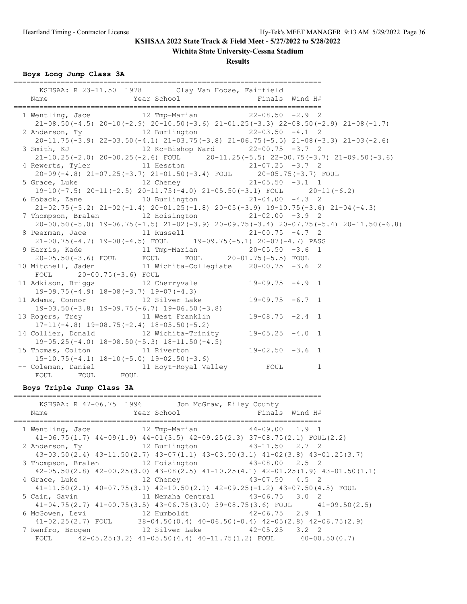### **Wichita State University-Cessna Stadium**

**Results**

### **Boys Long Jump Class 3A**

| KSHSAA: R 23-11.50 1978 Clay Van Hoose, Fairfield                                                             |                                                                                                 |  |  |
|---------------------------------------------------------------------------------------------------------------|-------------------------------------------------------------------------------------------------|--|--|
|                                                                                                               |                                                                                                 |  |  |
|                                                                                                               |                                                                                                 |  |  |
| 1 Wentling, Jace 12 Tmp-Marian 22-08.50 -2.9 2                                                                |                                                                                                 |  |  |
|                                                                                                               | $21-08.50(-4.5)$ $20-10(-2.9)$ $20-10.50(-3.6)$ $21-01.25(-3.3)$ $22-08.50(-2.9)$ $21-08(-1.7)$ |  |  |
|                                                                                                               |                                                                                                 |  |  |
|                                                                                                               | $20-11.75(-3.9)$ $22-03.50(-4.1)$ $21-03.75(-3.8)$ $21-06.75(-5.5)$ $21-08(-3.3)$ $21-03(-2.6)$ |  |  |
| 3 Smith, KJ 12 Kc-Bishop Ward 22-00.75 -3.7 2                                                                 |                                                                                                 |  |  |
|                                                                                                               | $21-10.25(-2.0)$ $20-00.25(-2.6)$ FOUL $20-11.25(-5.5)$ $22-00.75(-3.7)$ $21-09.50(-3.6)$       |  |  |
| 4 Rewerts, Tyler 11 Hesston 21-07.25 -3.7 2                                                                   |                                                                                                 |  |  |
| 20-09(-4.8) 21-07.25(-3.7) 21-01.50(-3.4) FOUL 20-05.75(-3.7) FOUL<br>5 Grace, Luke 12 Cheney 21-05.50 -3.1 1 |                                                                                                 |  |  |
|                                                                                                               |                                                                                                 |  |  |
|                                                                                                               | 19-10(-7.5) $20-11$ (-2.5) $20-11.75$ (-4.0) $21-05.50$ (-3.1) FOUL $20-11$ (-6.2)              |  |  |
| 6 Hoback, Zane 10 Burlington 21-04.00 -4.3 2                                                                  |                                                                                                 |  |  |
|                                                                                                               | $21-02.75(-5.2)$ $21-02(-1.4)$ $20-01.25(-1.8)$ $20-05(-3.9)$ $19-10.75(-3.6)$ $21-04(-4.3)$    |  |  |
| 7 Thompson, Bralen 12 Hoisington 21-02.00 -3.9 2                                                              |                                                                                                 |  |  |
|                                                                                                               | $20-00.50(-5.0)$ 19-06.75 (-1.5) 21-02 (-3.9) 20-09.75 (-3.4) 20-07.75 (-5.4) 20-11.50 (-6.8)   |  |  |
| 8 Peerman, Jace 11 Russell 21-00.75 -4.7 2                                                                    |                                                                                                 |  |  |
|                                                                                                               | $21-00.75(-4.7)$ 19-08 (-4.5) FOUL 19-09.75 (-5.1) 20-07 (-4.7) PASS                            |  |  |
| 9 Harris, Kade               11 Tmp-Marian             20-05.50 -3.6 1                                        |                                                                                                 |  |  |
|                                                                                                               |                                                                                                 |  |  |
| 20-05.50(-3.6) FOUL FOUL FOUL 20-01.75(-5.5) FOUL<br>10 Mitchell, Jaden 11 Wichita-Collegiate 20-00.75 -3.6 2 |                                                                                                 |  |  |
| FOUL 20-00.75(-3.6) FOUL                                                                                      |                                                                                                 |  |  |
| POUL 20-00.75 -3.07 POUL<br>11 Adkison, Briggs 12 Cherryvale 19-09.75 -4.9 1                                  |                                                                                                 |  |  |
| 19-09.75(-4.9) $18-08(-3.7)$ 19-07(-4.3)<br>11 Adams, Connor 12 Silver Lake 19-09.75 -6.7 1                   |                                                                                                 |  |  |
|                                                                                                               |                                                                                                 |  |  |
| $19-03.50(-3.8)$ $19-09.75(-6.7)$ $19-06.50(-3.8)$                                                            |                                                                                                 |  |  |
| 13 Rogers, Trey 11 West Franklin 19-08.75 -2.4 1                                                              |                                                                                                 |  |  |
| $17-11(-4.8)$ $19-08.75(-2.4)$ $18-05.50(-5.2)$                                                               |                                                                                                 |  |  |
| 14 Collier, Donald 12 Wichita-Trinity 19-05.25 -4.0 1                                                         |                                                                                                 |  |  |
|                                                                                                               |                                                                                                 |  |  |
| 19-05.25(-4.0) $18-08.50(-5.3)$ $18-11.50(-4.5)$<br>15 Thomas, Colton 11 Riverton 19-02.50 -3.6 1             |                                                                                                 |  |  |
| $15-10.75(-4.1)$ $18-10(-5.0)$ $19-02.50(-3.6)$                                                               |                                                                                                 |  |  |
|                                                                                                               |                                                                                                 |  |  |
|                                                                                                               |                                                                                                 |  |  |

### **Boys Triple Jump Class 3A**

|                                                                              | KSHSAA: R 47-06.75 1996 Jon McGraw, Riley County                                      |                                                                                              |
|------------------------------------------------------------------------------|---------------------------------------------------------------------------------------|----------------------------------------------------------------------------------------------|
| Name                                                                         |                                                                                       |                                                                                              |
| 1 Wentling, Jace 12 Tmp-Marian                                               |                                                                                       | $44-09.00$ 1.9 1                                                                             |
|                                                                              | $41-06.75(1.7)$ $44-09(1.9)$ $44-01(3.5)$ $42-09.25(2.3)$ $37-08.75(2.1)$ FOUL(2.2)   |                                                                                              |
| 2 Anderson, Ty                                                               | 12 Burlington 43-11.50 2.7 2                                                          |                                                                                              |
|                                                                              |                                                                                       | $43-03.50(2.4)$ $43-11.50(2.7)$ $43-07(1.1)$ $43-03.50(3.1)$ $41-02(3.8)$ $43-01.25(3.7)$    |
| 3 Thompson, Bralen 12 Hoisington 43-08.00 2.5 2                              |                                                                                       |                                                                                              |
|                                                                              |                                                                                       | $42-05.50(2.8)$ $42-00.25(3.0)$ $43-08(2.5)$ $41-10.25(4.1)$ $42-01.25(1.9)$ $43-01.50(1.1)$ |
| 4 Grace, Luke 12 Cheney 43-07.50 4.5 2                                       |                                                                                       |                                                                                              |
|                                                                              | $41-11.50(2.1)$ $40-07.75(3.1)$ $42-10.50(2.1)$ $42-09.25(-1.2)$ $43-07.50(4.5)$ FOUL |                                                                                              |
| 5 Cain, Gavin                 11 Nemaha Central         43-06.75     3.0   2 |                                                                                       |                                                                                              |
|                                                                              |                                                                                       | $41-04.75(2.7)$ $41-00.75(3.5)$ $43-06.75(3.0)$ $39-08.75(3.6)$ FOUL $41-09.50(2.5)$         |
| 6 McGowen, Levi                                                              | 12 Humboldt                                   42-06.75     2.9   1                    |                                                                                              |
|                                                                              |                                                                                       | $41-02.25(2.7)$ FOUL $38-04.50(0.4)$ $40-06.50(-0.4)$ $42-05(2.8)$ $42-06.75(2.9)$           |
| 7 Renfro, Brogen                                                             | 12 Silver Lake 42-05.25 3.2 2                                                         |                                                                                              |
|                                                                              | FOUL $42-05.25(3.2)$ $41-05.50(4.4)$ $40-11.75(1.2)$ FOUL $40-00.50(0.7)$             |                                                                                              |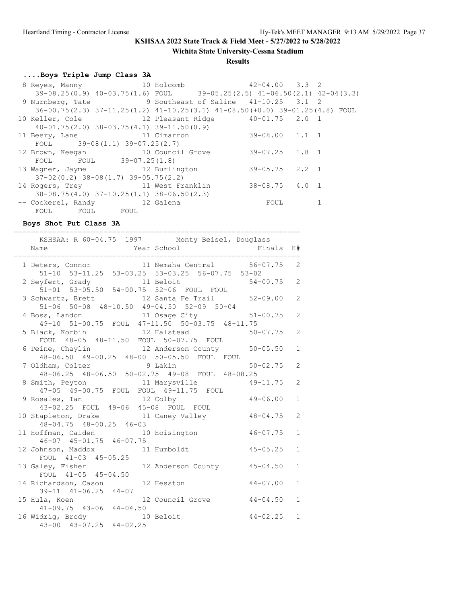**Wichita State University-Cessna Stadium**

### **Results**

## **....Boys Triple Jump Class 3A**

| 8 Reyes, Manny 10 Holcomb                                                             |  | $42 - 04.00$ $3.3$ 2 |  |
|---------------------------------------------------------------------------------------|--|----------------------|--|
| $39-08.25(0.9)$ $40-03.75(1.6)$ FOUL $39-05.25(2.5)$ $41-06.50(2.1)$ $42-04(3.3)$     |  |                      |  |
| 9 Nurnberg, Tate 9 Southeast of Saline 41-10.25 3.1 2                                 |  |                      |  |
| $36-00.75(2.3)$ $37-11.25(1.2)$ $41-10.25(3.1)$ $41-08.50(+0.0)$ $39-01.25(4.8)$ FOUL |  |                      |  |
| 10 Keller, Cole             12 Pleasant Ridge         40-01.75   2.0   1              |  |                      |  |
| $40-01.75(2.0)$ $38-03.75(4.1)$ $39-11.50(0.9)$                                       |  |                      |  |
| 11 Beery, Lane 11 Cimarron                                                            |  | $39-08.00$ 1.1 1     |  |
| FOUL $39-08(1.1) 39-07.25(2.7)$                                                       |  |                      |  |
| 12 Brown, Keegan 10 Council Grove                                                     |  | 39-07.25 1.8 1       |  |
| FOUL FOUL 39-07.25(1.8)                                                               |  |                      |  |
| 13 Wagner, Jayme 12 Burlington                                                        |  | 39-05.75 2.2 1       |  |
| $37 - 02(0.2)$ $38 - 08(1.7)$ $39 - 05.75(2.2)$                                       |  |                      |  |
| 14 Rogers, Trey 11 West Franklin                                                      |  | 38-08.75 4.0 1       |  |
| $38-08.75(4.0)$ $37-10.25(1.1)$ $38-06.50(2.3)$                                       |  |                      |  |
| -- Cockerel, Randy 12 Galena                                                          |  | FOUL                 |  |
| FOUL FOUL FOUL                                                                        |  |                      |  |

### **Boys Shot Put Class 3A**

| ---------------------------------<br>======================<br>KSHSAA: R 60-04.75 1997 Monty Beisel, Douglass<br>Year School <a> Finals H#<br/>Name</a> |                |
|---------------------------------------------------------------------------------------------------------------------------------------------------------|----------------|
| 1 Deters, Connor 11 Nemaha Central 56-07.75 2<br>51-10 53-11.25 53-03.25 53-03.25 56-07.75 53-02                                                        |                |
| 2 Seyfert, Grady 11 Beloit 54-00.75 2<br>51-01 53-05.50 54-00.75 52-06 FOUL FOUL                                                                        |                |
| 3 Schwartz, Brett 12 Santa Fe Trail 52-09.00 2<br>51-06 50-08 48-10.50 49-04.50 52-09 50-04                                                             |                |
| 4 Boss, Landon 11 Osage City 51-00.75 2<br>49-10 51-00.75 FOUL 47-11.50 50-03.75 48-11.75                                                               |                |
| 5 Black, Korbin 12 Halstead 50-07.75<br>FOUL 48-05 48-11.50 FOUL 50-07.75 FOUL                                                                          | 2              |
| 6 Peine, Chaylin<br>48-06.50 49-00.25 48-00 50-05.50 FOUL FOUL<br>1.48-06.50 49-00.25 48-00 50-05.50 FOUL FOUL                                          | $\mathbf{1}$   |
| 7 Oldham, Colter 9 Lakin 50-02.75<br>48-06.25 48-06.50 50-02.75 49-08 FOUL 48-08.25                                                                     | 2              |
| 8 Smith, Peyton 11 Marysville 49-11.75<br>47-05 49-00.75 FOUL FOUL 49-11.75 FOUL                                                                        | 2              |
| 9 Rosales, Ian 12 Colby 9 49-06.00<br>43-02.25 FOUL 49-06 45-08 FOUL FOUL                                                                               | $\mathbf{1}$   |
| 10 Stapleton, Drake 11 Caney Valley 48-04.75<br>48-04.75 48-00.25 46-03                                                                                 | $\overline{2}$ |
| 11 Hoffman, Caiden 10 Hoisington 46-07.75<br>$46-07$ $45-01.75$ $46-07.75$                                                                              | $\mathbf{1}$   |
| 12 Johnson, Maddox 11 Humboldt 45-05.25<br>FOUL 41-03 45-05.25                                                                                          | $\mathbf{1}$   |
| 13 Galey, Fisher 12 Anderson County 45-04.50<br>FOUL 41-05 45-04.50                                                                                     | $\mathbf{1}$   |
| 14 Richardson, Cason 12 Hesston 44-07.00<br>$39-11$ $41-06.25$ $44-07$                                                                                  | $\mathbf{1}$   |
| 15 Hula, Koen 12 Council Grove 44-04.50<br>41-09.75 43-06 44-04.50                                                                                      | $\mathbf{1}$   |
| 16 Widrig, Brody 10 Beloit<br>43-00 43-07.25 44-02.25<br>$44 - 02.25$ 1                                                                                 |                |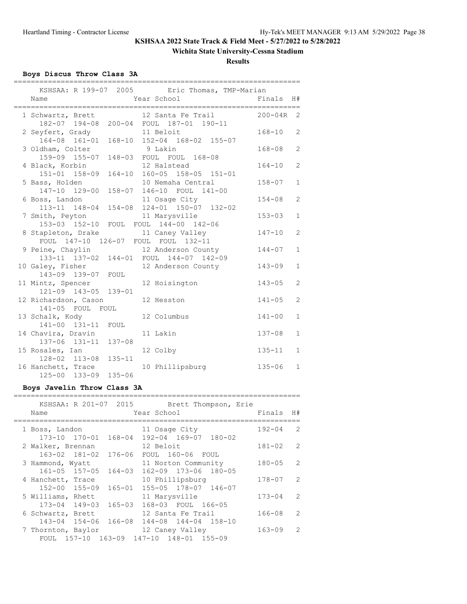### **Wichita State University-Cessna Stadium**

**Results**

### **Boys Discus Throw Class 3A**

|                                             |            | KSHSAA: R 199-07 2005 Eric Thomas, TMP-Marian                 |             |                |
|---------------------------------------------|------------|---------------------------------------------------------------|-------------|----------------|
| Name                                        |            | Year School                                                   | Finals      | H#             |
|                                             |            |                                                               |             |                |
| 1 Schwartz, Brett                           |            | 12 Santa Fe Trail<br>182-07 194-08 200-04 FOUL 187-01 190-11  | $200 - 04R$ | 2              |
| 2 Seyfert, Grady<br>164-08 161-01           |            | 11 Beloit<br>168-10 152-04 168-02 155-07                      | $168 - 10$  | 2              |
| 3 Oldham, Colter<br>159-09 155-07           |            | 9 Lakin<br>148-03 FOUL FOUL 168-08                            | $168 - 08$  | $\overline{2}$ |
| 4 Black, Korbin<br>151-01 158-09            |            | 12 Halstead<br>164-10 160-05 158-05 151-01                    | $164 - 10$  | $\overline{2}$ |
| 5 Bass, Holden<br>147-10 129-00             |            | 10 Nemaha Central<br>158-07 146-10 FOUL 141-00                | $158 - 07$  | $\mathbf{1}$   |
| 6 Boss, Landon<br>113-11 148-04             |            | 11 Osage City<br>154-08 124-01 150-07 132-02                  | $154 - 08$  | 2              |
| 7 Smith, Peyton                             |            | 11 Marysville<br>153-03 152-10 FOUL FOUL 144-00 142-06        | $153 - 03$  | $\mathbf{1}$   |
| 8 Stapleton, Drake                          |            | 11 Caney Valley<br>FOUL 147-10 126-07 FOUL FOUL 132-11        | $147 - 10$  | $\overline{2}$ |
| 9 Peine, Chaylin                            |            | 12 Anderson County<br>133-11 137-02 144-01 FOUL 144-07 142-09 | $144 - 07$  | $\mathbf{1}$   |
| 10 Galey, Fisher<br>143-09 139-07 FOUL      |            | 12 Anderson County                                            | $143 - 09$  | $\mathbf{1}$   |
| 11 Mintz, Spencer<br>121-09 143-05 139-01   |            | 12 Hoisington                                                 | $143 - 05$  | $\overline{2}$ |
| 12 Richardson, Cason<br>141-05 FOUL FOUL    |            | 12 Hesston                                                    | $141 - 05$  | $\overline{2}$ |
| 13 Schalk, Kody<br>141-00 131-11 FOUL       |            | 12 Columbus                                                   | $141 - 00$  | $\mathbf{1}$   |
| 14 Chavira, Dravin<br>137-06 131-11 137-08  |            | 11 Lakin                                                      | $137 - 08$  | $\mathbf{1}$   |
| 15 Rosales, Ian<br>128-02 113-08            | $135 - 11$ | 12 Colby                                                      | $135 - 11$  | $\mathbf{1}$   |
| 16 Hanchett, Trace<br>$125 - 00$ $133 - 09$ | $135 - 06$ | 10 Phillipsburg                                               | $135 - 06$  | $\mathbf{1}$   |

### **Boys Javelin Throw Class 3A**

|                    | KSHSAA: R 201-07 2015                     |             |                      | Brett Thompson, Erie |            |               |
|--------------------|-------------------------------------------|-------------|----------------------|----------------------|------------|---------------|
| Name               |                                           | Year School |                      |                      | Finals     | H#            |
| 1 Boss, Landon     |                                           |             | 11 Osage City        |                      | $192 - 04$ | 2             |
|                    | 173-10 170-01 168-04                      |             | 192-04 169-07 180-02 |                      |            |               |
| 2 Walker, Brennan  |                                           | 12 Beloit   |                      |                      | $181 - 02$ | 2             |
|                    | 163-02 181-02<br>176-06                   |             | FOUL 160-06 FOUL     |                      |            |               |
| 3 Hammond, Wyatt   |                                           |             | 11 Norton Community  |                      | $180 - 05$ | $\mathcal{L}$ |
|                    | $161 - 05$ $157 - 05$<br>$164 - 03$       |             | 162-09 173-06 180-05 |                      |            |               |
| 4 Hanchett, Trace  |                                           |             | 10 Phillipsburg      |                      | $178 - 07$ | 2             |
|                    | 152-00 155-09<br>165-01                   |             | 155-05 178-07 146-07 |                      |            |               |
| 5 Williams, Rhett  |                                           |             | 11 Marysville        |                      | $173 - 04$ | $\mathcal{L}$ |
|                    | $165 - 03$<br>173-04 149-03               |             | 168-03 FOUL 166-05   |                      |            |               |
| 6 Schwartz, Brett  |                                           |             | 12 Santa Fe Trail    |                      | $166 - 08$ | $\mathcal{L}$ |
|                    | 143-04 154-06 166-08 144-08 144-04 158-10 |             |                      |                      |            |               |
| 7 Thornton, Baylor |                                           |             | 12 Caney Valley      |                      | $163 - 09$ | $\mathcal{P}$ |
|                    | FOUL 157-10 163-09 147-10 148-01 155-09   |             |                      |                      |            |               |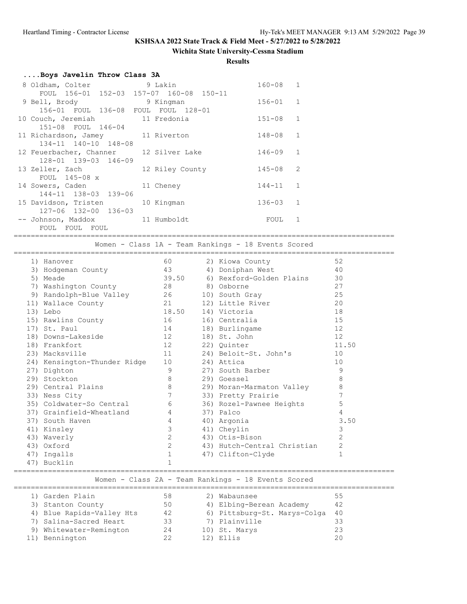### **Wichita State University-Cessna Stadium**

#### **Results**

|  |  | Boys Javelin Throw Class 3A |  |  |  |
|--|--|-----------------------------|--|--|--|
|--|--|-----------------------------|--|--|--|

| 8 Oldham, Colter                    | 9 Lakin              | $160 - 08$   | -1             |
|-------------------------------------|----------------------|--------------|----------------|
| FOUL 156-01 152-03                  | 157-07 160-08 150-11 |              |                |
| 9 Bell, Brody                       | 9 Kingman            | $156 - 01$ 1 |                |
| 156-01 FOUL 136-08 FOUL FOUL 128-01 |                      |              |                |
| 10 Couch, Jeremiah                  | 11 Fredonia          | $151 - 08$   | 1              |
| 151-08 FOUL 146-04                  |                      |              |                |
| 11 Richardson, Jamey 11 Riverton    |                      | 148-08       | $\overline{1}$ |
| $134 - 11$ $140 - 10$ $148 - 08$    |                      |              |                |
| 12 Feuerbacher, Channer             | 12 Silver Lake       | $146 - 09$   | $\mathbf{1}$   |
| 128-01 139-03 146-09                |                      |              |                |
| 13 Zeller, Zach                     | 12 Riley County      | 145-08       | 2              |
| FOUL $145-08 \times$                |                      |              |                |
| 14 Sowers, Caden                    | 11 Cheney            | $144 - 11$   | $\overline{1}$ |
| 144-11 138-03 139-06                |                      |              |                |
| 15 Davidson, Tristen                | 10 Kingman           | $136 - 03$   | $\overline{1}$ |
| 127-06 132-00 136-03                |                      |              |                |
| -- Johnson, Maddox                  | 11 Humboldt          | FOUL         |                |
| FOUL<br>FOUL FOUL                   |                      |              |                |

=========================================================================================

Women - Class 1A - Team Rankings - 18 Events Scored

=========================================================================================

| 1) Hanover                   | 60             | 2) Kiowa County             | 52             |
|------------------------------|----------------|-----------------------------|----------------|
| 3) Hodgeman County           | 43             | 4) Doniphan West            | 40             |
| 5) Meade                     | 39.50          | 6) Rexford-Golden Plains    | 30             |
| 7) Washington County         | 28             | 8) Osborne                  | 27             |
| 9) Randolph-Blue Valley      | 26             | 10) South Gray              | 25             |
| 11) Wallace County           |                | 12) Little River            | 20             |
| 13) Lebo                     | 18.50          | 14) Victoria                | 18             |
| 15) Rawlins County           | 16             | 16) Centralia               | 15             |
| 17) St. Paul                 | 14             | 18) Burlingame              | 12             |
| 18) Downs-Lakeside           |                | 18) St. John                | 12             |
| 18) Frankfort                | 12             | 22) Ouinter                 | 11.50          |
| 23) Macksville               | 11 — 1         | 24) Beloit-St. John's       | 10             |
| 24) Kensington-Thunder Ridge | 10             | 24) Attica                  | 10             |
| 27) Dighton                  | 9              | 27) South Barber            | 9              |
| 29) Stockton                 | 8              | 29) Goessel                 | 8              |
| 29) Central Plains           | 8              | 29) Moran-Marmaton Valley   | 8              |
| 33) Ness City                | 7              | 33) Pretty Prairie          | 7              |
| 35) Coldwater-So Central     | 6              | 36) Rozel-Pawnee Heights    | 5              |
| 37) Grainfield-Wheatland     | 4              | 37) Palco                   | 4              |
| 37) South Haven              | $\overline{4}$ | 40) Argonia                 | 3.50           |
| 41) Kinsley                  | 3              | 41) Cheylin                 | 3              |
| 43) Waverly                  | $\overline{2}$ | 43) Otis-Bison              | $\overline{2}$ |
| 43) Oxford                   | $\overline{2}$ | 43) Hutch-Central Christian | 2              |
| 47) Ingalls                  |                | 47) Clifton-Clyde           | $\mathbf 1$    |
| 47) Bucklin                  |                |                             |                |

### ========================================================================================= Women - Class 2A - Team Rankings - 18 Events Scored

| 1) Garden Plain           | 58 | 2) | Wabaunsee                    | 55   |
|---------------------------|----|----|------------------------------|------|
| 3) Stanton County         | 50 |    | 4) Elbing-Berean Academy     | 42   |
| 4) Blue Rapids-Valley Hts | 42 |    | 6) Pittsburg-St. Marys-Colga | - 40 |
| 7) Salina-Sacred Heart    | 33 |    | 7) Plainville                | 33   |
| 9) Whitewater-Remington   | 24 |    | 10) St. Marys                | 23   |
| 11) Bennington            | 22 |    | 12) Ellis                    | 20   |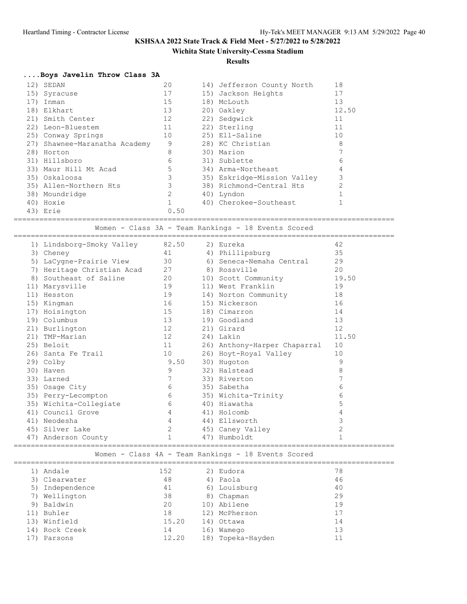### **Wichita State University-Cessna Stadium**

#### **Results**

### **....Boys Javelin Throw Class 3A**

|  | 12) SEDAN                     | 20   | 14) Jefferson County North  | 18             |
|--|-------------------------------|------|-----------------------------|----------------|
|  | 15) Syracuse                  | 17   | 15) Jackson Heights         | 17             |
|  | 17) Inman                     | 15   | 18) McLouth                 | 13             |
|  | 18) Elkhart                   | 13   | 20) Oakley                  | 12.50          |
|  | 21) Smith Center              | 12   | 22) Sedgwick                | 11             |
|  | 22) Leon-Bluestem             | 11   | 22) Sterling                | 11             |
|  | 25) Conway Springs            | 10   | 25) Ell-Saline              | 10             |
|  | 27) Shawnee-Maranatha Academy | 9    | 28) KC Christian            | 8              |
|  | 28) Horton                    | 8    | 30) Marion                  | $\overline{7}$ |
|  | 31) Hillsboro                 | 6    | 31) Sublette                | 6              |
|  | 33) Maur Hill Mt Acad         | 5    | 34) Arma-Northeast          | 4              |
|  | 35) Oskaloosa                 | 3    | 35) Eskridge-Mission Valley | 3              |
|  | 35) Allen-Northern Hts        | 3    | 38) Richmond-Central Hts    | $\mathfrak{D}$ |
|  | 38) Moundridge                | 2    | 40) Lyndon                  |                |
|  | 40) Hoxie                     |      | 40) Cherokee-Southeast      |                |
|  | 43) Erie                      | 0.50 |                             |                |
|  |                               |      |                             |                |

========================================================================================= Women - Class 3A - Team Rankings - 18 Events Scored

|     | 1) Lindsborg-Smoky Valley  | 82.50          | 2) Eureka                    | 42    |
|-----|----------------------------|----------------|------------------------------|-------|
|     | 3) Cheney                  | 41             | 4) Phillipsburg              | 35    |
|     | LaCygne-Prairie View<br>5) | 30             | 6) Seneca-Nemaha Central     | 29    |
|     | 7) Heritage Christian Acad | 27             | 8) Rossville                 | 20    |
|     | Southeast of Saline<br>8)  | 20             | 10) Scott Community          | 19.50 |
|     | 11) Marysville             | 19             | 11) West Franklin            | 19    |
| 11) | Hesston                    | 19             | 14) Norton Community         | 18    |
|     | 15) Kingman                | 16             | 15) Nickerson                | 16    |
| 17) | Hoisington                 | 15             | 18) Cimarron                 | 14    |
|     | 19) Columbus               | 13             | 19) Goodland                 | 13    |
|     | 21) Burlington             | 12             | 21) Girard                   | 12    |
| 21) | TMP-Marian                 | 12             | 24) Lakin                    | 11.50 |
|     | 25) Beloit                 | 11             | 26) Anthony-Harper Chaparral | 10    |
|     | 26) Santa Fe Trail         | 10             | 26) Hoyt-Royal Valley        | 10    |
|     | 29) Colby                  | 9.50           | 30) Hugoton                  | 9     |
|     | 30) Haven                  | 9              | 32) Halstead                 | 8     |
|     | 33) Larned                 | 7              | 33) Riverton                 |       |
|     | 35) Osage City             | 6              | 35) Sabetha                  | 6     |
|     | 35) Perry-Lecompton        | 6              | 35) Wichita-Trinity          | 6     |
|     | 35) Wichita-Collegiate     | 6              | 40) Hiawatha                 | 5     |
|     | 41) Council Grove          | $\overline{4}$ | 41) Holcomb                  | 4     |
|     | 41) Neodesha               | 4              | 44) Ellsworth                | 3     |
|     | 45) Silver Lake            | $\mathbf{2}$   | 45) Caney Valley             | 2     |
|     | 47) Anderson County        | $\mathbf{1}$   | 47) Humboldt                 |       |
|     |                            |                | ===================          |       |

### Women - Class 4A - Team Rankings - 18 Events Scored

| 1) Andale       | 152   | 2) Eudora         | 78 |
|-----------------|-------|-------------------|----|
| 3) Clearwater   | 48    | 4) Paola          | 46 |
| 5) Independence | 41    | 6) Louisburg      | 40 |
| 7) Wellington   | 38    | 8) Chapman        | 29 |
| 9) Baldwin      | 20    | 10) Abilene       | 19 |
| 11) Buhler      | 18    | 12) McPherson     | 17 |
| 13) Winfield    | 15.20 | 14) Ottawa        | 14 |
| 14) Rock Creek  | 14    | 16) Wamego        | 13 |
| Parsons         | 12.20 | 18) Topeka-Hayden |    |
|                 |       |                   |    |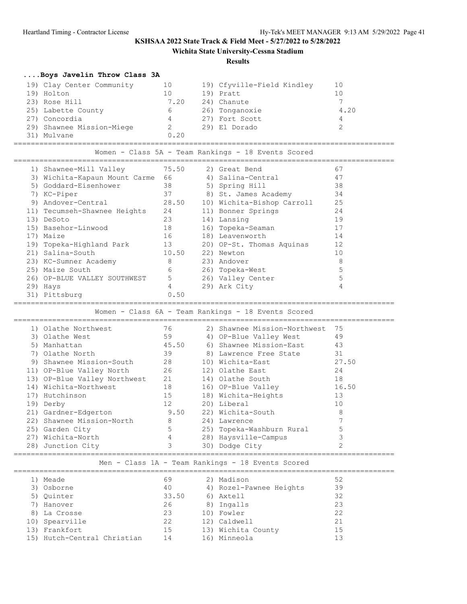**Wichita State University-Cessna Stadium**

#### **Results**

### **....Boys Javelin Throw Class 3A**

| 19) Clay Center Community | 10   | 19) Cfyville-Field Kindley | 10   |
|---------------------------|------|----------------------------|------|
| 19) Holton                | 10   | 19) Pratt                  | 10   |
| 23) Rose Hill             | 7.20 | 24) Chanute                |      |
| 25) Labette County        | 6    | 26) Tonganoxie             | 4.20 |
| 27) Concordia             | 4    | 27) Fort Scott             | 4    |
| 29) Shawnee Mission-Miege |      | 29) El Dorado              |      |
| 31) Mulvane               | 0.20 |                            |      |
|                           |      |                            |      |

# Women - Class 5A - Team Rankings - 18 Events Scored

| 1) Shawnee-Mill Valley        | 75.50 | 2) Great Bend              | 67 |
|-------------------------------|-------|----------------------------|----|
| 3) Wichita-Kapaun Mount Carme | 66    | 4) Salina-Central          | 47 |
| 5) Goddard-Eisenhower         | 38    | 5) Spring Hill             | 38 |
| 7) KC-Piper                   | 37    | 8) St. James Academy       | 34 |
| 9) Andover-Central            | 28.50 | 10) Wichita-Bishop Carroll | 25 |
| 11) Tecumseh-Shawnee Heights  | 24    | 11) Bonner Springs         | 24 |
| 13) DeSoto                    | 23    | 14) Lansing                | 19 |
| 15) Basehor-Linwood           | 18    | 16) Topeka-Seaman          | 17 |
| 17) Maize                     | 16    | 18) Leavenworth            | 14 |
| 19) Topeka-Highland Park      | 13    | 20) OP-St. Thomas Aquinas  | 12 |
| 21) Salina-South              | 10.50 | 22) Newton                 | 10 |
| 23) KC-Sumner Academy         | 8     | 23) Andover                | 8  |
| 25) Maize South               | 6     | 26) Topeka-West            | 5  |
| 26) OP-BLUE VALLEY SOUTHWEST  | 5     | 26) Valley Center          | 5  |
| 29) Hays                      | 4     | 29) Ark City               | 4  |
| 31) Pittsburg                 | 0.50  |                            |    |
|                               |       |                            |    |

#### Women - Class 6A - Team Rankings - 18 Events Scored

|     | 1) Olathe Northwest          | 76    | 2) Shawnee Mission-Northwest | 75    |
|-----|------------------------------|-------|------------------------------|-------|
|     | 3) Olathe West               | 59    | 4) OP-Blue Valley West       | 49    |
|     | 5) Manhattan                 | 45.50 | 6) Shawnee Mission-East      | 43    |
|     | 7) Olathe North              | 39    | 8) Lawrence Free State       | 31    |
|     | 9) Shawnee Mission-South     | 28    | 10) Wichita-East             | 27.50 |
|     | 11) OP-Blue Valley North     | 26    | 12) Olathe East              | 24    |
|     | 13) OP-Blue Valley Northwest | 21    | 14) Olathe South             | 18    |
|     | 14) Wichita-Northwest        | 18    | 16) OP-Blue Valley           | 16.50 |
| 17) | Hutchinson                   | 15    | 18) Wichita-Heights          | 13    |
|     | 19) Derby                    | 12    | 20) Liberal                  | 10    |
|     | 21) Gardner-Edgerton         | 9.50  | 22) Wichita-South            | 8     |
|     | 22) Shawnee Mission-North    | 8     | 24) Lawrence                 |       |
|     | 25) Garden City              | 5     | 25) Topeka-Washburn Rural    |       |
| 27) | Wichita-North                | 4     | 28) Haysville-Campus         |       |
|     | 28) Junction City            |       | 30) Dodge City               |       |

========================================================================================= Men - Class 1A - Team Rankings - 18 Events Scored

#### =========================================================================================

| 1) Meade                    | 69    | 2) Madison              | 52 |
|-----------------------------|-------|-------------------------|----|
| 3) Osborne                  | 40    | 4) Rozel-Pawnee Heights | 39 |
| 5) Quinter                  | 33.50 | 6) Axtell               | 32 |
| 7) Hanover                  | 26    | 8) Ingalls              | 23 |
| 8) La Crosse                | 23    | 10) Fowler              | 22 |
| 10) Spearville              | 22    | 12) Caldwell            | 21 |
| 13) Frankfort               | 15    | 13) Wichita County      | 15 |
| 15) Hutch-Central Christian | 14    | 16) Minneola            |    |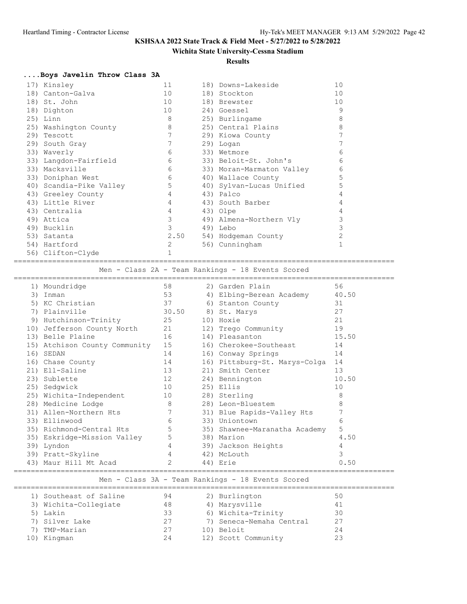### **Wichita State University-Cessna Stadium**

#### **Results**

### **....Boys Javelin Throw Class 3A**

| 17) Kinsley             | 11              | 18) Downs-Lakeside        | 10 |
|-------------------------|-----------------|---------------------------|----|
| 18) Canton-Galva        | 10              | 18) Stockton              | 10 |
| 18) St. John            | 10 <sup>°</sup> | 18) Brewster              | 10 |
| 18) Dighton             | 10              | 24) Goessel               | 9  |
| $25)$ Linn              | 8               | 25) Burlingame            | 8  |
| 25) Washington County   | 8               | 25) Central Plains        | 8  |
| 29) Tescott             | 7               | 29) Kiowa County          | 7  |
| 29) South Gray          | 7               | 29) Logan                 | 7  |
| 33) Waverly             | 6               | 33) Wetmore               | 6  |
| 33) Langdon-Fairfield   | 6               | 33) Beloit-St. John's     | 6  |
| 33) Macksville          | 6               | 33) Moran-Marmaton Valley | 6  |
| 33) Doniphan West       | 6               | 40) Wallace County        | 5  |
| 40) Scandia-Pike Valley | 5               | 40) Sylvan-Lucas Unified  | 5  |
| 43) Greeley County      | 4               | 43) Palco                 | 4  |
| 43) Little River        | 4               | 43) South Barber          | 4  |
| 43) Centralia           | 4               | 43) Olpe                  | 4  |
| 49) Attica              | 3               | 49) Almena-Northern Vly   | 3  |
| 49) Bucklin             | 3               | 49) Lebo                  | 3  |
| 53) Satanta             | 2.50            | 54) Hodgeman County       | 2  |
| 54) Hartford            | 2               | 56) Cunningham            |    |
| 56) Clifton-Clyde       | 1               |                           |    |

========================================================================================= Men - Class 2A - Team Rankings - 18 Events Scored

|     | 1) Moundridge                    | 58    | 2) Garden Plain               | 56    |
|-----|----------------------------------|-------|-------------------------------|-------|
| 3)  | Inman                            | 53    | 4) Elbing-Berean Academy      | 40.50 |
| 5)  | KC Christian                     | 37    | 6) Stanton County             | 31    |
| 7)  | Plainville                       | 30.50 | 8) St. Marys                  | 27    |
| 9)  | Hutchinson-Trinity               | 25    | 10) Hoxie                     | 21    |
|     | 10) Jefferson County North<br>21 |       | 12) Trego Community           | 19    |
|     | 13) Belle Plaine                 | 16    | 14) Pleasanton                | 15.50 |
|     | 15) Atchison County Community    | 15    | 16) Cherokee-Southeast        | 14    |
| 16) | SEDAN                            | 14    | 16) Conway Springs            | 14    |
|     | 16) Chase County                 | 14    | 16) Pittsburg-St. Marys-Colga | 14    |
|     | 21) Ell-Saline                   | 13    | 21) Smith Center              | 13    |
|     | 23) Sublette                     | 12    | 24) Bennington                | 10.50 |
| 25) | Sedqwick                         | 10    | 25) Ellis                     | 10    |
|     | 25) Wichita-Independent          | 10    | 28) Sterling                  | 8     |
|     | 28) Medicine Lodge               | 8     | 28) Leon-Bluestem             | 8     |
|     | 31) Allen-Northern Hts           |       | 31) Blue Rapids-Valley Hts    |       |
|     | 33) Ellinwood                    | 6     | 33) Uniontown                 | 6     |
|     | 35) Richmond-Central Hts         | 5     | 35) Shawnee-Maranatha Academy | 5     |
|     | 35) Eskridge-Mission Valley      | 5     | 38) Marion                    | 4.50  |
| 39) | Lyndon                           | 4     | 39) Jackson Heights           | 4     |
|     | 39) Pratt-Skyline                | 4     | 42) McLouth                   | 3     |
| 43) | Maur Hill Mt Acad                | 2     | 44) Erie                      | 0.50  |
|     |                                  |       |                               |       |

### Men - Class 3A - Team Rankings - 18 Events Scored

| 1) Southeast of Saline | 94 | 2) Burlington            | 50 |
|------------------------|----|--------------------------|----|
| 3) Wichita-Collegiate  | 48 | 4) Marysville            |    |
| 5) Lakin               | 33 | 6) Wichita-Trinity       | 30 |
| 7) Silver Lake         | 27 | 7) Seneca-Nemaha Central | 27 |
| 7) TMP-Marian          | 27 | 10) Beloit               | 24 |
| 10) Kingman            | 24 | 12) Scott Community      |    |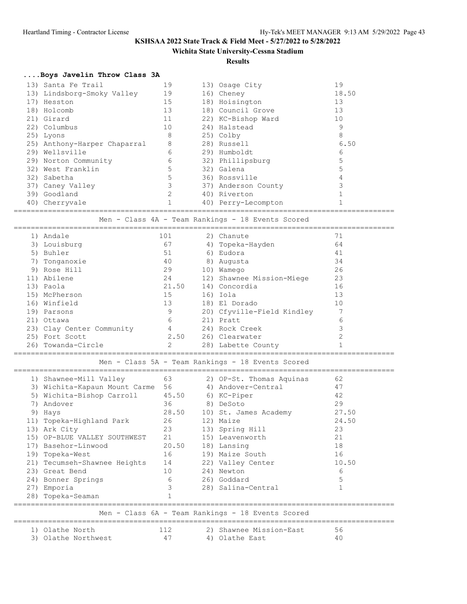### **Wichita State University-Cessna Stadium**

**Results**

## **....Boys Javelin Throw Class 3A**

|     | 13) Santa Fe Trail           | 19 | 13) Osage City      | 19    |
|-----|------------------------------|----|---------------------|-------|
|     | 13) Lindsborg-Smoky Valley   | 19 | 16) Cheney          | 18.50 |
| 17) | Hesston                      | 15 | 18) Hoisington      | 13    |
|     | 18) Holcomb                  | 13 | 18) Council Grove   | 13    |
|     | 21) Girard                   | 11 | 22) KC-Bishop Ward  | 10    |
|     | 22) Columbus                 | 10 | 24) Halstead        | 9     |
|     | 25) Lyons                    | 8  | 25) Colby           | 8     |
|     | 25) Anthony-Harper Chaparral | 8  | 28) Russell         | 6.50  |
|     | 29) Wellsville               | 6  | 29) Humboldt        | 6     |
|     | 29) Norton Community         | 6  | 32) Phillipsburg    |       |
|     | 32) West Franklin            | 5  | 32) Galena          |       |
|     | 32) Sabetha                  |    | 36) Rossville       |       |
|     | 37) Caney Valley             |    | 37) Anderson County |       |
|     | 39) Goodland                 |    | 40) Riverton        |       |
|     | 40) Cherryvale               |    | 40) Perry-Lecompton |       |
|     |                              |    |                     |       |

#### Men - Class 4A - Team Rankings - 18 Events Scored

| 1) | Andale                    | 101   |    | 2) Chanute                 | 71 |
|----|---------------------------|-------|----|----------------------------|----|
|    | 3) Louisburg              | 67    |    | 4) Topeka-Hayden           | 64 |
|    | 5) Buhler                 | 51    | 6) | Eudora                     | 41 |
| 7) | Tonganoxie                | 40    | 8) | Augusta                    | 34 |
|    | 9) Rose Hill              | 29    |    | 10) Wamego                 | 26 |
|    | 11) Abilene               | 24    |    | 12) Shawnee Mission-Miege  | 23 |
|    | 13) Paola                 | 21.50 |    | 14) Concordia              | 16 |
|    | 15) McPherson             | 15    |    | 16) Iola                   | 13 |
|    | 16) Winfield              | 13    |    | 18) El Dorado              | 10 |
|    | 19) Parsons               | 9     |    | 20) Cfyville-Field Kindley |    |
|    | 21) Ottawa                | 6     |    | 21) Pratt                  | 6  |
|    | 23) Clay Center Community | 4     |    | 24) Rock Creek             | 3  |
|    | 25) Fort Scott            | 2.50  |    | 26) Clearwater             | っ  |
|    | 26) Towanda-Circle        |       |    | 28) Labette County         |    |

#### =========================================================================================

Men - Class 5A - Team Rankings - 18 Events Scored

|                                                   | 1) Shawnee-Mill Valley       | 63    |  | 2) OP-St. Thomas Aquinas | 62    |  |  |  |
|---------------------------------------------------|------------------------------|-------|--|--------------------------|-------|--|--|--|
| 3)                                                | Wichita-Kapaun Mount Carme   | 56    |  | 4) Andover-Central       | 47    |  |  |  |
| 5)                                                | Wichita-Bishop Carroll       | 45.50 |  | 6) KC-Piper              | 42    |  |  |  |
| 7)                                                | Andover                      | 36    |  | 8) DeSoto                | 29    |  |  |  |
| 9)                                                | Hays                         | 28.50 |  | 10) St. James Academy    | 27.50 |  |  |  |
|                                                   | 11) Topeka-Highland Park     | 26    |  | 12) Maize                | 24.50 |  |  |  |
|                                                   | 13) Ark City                 | 23    |  | 13) Spring Hill          | 23    |  |  |  |
|                                                   | 15) OP-BLUE VALLEY SOUTHWEST | 21    |  | 15) Leavenworth          | 21    |  |  |  |
| 17)                                               | Basehor-Linwood              | 20.50 |  | 18) Lansing              | 18    |  |  |  |
|                                                   | 19) Topeka-West              | 16    |  | 19) Maize South          | 16    |  |  |  |
|                                                   | 21) Tecumseh-Shawnee Heights | 14    |  | 22) Valley Center        | 10.50 |  |  |  |
|                                                   | 23) Great Bend               | 10    |  | 24) Newton               | 6     |  |  |  |
|                                                   | 24) Bonner Springs           | 6     |  | 26) Goddard              | 5     |  |  |  |
| 27)                                               | Emporia                      | 3     |  | 28) Salina-Central       |       |  |  |  |
|                                                   | 28) Topeka-Seaman            |       |  |                          |       |  |  |  |
|                                                   |                              |       |  |                          |       |  |  |  |
| Men - Class 6A - Team Rankings - 18 Events Scored |                              |       |  |                          |       |  |  |  |
|                                                   | Olathe North                 | 112   |  | 2) Shawnee Mission-East  | 56    |  |  |  |
|                                                   |                              |       |  |                          |       |  |  |  |

|  | $\perp$ , $\cup$ $\perp$ $\cup$ $\perp$ $\cup$ $\perp$ $\perp$ |                     |  | LI DIKWIICC IILDULOII LUDU |  |
|--|----------------------------------------------------------------|---------------------|--|----------------------------|--|
|  |                                                                | 3) Olathe Northwest |  | 4) Olathe East             |  |